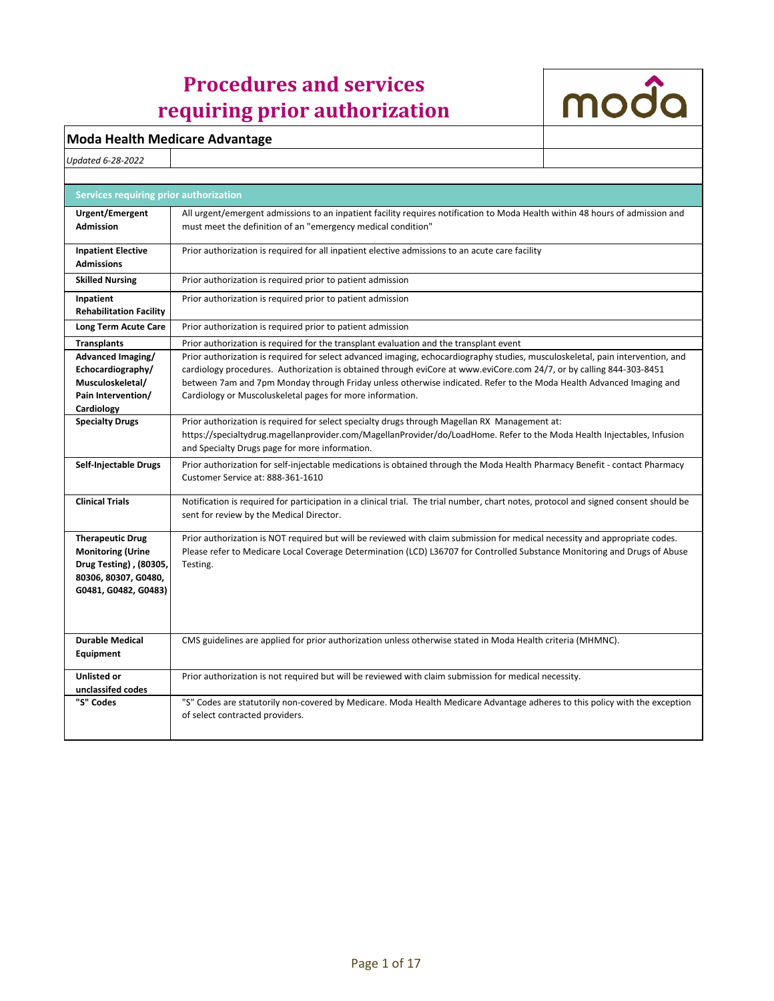## **Procedures and services requiring prior authorization**



## **Moda Health Medicare Advantage**

*Updated 6-28-2022*

| Services requiring prior authorization                                                                                        |                                                                                                                                                                                                                                                                                                                                                                                                                                            |
|-------------------------------------------------------------------------------------------------------------------------------|--------------------------------------------------------------------------------------------------------------------------------------------------------------------------------------------------------------------------------------------------------------------------------------------------------------------------------------------------------------------------------------------------------------------------------------------|
| Urgent/Emergent<br><b>Admission</b>                                                                                           | All urgent/emergent admissions to an inpatient facility requires notification to Moda Health within 48 hours of admission and<br>must meet the definition of an "emergency medical condition"                                                                                                                                                                                                                                              |
| <b>Inpatient Elective</b><br><b>Admissions</b>                                                                                | Prior authorization is required for all inpatient elective admissions to an acute care facility                                                                                                                                                                                                                                                                                                                                            |
| <b>Skilled Nursing</b>                                                                                                        | Prior authorization is required prior to patient admission                                                                                                                                                                                                                                                                                                                                                                                 |
| Inpatient<br><b>Rehabilitation Facility</b>                                                                                   | Prior authorization is required prior to patient admission                                                                                                                                                                                                                                                                                                                                                                                 |
| Long Term Acute Care                                                                                                          | Prior authorization is required prior to patient admission                                                                                                                                                                                                                                                                                                                                                                                 |
| <b>Transplants</b>                                                                                                            | Prior authorization is required for the transplant evaluation and the transplant event                                                                                                                                                                                                                                                                                                                                                     |
| Advanced Imaging/<br>Echocardiography/<br>Musculoskeletal/<br>Pain Intervention/<br>Cardiology                                | Prior authorization is required for select advanced imaging, echocardiography studies, musculoskeletal, pain intervention, and<br>cardiology procedures. Authorization is obtained through eviCore at www.eviCore.com 24/7, or by calling 844-303-8451<br>between 7am and 7pm Monday through Friday unless otherwise indicated. Refer to the Moda Health Advanced Imaging and<br>Cardiology or Muscoluskeletal pages for more information. |
| <b>Specialty Drugs</b>                                                                                                        | Prior authorization is required for select specialty drugs through Magellan RX Management at:<br>https://specialtydrug.magellanprovider.com/MagellanProvider/do/LoadHome. Refer to the Moda Health Injectables, Infusion<br>and Specialty Drugs page for more information.                                                                                                                                                                 |
| Self-Injectable Drugs                                                                                                         | Prior authorization for self-injectable medications is obtained through the Moda Health Pharmacy Benefit - contact Pharmacy<br>Customer Service at: 888-361-1610                                                                                                                                                                                                                                                                           |
| <b>Clinical Trials</b>                                                                                                        | Notification is required for participation in a clinical trial. The trial number, chart notes, protocol and signed consent should be<br>sent for review by the Medical Director.                                                                                                                                                                                                                                                           |
| <b>Therapeutic Drug</b><br><b>Monitoring (Urine</b><br>Drug Testing), (80305,<br>80306, 80307, G0480,<br>G0481, G0482, G0483) | Prior authorization is NOT required but will be reviewed with claim submission for medical necessity and appropriate codes.<br>Please refer to Medicare Local Coverage Determination (LCD) L36707 for Controlled Substance Monitoring and Drugs of Abuse<br>Testing.                                                                                                                                                                       |
| <b>Durable Medical</b><br>Equipment                                                                                           | CMS guidelines are applied for prior authorization unless otherwise stated in Moda Health criteria (MHMNC).                                                                                                                                                                                                                                                                                                                                |
| <b>Unlisted or</b><br>unclassifed codes                                                                                       | Prior authorization is not required but will be reviewed with claim submission for medical necessity.                                                                                                                                                                                                                                                                                                                                      |
| "S" Codes                                                                                                                     | "S" Codes are statutorily non-covered by Medicare. Moda Health Medicare Advantage adheres to this policy with the exception<br>of select contracted providers.                                                                                                                                                                                                                                                                             |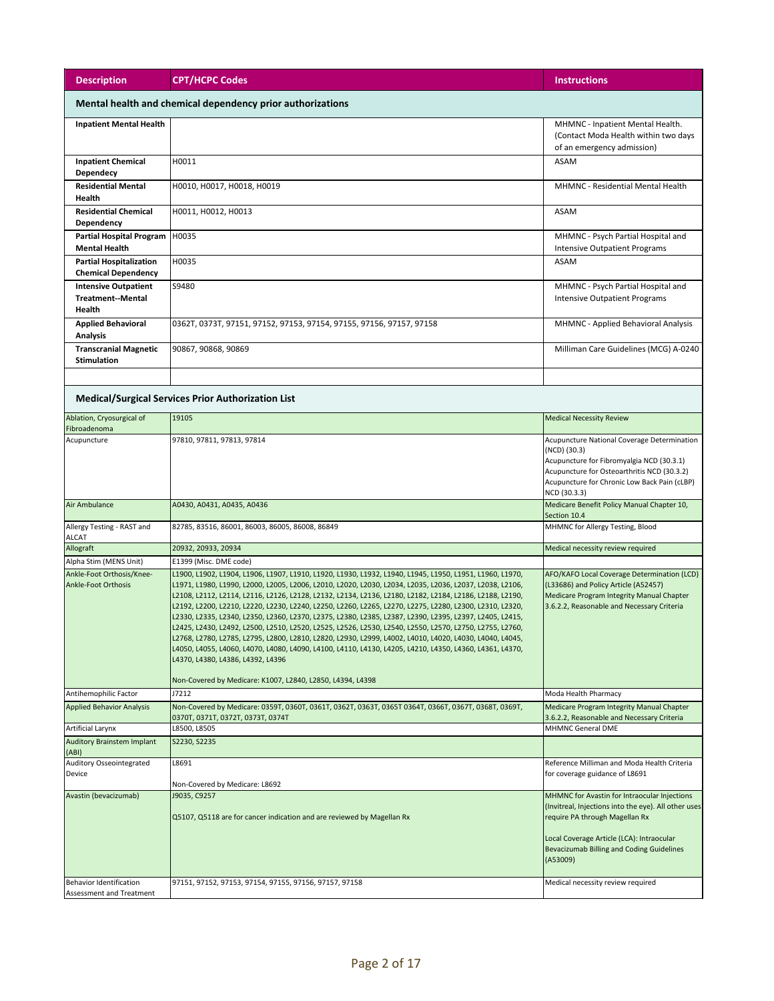| <b>Description</b>                                           | <b>CPT/HCPC Codes</b>                                                                                                                                                                                                                                                                                                                                                                                                                                                                                                                                                                                                                                                                                                                                                                                                                                                                                                                                                                           | <b>Instructions</b>                                                                                                                                                                                                                          |
|--------------------------------------------------------------|-------------------------------------------------------------------------------------------------------------------------------------------------------------------------------------------------------------------------------------------------------------------------------------------------------------------------------------------------------------------------------------------------------------------------------------------------------------------------------------------------------------------------------------------------------------------------------------------------------------------------------------------------------------------------------------------------------------------------------------------------------------------------------------------------------------------------------------------------------------------------------------------------------------------------------------------------------------------------------------------------|----------------------------------------------------------------------------------------------------------------------------------------------------------------------------------------------------------------------------------------------|
| Mental health and chemical dependency prior authorizations   |                                                                                                                                                                                                                                                                                                                                                                                                                                                                                                                                                                                                                                                                                                                                                                                                                                                                                                                                                                                                 |                                                                                                                                                                                                                                              |
| <b>Inpatient Mental Health</b>                               |                                                                                                                                                                                                                                                                                                                                                                                                                                                                                                                                                                                                                                                                                                                                                                                                                                                                                                                                                                                                 | MHMNC - Inpatient Mental Health.<br>(Contact Moda Health within two days<br>of an emergency admission)                                                                                                                                       |
| <b>Inpatient Chemical</b><br><b>Dependecy</b>                | H0011                                                                                                                                                                                                                                                                                                                                                                                                                                                                                                                                                                                                                                                                                                                                                                                                                                                                                                                                                                                           | <b>ASAM</b>                                                                                                                                                                                                                                  |
| <b>Residential Mental</b><br>Health                          | H0010, H0017, H0018, H0019                                                                                                                                                                                                                                                                                                                                                                                                                                                                                                                                                                                                                                                                                                                                                                                                                                                                                                                                                                      | MHMNC - Residential Mental Health                                                                                                                                                                                                            |
| <b>Residential Chemical</b><br>Dependency                    | H0011, H0012, H0013                                                                                                                                                                                                                                                                                                                                                                                                                                                                                                                                                                                                                                                                                                                                                                                                                                                                                                                                                                             | <b>ASAM</b>                                                                                                                                                                                                                                  |
| <b>Partial Hospital Program</b><br><b>Mental Health</b>      | H0035                                                                                                                                                                                                                                                                                                                                                                                                                                                                                                                                                                                                                                                                                                                                                                                                                                                                                                                                                                                           | MHMNC - Psych Partial Hospital and<br><b>Intensive Outpatient Programs</b>                                                                                                                                                                   |
| <b>Partial Hospitalization</b><br><b>Chemical Dependency</b> | H0035                                                                                                                                                                                                                                                                                                                                                                                                                                                                                                                                                                                                                                                                                                                                                                                                                                                                                                                                                                                           | <b>ASAM</b>                                                                                                                                                                                                                                  |
| <b>Intensive Outpatient</b><br>Treatment--Mental<br>Health   | S9480                                                                                                                                                                                                                                                                                                                                                                                                                                                                                                                                                                                                                                                                                                                                                                                                                                                                                                                                                                                           | MHMNC - Psych Partial Hospital and<br><b>Intensive Outpatient Programs</b>                                                                                                                                                                   |
| <b>Applied Behavioral</b><br><b>Analysis</b>                 | 0362T, 0373T, 97151, 97152, 97153, 97154, 97155, 97156, 97157, 97158                                                                                                                                                                                                                                                                                                                                                                                                                                                                                                                                                                                                                                                                                                                                                                                                                                                                                                                            | MHMNC - Applied Behavioral Analysis                                                                                                                                                                                                          |
| <b>Transcranial Magnetic</b><br><b>Stimulation</b>           | 90867, 90868, 90869                                                                                                                                                                                                                                                                                                                                                                                                                                                                                                                                                                                                                                                                                                                                                                                                                                                                                                                                                                             | Milliman Care Guidelines (MCG) A-0240                                                                                                                                                                                                        |
|                                                              |                                                                                                                                                                                                                                                                                                                                                                                                                                                                                                                                                                                                                                                                                                                                                                                                                                                                                                                                                                                                 |                                                                                                                                                                                                                                              |
|                                                              | <b>Medical/Surgical Services Prior Authorization List</b>                                                                                                                                                                                                                                                                                                                                                                                                                                                                                                                                                                                                                                                                                                                                                                                                                                                                                                                                       |                                                                                                                                                                                                                                              |
| Ablation, Cryosurgical of<br>Fibroadenoma                    | 19105                                                                                                                                                                                                                                                                                                                                                                                                                                                                                                                                                                                                                                                                                                                                                                                                                                                                                                                                                                                           | <b>Medical Necessity Review</b>                                                                                                                                                                                                              |
| Acupuncture                                                  | 97810, 97811, 97813, 97814                                                                                                                                                                                                                                                                                                                                                                                                                                                                                                                                                                                                                                                                                                                                                                                                                                                                                                                                                                      | Acupuncture National Coverage Determination<br>(NCD) (30.3)<br>Acupuncture for Fibromyalgia NCD (30.3.1)<br>Acupuncture for Osteoarthritis NCD (30.3.2)<br>Acupuncture for Chronic Low Back Pain (cLBP)<br>NCD (30.3.3)                      |
| Air Ambulance                                                | A0430, A0431, A0435, A0436                                                                                                                                                                                                                                                                                                                                                                                                                                                                                                                                                                                                                                                                                                                                                                                                                                                                                                                                                                      | Medicare Benefit Policy Manual Chapter 10,<br>Section 10.4                                                                                                                                                                                   |
| Allergy Testing - RAST and<br>ALCAT                          | 82785, 83516, 86001, 86003, 86005, 86008, 86849                                                                                                                                                                                                                                                                                                                                                                                                                                                                                                                                                                                                                                                                                                                                                                                                                                                                                                                                                 | MHMNC for Allergy Testing, Blood                                                                                                                                                                                                             |
| Allograft                                                    | 20932, 20933, 20934                                                                                                                                                                                                                                                                                                                                                                                                                                                                                                                                                                                                                                                                                                                                                                                                                                                                                                                                                                             | Medical necessity review required                                                                                                                                                                                                            |
| Alpha Stim (MENS Unit)                                       | E1399 (Misc. DME code)                                                                                                                                                                                                                                                                                                                                                                                                                                                                                                                                                                                                                                                                                                                                                                                                                                                                                                                                                                          |                                                                                                                                                                                                                                              |
| Ankle-Foot Orthosis/Knee-<br><b>Ankle-Foot Orthosis</b>      | L1900, L1902, L1904, L1906, L1907, L1910, L1920, L1930, L1932, L1940, L1945, L1950, L1951, L1960, L1970,<br>L1971, L1980, L1990, L2000, L2005, L2006, L2010, L2020, L2030, L2034, L2035, L2036, L2037, L2038, L2106,<br>L2108, L2112, L2114, L2116, L2126, L2128, L2132, L2134, L2136, L2180, L2182, L2184, L2186, L2188, L2190,<br>L2192, L2200, L2210, L2220, L2230, L2240, L2250, L2260, L2265, L2270, L2275, L2280, L2300, L2310, L2320,<br>L2330, L2335, L2340, L2350, L2360, L2370, L2375, L2380, L2385, L2387, L2390, L2395, L2397, L2405, L2415,<br>L2425, L2430, L2492, L2500, L2510, L2520, L2525, L2526, L2530, L2540, L2550, L2570, L2750, L2755, L2760,<br>L2768, L2780, L2785, L2795, L2800, L2810, L2820, L2930, L2999, L4002, L4010, L4020, L4030, L4040, L4045,<br>L4050, L4055, L4060, L4070, L4080, L4090, L4100, L4110, L4130, L4205, L4210, L4350, L4360, L4361, L4370,<br>L4370, L4380, L4386, L4392, L4396<br>Non-Covered by Medicare: K1007, L2840, L2850, L4394, L4398 | AFO/KAFO Local Coverage Determination (LCD)<br>(L33686) and Policy Article (A52457)<br>Medicare Program Integrity Manual Chapter<br>3.6.2.2, Reasonable and Necessary Criteria                                                               |
| Antihemophilic Factor                                        | J7212                                                                                                                                                                                                                                                                                                                                                                                                                                                                                                                                                                                                                                                                                                                                                                                                                                                                                                                                                                                           | Moda Health Pharmacy                                                                                                                                                                                                                         |
| <b>Applied Behavior Analysis</b>                             | Non-Covered by Medicare: 0359T, 0360T, 0361T, 0362T, 0363T, 0365T 0364T, 0366T, 0367T, 0368T, 0369T,<br>0370T, 0371T, 0372T, 0373T, 0374T                                                                                                                                                                                                                                                                                                                                                                                                                                                                                                                                                                                                                                                                                                                                                                                                                                                       | Medicare Program Integrity Manual Chapter<br>3.6.2.2, Reasonable and Necessary Criteria                                                                                                                                                      |
| Artificial Larynx                                            | L8500, L8505                                                                                                                                                                                                                                                                                                                                                                                                                                                                                                                                                                                                                                                                                                                                                                                                                                                                                                                                                                                    | <b>MHMNC General DME</b>                                                                                                                                                                                                                     |
| <b>Auditory Brainstem Implant</b><br>(ABI)                   | S2230, S2235                                                                                                                                                                                                                                                                                                                                                                                                                                                                                                                                                                                                                                                                                                                                                                                                                                                                                                                                                                                    | Reference Milliman and Moda Health Criteria                                                                                                                                                                                                  |
| Auditory Osseointegrated<br>Device                           | L8691<br>Non-Covered by Medicare: L8692                                                                                                                                                                                                                                                                                                                                                                                                                                                                                                                                                                                                                                                                                                                                                                                                                                                                                                                                                         | for coverage guidance of L8691                                                                                                                                                                                                               |
| Avastin (bevacizumab)                                        | J9035, C9257<br>Q5107, Q5118 are for cancer indication and are reviewed by Magellan Rx                                                                                                                                                                                                                                                                                                                                                                                                                                                                                                                                                                                                                                                                                                                                                                                                                                                                                                          | MHMNC for Avastin for Intraocular Injections<br>(Invitreal, Injections into the eye). All other uses<br>require PA through Magellan Rx<br>Local Coverage Article (LCA): Intraocular<br>Bevacizumab Billing and Coding Guidelines<br>(A53009) |
| <b>Behavior Identification</b><br>Assessment and Treatment   | 97151, 97152, 97153, 97154, 97155, 97156, 97157, 97158                                                                                                                                                                                                                                                                                                                                                                                                                                                                                                                                                                                                                                                                                                                                                                                                                                                                                                                                          | Medical necessity review required                                                                                                                                                                                                            |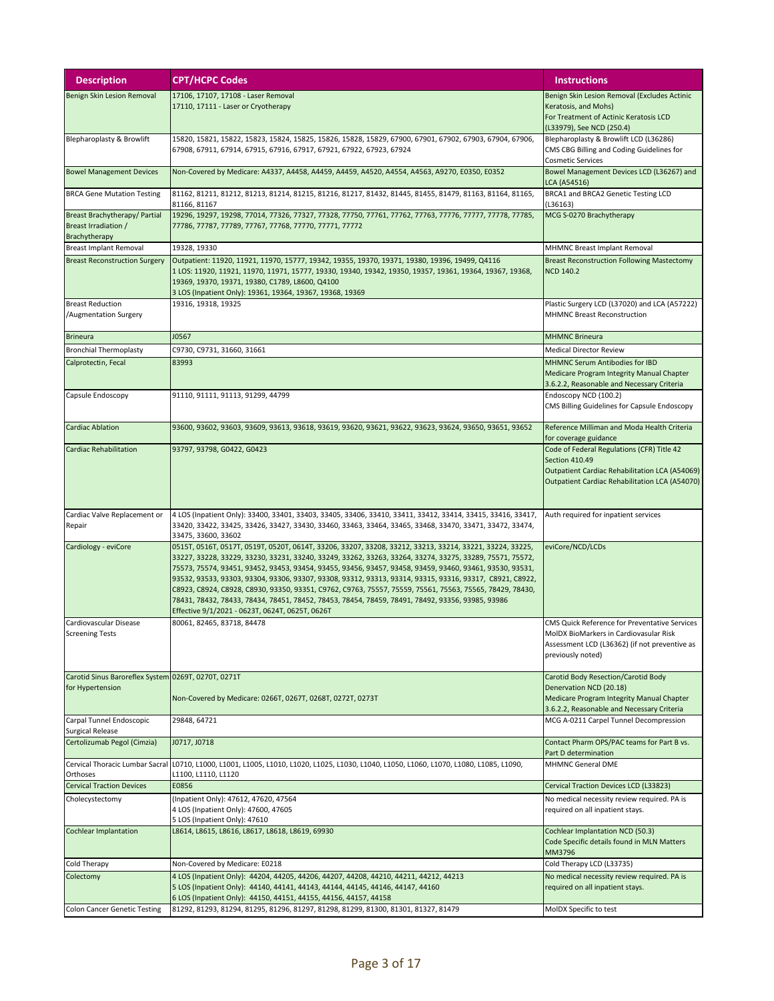| <b>Description</b>                                                            | <b>CPT/HCPC Codes</b>                                                                                                                                                                                                                                                                                                                                                                                                                                                                                                                                                                                                                                                                                           | <b>Instructions</b>                                                                                                                                              |
|-------------------------------------------------------------------------------|-----------------------------------------------------------------------------------------------------------------------------------------------------------------------------------------------------------------------------------------------------------------------------------------------------------------------------------------------------------------------------------------------------------------------------------------------------------------------------------------------------------------------------------------------------------------------------------------------------------------------------------------------------------------------------------------------------------------|------------------------------------------------------------------------------------------------------------------------------------------------------------------|
| Benign Skin Lesion Removal                                                    | 17106, 17107, 17108 - Laser Removal<br>17110, 17111 - Laser or Cryotherapy                                                                                                                                                                                                                                                                                                                                                                                                                                                                                                                                                                                                                                      | Benign Skin Lesion Removal (Excludes Actinic<br>Keratosis, and Mohs)<br>For Treatment of Actinic Keratosis LCD<br>(L33979), See NCD (250.4)                      |
| Blepharoplasty & Browlift                                                     | 15820, 15821, 15822, 15823, 15824, 15825, 15826, 15828, 15829, 67900, 67901, 67902, 67903, 67904, 67906,<br>67908, 67911, 67914, 67915, 67916, 67917, 67921, 67922, 67923, 67924                                                                                                                                                                                                                                                                                                                                                                                                                                                                                                                                | Blepharoplasty & Browlift LCD (L36286)<br>CMS CBG Billing and Coding Guidelines for<br><b>Cosmetic Services</b>                                                  |
| <b>Bowel Management Devices</b>                                               | Non-Covered by Medicare: A4337, A4458, A4459, A4459, A4520, A4554, A4563, A9270, E0350, E0352                                                                                                                                                                                                                                                                                                                                                                                                                                                                                                                                                                                                                   | Bowel Management Devices LCD (L36267) and<br>LCA (A54516)                                                                                                        |
| <b>BRCA Gene Mutation Testing</b>                                             | 81162, 81211, 81212, 81213, 81214, 81215, 81216, 81217, 81432, 81445, 81455, 81479, 81163, 81164, 81165,<br>81166, 81167                                                                                                                                                                                                                                                                                                                                                                                                                                                                                                                                                                                        | BRCA1 and BRCA2 Genetic Testing LCD<br>(L36163)                                                                                                                  |
| <b>Breast Brachytherapy/ Partial</b><br>Breast Irradiation /<br>Brachytherapy | 19296, 19297, 19298, 77014, 77326, 77327, 77328, 77750, 77761, 77762, 77763, 77776, 77777, 77778, 77785,<br>77786, 77787, 77789, 77767, 77768, 77770, 77771, 77772                                                                                                                                                                                                                                                                                                                                                                                                                                                                                                                                              | MCG S-0270 Brachytherapy                                                                                                                                         |
| <b>Breast Implant Removal</b>                                                 | 19328, 19330                                                                                                                                                                                                                                                                                                                                                                                                                                                                                                                                                                                                                                                                                                    | MHMNC Breast Implant Removal                                                                                                                                     |
| <b>Breast Reconstruction Surgery</b>                                          | Outpatient: 11920, 11921, 11970, 15777, 19342, 19355, 19370, 19371, 19380, 19396, 19499, Q4116<br>1 LOS: 11920, 11921, 11970, 11971, 15777, 19330, 19340, 19342, 19350, 19357, 19361, 19364, 19367, 19368,<br>19369, 19370, 19371, 19380, C1789, L8600, Q4100<br>3 LOS (Inpatient Only): 19361, 19364, 19367, 19368, 19369                                                                                                                                                                                                                                                                                                                                                                                      | <b>Breast Reconstruction Following Mastectomy</b><br><b>NCD 140.2</b>                                                                                            |
| <b>Breast Reduction</b><br>/Augmentation Surgery                              | 19316, 19318, 19325                                                                                                                                                                                                                                                                                                                                                                                                                                                                                                                                                                                                                                                                                             | Plastic Surgery LCD (L37020) and LCA (A57222)<br><b>MHMNC Breast Reconstruction</b>                                                                              |
| <b>Brineura</b>                                                               | J0567                                                                                                                                                                                                                                                                                                                                                                                                                                                                                                                                                                                                                                                                                                           | <b>MHMNC Brineura</b>                                                                                                                                            |
| <b>Bronchial Thermoplasty</b>                                                 | C9730, C9731, 31660, 31661                                                                                                                                                                                                                                                                                                                                                                                                                                                                                                                                                                                                                                                                                      | <b>Medical Director Review</b>                                                                                                                                   |
| Calprotectin, Fecal                                                           | 83993                                                                                                                                                                                                                                                                                                                                                                                                                                                                                                                                                                                                                                                                                                           | MHMNC Serum Antibodies for IBD<br>Medicare Program Integrity Manual Chapter<br>3.6.2.2, Reasonable and Necessary Criteria                                        |
| Capsule Endoscopy                                                             | 91110, 91111, 91113, 91299, 44799                                                                                                                                                                                                                                                                                                                                                                                                                                                                                                                                                                                                                                                                               | Endoscopy NCD (100.2)<br>CMS Billing Guidelines for Capsule Endoscopy                                                                                            |
| <b>Cardiac Ablation</b>                                                       | 93600, 93602, 93603, 93609, 93613, 93618, 93619, 93620, 93621, 93622, 93623, 93624, 93650, 93651, 93652                                                                                                                                                                                                                                                                                                                                                                                                                                                                                                                                                                                                         | Reference Milliman and Moda Health Criteria<br>for coverage guidance                                                                                             |
| <b>Cardiac Rehabilitation</b>                                                 | 93797, 93798, G0422, G0423                                                                                                                                                                                                                                                                                                                                                                                                                                                                                                                                                                                                                                                                                      | Code of Federal Regulations (CFR) Title 42<br>Section 410.49<br>Outpatient Cardiac Rehabilitation LCA (A54069)<br>Outpatient Cardiac Rehabilitation LCA (A54070) |
| Cardiac Valve Replacement or<br>Repair                                        | 4 LOS (Inpatient Only): 33400, 33401, 33403, 33405, 33406, 33410, 33411, 33412, 33414, 33415, 33416, 33417,<br>33420, 33422, 33425, 33426, 33427, 33430, 33460, 33463, 33464, 33465, 33468, 33470, 33471, 33472, 33474,<br>33475, 33600, 33602                                                                                                                                                                                                                                                                                                                                                                                                                                                                  | Auth required for inpatient services                                                                                                                             |
| Cardiology - eviCore                                                          | 0515T, 0516T, 0517T, 0519T, 0520T, 0614T, 33206, 33207, 33208, 33212, 33213, 33214, 33221, 33224, 33225,<br>33227, 33228, 33229, 33230, 33231, 33240, 33249, 33262, 33263, 33264, 33274, 33275, 33289, 75571, 75572,<br>75573, 75574, 93451, 93452, 93453, 93454, 93455, 93456, 93457, 93458, 93459, 93460, 93461, 93530, 93531,<br>93532, 93533, 93303, 93304, 93306, 93307, 93308, 93312, 93313, 93314, 93315, 93316, 93317, C8921, C8922,<br>C8923, C8924, C8928, C8930, 93350, 93351, C9762, C9763, 75557, 75559, 75561, 75563, 75565, 78429, 78430,<br>78431, 78432, 78433, 78434, 78451, 78452, 78453, 78454, 78459, 78491, 78492, 93356, 93985, 93986<br>Effective 9/1/2021 - 0623T, 0624T, 0625T, 0626T | eviCore/NCD/LCDs                                                                                                                                                 |
| Cardiovascular Disease<br><b>Screening Tests</b>                              | 80061, 82465, 83718, 84478                                                                                                                                                                                                                                                                                                                                                                                                                                                                                                                                                                                                                                                                                      | CMS Quick Reference for Preventative Services<br>MoIDX BioMarkers in Cardiovasular Risk<br>Assessment LCD (L36362) (if not preventive as<br>previously noted)    |
| Carotid Sinus Baroreflex System 0269T, 0270T, 0271T<br>for Hypertension       | Non-Covered by Medicare: 0266T, 0267T, 0268T, 0272T, 0273T                                                                                                                                                                                                                                                                                                                                                                                                                                                                                                                                                                                                                                                      | Carotid Body Resection/Carotid Body<br>Denervation NCD (20.18)<br>Medicare Program Integrity Manual Chapter<br>3.6.2.2, Reasonable and Necessary Criteria        |
| Carpal Tunnel Endoscopic<br><b>Surgical Release</b>                           | 29848, 64721                                                                                                                                                                                                                                                                                                                                                                                                                                                                                                                                                                                                                                                                                                    | MCG A-0211 Carpel Tunnel Decompression                                                                                                                           |
| Certolizumab Pegol (Cimzia)                                                   | J0717, J0718                                                                                                                                                                                                                                                                                                                                                                                                                                                                                                                                                                                                                                                                                                    | Contact Pharm OPS/PAC teams for Part B vs.<br>Part D determination                                                                                               |
| Cervical Thoracic Lumbar Sacral<br>Orthoses                                   | L0710, L1000, L1001, L1005, L1010, L1020, L1025, L1030, L1040, L1050, L1060, L1070, L1080, L1085, L1090,<br>L1100, L1110, L1120                                                                                                                                                                                                                                                                                                                                                                                                                                                                                                                                                                                 | MHMNC General DME                                                                                                                                                |
| <b>Cervical Traction Devices</b>                                              | E0856                                                                                                                                                                                                                                                                                                                                                                                                                                                                                                                                                                                                                                                                                                           | Cervical Traction Devices LCD (L33823)                                                                                                                           |
| Cholecystectomy                                                               | (Inpatient Only): 47612, 47620, 47564<br>4 LOS (Inpatient Only): 47600, 47605<br>5 LOS (Inpatient Only): 47610                                                                                                                                                                                                                                                                                                                                                                                                                                                                                                                                                                                                  | No medical necessity review required. PA is<br>required on all inpatient stays.                                                                                  |
| Cochlear Implantation                                                         | L8614, L8615, L8616, L8617, L8618, L8619, 69930                                                                                                                                                                                                                                                                                                                                                                                                                                                                                                                                                                                                                                                                 | Cochlear Implantation NCD (50.3)<br>Code Specific details found in MLN Matters<br>MM3796                                                                         |
| Cold Therapy                                                                  | Non-Covered by Medicare: E0218                                                                                                                                                                                                                                                                                                                                                                                                                                                                                                                                                                                                                                                                                  | Cold Therapy LCD (L33735)                                                                                                                                        |
| Colectomy                                                                     | 4 LOS (Inpatient Only): 44204, 44205, 44206, 44207, 44208, 44210, 44211, 44212, 44213<br>5 LOS (Inpatient Only): 44140, 44141, 44143, 44144, 44145, 44146, 44147, 44160<br>6 LOS (Inpatient Only): 44150, 44151, 44155, 44156, 44157, 44158                                                                                                                                                                                                                                                                                                                                                                                                                                                                     | No medical necessity review required. PA is<br>required on all inpatient stays.                                                                                  |
| <b>Colon Cancer Genetic Testing</b>                                           | 81292, 81293, 81294, 81295, 81296, 81297, 81298, 81299, 81300, 81301, 81327, 81479                                                                                                                                                                                                                                                                                                                                                                                                                                                                                                                                                                                                                              | MoIDX Specific to test                                                                                                                                           |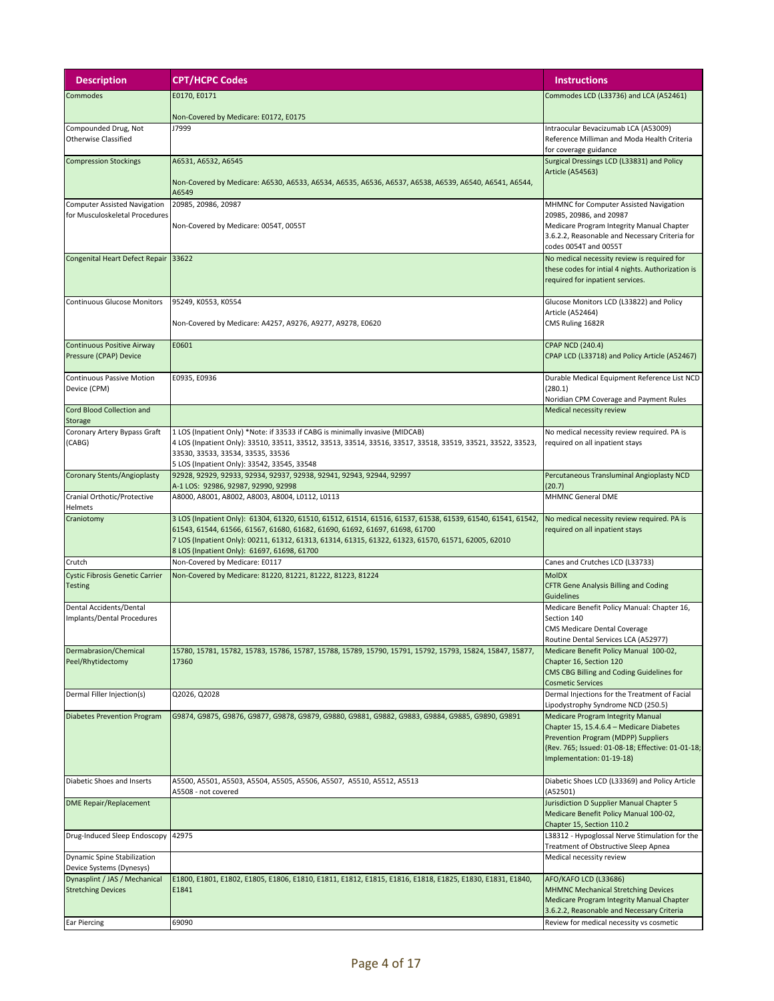| <b>Description</b>                                                    | <b>CPT/HCPC Codes</b>                                                                                                                                                                                                                                                                                                                            | <b>Instructions</b>                                                                                                                                                                                           |
|-----------------------------------------------------------------------|--------------------------------------------------------------------------------------------------------------------------------------------------------------------------------------------------------------------------------------------------------------------------------------------------------------------------------------------------|---------------------------------------------------------------------------------------------------------------------------------------------------------------------------------------------------------------|
| Commodes                                                              | E0170, E0171                                                                                                                                                                                                                                                                                                                                     | Commodes LCD (L33736) and LCA (A52461)                                                                                                                                                                        |
|                                                                       | Non-Covered by Medicare: E0172, E0175                                                                                                                                                                                                                                                                                                            |                                                                                                                                                                                                               |
| Compounded Drug, Not<br><b>Otherwise Classified</b>                   | J7999                                                                                                                                                                                                                                                                                                                                            | Intraocular Bevacizumab LCA (A53009)<br>Reference Milliman and Moda Health Criteria<br>for coverage guidance                                                                                                  |
| <b>Compression Stockings</b>                                          | A6531, A6532, A6545                                                                                                                                                                                                                                                                                                                              | Surgical Dressings LCD (L33831) and Policy<br><b>Article (A54563)</b>                                                                                                                                         |
|                                                                       | Non-Covered by Medicare: A6530, A6533, A6534, A6535, A6536, A6537, A6538, A6539, A6540, A6541, A6544,<br>A6549                                                                                                                                                                                                                                   |                                                                                                                                                                                                               |
| <b>Computer Assisted Navigation</b><br>for Musculoskeletal Procedures | 20985, 20986, 20987                                                                                                                                                                                                                                                                                                                              | MHMNC for Computer Assisted Navigation<br>20985, 20986, and 20987                                                                                                                                             |
|                                                                       | Non-Covered by Medicare: 0054T, 0055T                                                                                                                                                                                                                                                                                                            | Medicare Program Integrity Manual Chapter<br>3.6.2.2, Reasonable and Necessary Criteria for<br>codes 0054T and 0055T                                                                                          |
| Congenital Heart Defect Repair 33622                                  |                                                                                                                                                                                                                                                                                                                                                  | No medical necessity review is required for<br>these codes for intial 4 nights. Authorization is<br>required for inpatient services.                                                                          |
| <b>Continuous Glucose Monitors</b>                                    | 95249, K0553, K0554                                                                                                                                                                                                                                                                                                                              | Glucose Monitors LCD (L33822) and Policy<br>Article (A52464)                                                                                                                                                  |
|                                                                       | Non-Covered by Medicare: A4257, A9276, A9277, A9278, E0620                                                                                                                                                                                                                                                                                       | CMS Ruling 1682R                                                                                                                                                                                              |
| Continuous Positive Airway<br>Pressure (CPAP) Device                  | E0601                                                                                                                                                                                                                                                                                                                                            | <b>CPAP NCD (240.4)</b><br>CPAP LCD (L33718) and Policy Article (A52467)                                                                                                                                      |
| <b>Continuous Passive Motion</b><br>Device (CPM)                      | E0935, E0936                                                                                                                                                                                                                                                                                                                                     | Durable Medical Equipment Reference List NCD<br>(280.1)                                                                                                                                                       |
| Cord Blood Collection and                                             |                                                                                                                                                                                                                                                                                                                                                  | Noridian CPM Coverage and Payment Rules<br>Medical necessity review                                                                                                                                           |
| <b>Storage</b><br>Coronary Artery Bypass Graft<br>(CABG)              | 1 LOS (Inpatient Only) *Note: if 33533 if CABG is minimally invasive (MIDCAB)<br>4 LOS (Inpatient Only): 33510, 33511, 33512, 33513, 33514, 33516, 33517, 33518, 33519, 33521, 33522, 33523,                                                                                                                                                     | No medical necessity review required. PA is<br>required on all inpatient stays                                                                                                                                |
|                                                                       | 33530, 33533, 33534, 33535, 33536<br>5 LOS (Inpatient Only): 33542, 33545, 33548                                                                                                                                                                                                                                                                 |                                                                                                                                                                                                               |
| Coronary Stents/Angioplasty                                           | 92928, 92929, 92933, 92934, 92937, 92938, 92941, 92943, 92944, 92997<br>A-1 LOS: 92986, 92987, 92990, 92998                                                                                                                                                                                                                                      | Percutaneous Transluminal Angioplasty NCD<br>(20.7)                                                                                                                                                           |
| Cranial Orthotic/Protective<br>Helmets                                | A8000, A8001, A8002, A8003, A8004, L0112, L0113                                                                                                                                                                                                                                                                                                  | <b>MHMNC General DME</b>                                                                                                                                                                                      |
| Craniotomy                                                            | 3 LOS (Inpatient Only): 61304, 61320, 61510, 61512, 61514, 61516, 61537, 61538, 61539, 61540, 61541, 61542,<br>61543, 61544, 61566, 61567, 61680, 61682, 61690, 61692, 61697, 61698, 61700<br>7 LOS (Inpatient Only): 00211, 61312, 61313, 61314, 61315, 61322, 61323, 61570, 61571, 62005, 62010<br>8 LOS (Inpatient Only): 61697, 61698, 61700 | No medical necessity review required. PA is<br>required on all inpatient stays                                                                                                                                |
| Crutch                                                                | Non-Covered by Medicare: E0117                                                                                                                                                                                                                                                                                                                   | Canes and Crutches LCD (L33733)                                                                                                                                                                               |
| <b>Cystic Fibrosis Genetic Carrier</b><br>Testing                     | Non-Covered by Medicare: 81220, 81221, 81222, 81223, 81224                                                                                                                                                                                                                                                                                       | <b>MoIDX</b><br><b>CFTR Gene Analysis Billing and Coding</b><br>Guidelines                                                                                                                                    |
| Dental Accidents/Dental<br>Implants/Dental Procedures                 |                                                                                                                                                                                                                                                                                                                                                  | Medicare Benefit Policy Manual: Chapter 16,<br>Section 140<br><b>CMS Medicare Dental Coverage</b><br>Routine Dental Services LCA (A52977)                                                                     |
| Dermabrasion/Chemical<br>Peel/Rhytidectomy                            | 15780, 15781, 15782, 15783, 15786, 15787, 15788, 15789, 15790, 15791, 15792, 15793, 15824, 15847, 15877,<br>17360                                                                                                                                                                                                                                | Medicare Benefit Policy Manual 100-02,<br>Chapter 16, Section 120<br>CMS CBG Billing and Coding Guidelines for<br><b>Cosmetic Services</b>                                                                    |
| Dermal Filler Injection(s)                                            | Q2026, Q2028                                                                                                                                                                                                                                                                                                                                     | Dermal Injections for the Treatment of Facial<br>Lipodystrophy Syndrome NCD (250.5)                                                                                                                           |
| <b>Diabetes Prevention Program</b>                                    | G9874, G9875, G9876, G9877, G9878, G9879, G9880, G9881, G9882, G9883, G9884, G9885, G9890, G9891                                                                                                                                                                                                                                                 | <b>Medicare Program Integrity Manual</b><br>Chapter 15, 15.4.6.4 - Medicare Diabetes<br>Prevention Program (MDPP) Suppliers<br>(Rev. 765; Issued: 01-08-18; Effective: 01-01-18;<br>Implementation: 01-19-18) |
| Diabetic Shoes and Inserts                                            | A5500, A5501, A5503, A5504, A5505, A5506, A5507, A5510, A5512, A5513<br>A5508 - not covered                                                                                                                                                                                                                                                      | Diabetic Shoes LCD (L33369) and Policy Article<br>(A52501)                                                                                                                                                    |
| <b>DME Repair/Replacement</b>                                         |                                                                                                                                                                                                                                                                                                                                                  | Jurisdiction D Supplier Manual Chapter 5<br>Medicare Benefit Policy Manual 100-02,<br>Chapter 15, Section 110.2                                                                                               |
| Drug-Induced Sleep Endoscopy                                          | 42975                                                                                                                                                                                                                                                                                                                                            | L38312 - Hypoglossal Nerve Stimulation for the<br>Treatment of Obstructive Sleep Apnea                                                                                                                        |
| Dynamic Spine Stabilization<br>Device Systems (Dynesys)               |                                                                                                                                                                                                                                                                                                                                                  | Medical necessity review                                                                                                                                                                                      |
| Dynasplint / JAS / Mechanical<br><b>Stretching Devices</b>            | E1800, E1801, E1802, E1805, E1806, E1810, E1811, E1812, E1815, E1816, E1818, E1825, E1830, E1831, E1840,<br>E1841                                                                                                                                                                                                                                | AFO/KAFO LCD (L33686)<br><b>MHMNC Mechanical Stretching Devices</b><br>Medicare Program Integrity Manual Chapter                                                                                              |
| <b>Ear Piercing</b>                                                   | 69090                                                                                                                                                                                                                                                                                                                                            | 3.6.2.2, Reasonable and Necessary Criteria<br>Review for medical necessity vs cosmetic                                                                                                                        |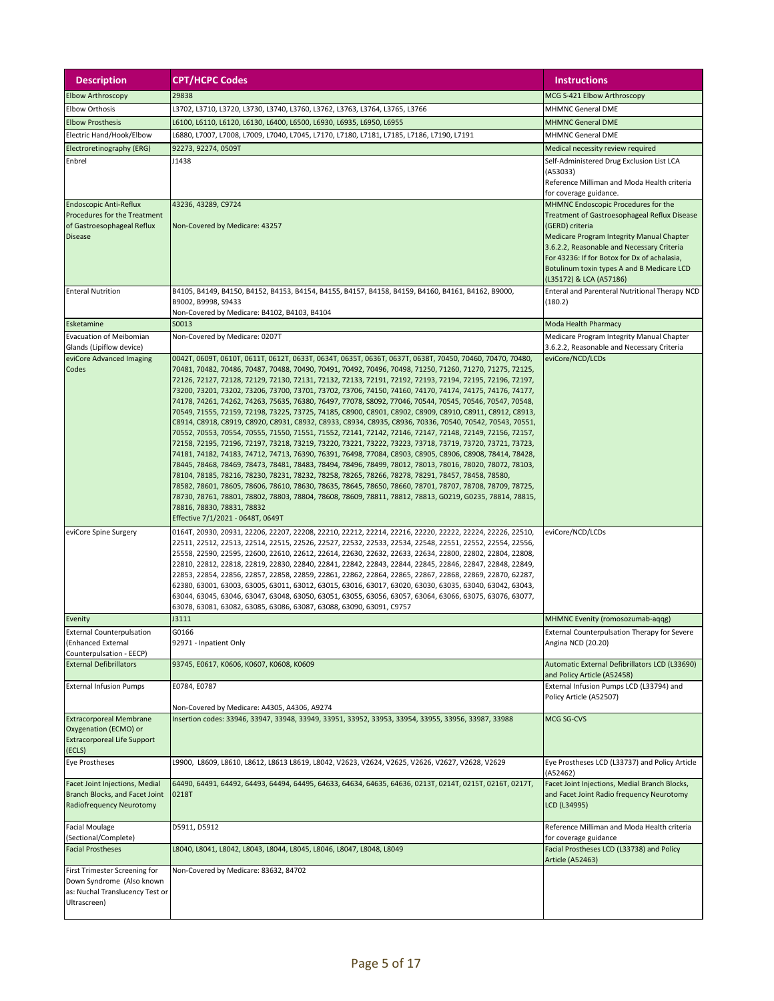| <b>Description</b>                                                                                            | <b>CPT/HCPC Codes</b>                                                                                                                                                                                                                                                                                                                                                                                                                                                                                                                                                                                                                                                                                                                                                                                                                                                                                                                                                                                                                                                                                                                                                                                                                                                                                                                                                                                                                                                                                                                                                                                                            | <b>Instructions</b>                                                                                                                                                                                                                                                                                                                      |
|---------------------------------------------------------------------------------------------------------------|----------------------------------------------------------------------------------------------------------------------------------------------------------------------------------------------------------------------------------------------------------------------------------------------------------------------------------------------------------------------------------------------------------------------------------------------------------------------------------------------------------------------------------------------------------------------------------------------------------------------------------------------------------------------------------------------------------------------------------------------------------------------------------------------------------------------------------------------------------------------------------------------------------------------------------------------------------------------------------------------------------------------------------------------------------------------------------------------------------------------------------------------------------------------------------------------------------------------------------------------------------------------------------------------------------------------------------------------------------------------------------------------------------------------------------------------------------------------------------------------------------------------------------------------------------------------------------------------------------------------------------|------------------------------------------------------------------------------------------------------------------------------------------------------------------------------------------------------------------------------------------------------------------------------------------------------------------------------------------|
| <b>Elbow Arthroscopy</b>                                                                                      | 29838                                                                                                                                                                                                                                                                                                                                                                                                                                                                                                                                                                                                                                                                                                                                                                                                                                                                                                                                                                                                                                                                                                                                                                                                                                                                                                                                                                                                                                                                                                                                                                                                                            | MCG S-421 Elbow Arthroscopy                                                                                                                                                                                                                                                                                                              |
| <b>Elbow Orthosis</b>                                                                                         | L3702, L3710, L3720, L3730, L3740, L3760, L3762, L3763, L3764, L3765, L3766                                                                                                                                                                                                                                                                                                                                                                                                                                                                                                                                                                                                                                                                                                                                                                                                                                                                                                                                                                                                                                                                                                                                                                                                                                                                                                                                                                                                                                                                                                                                                      | <b>MHMNC General DME</b>                                                                                                                                                                                                                                                                                                                 |
| <b>Elbow Prosthesis</b>                                                                                       | L6100, L6110, L6120, L6130, L6400, L6500, L6930, L6935, L6950, L6955                                                                                                                                                                                                                                                                                                                                                                                                                                                                                                                                                                                                                                                                                                                                                                                                                                                                                                                                                                                                                                                                                                                                                                                                                                                                                                                                                                                                                                                                                                                                                             | <b>MHMNC General DME</b>                                                                                                                                                                                                                                                                                                                 |
| Electric Hand/Hook/Elbow                                                                                      | L6880, L7007, L7008, L7009, L7040, L7045, L7170, L7180, L7181, L7185, L7186, L7190, L7191                                                                                                                                                                                                                                                                                                                                                                                                                                                                                                                                                                                                                                                                                                                                                                                                                                                                                                                                                                                                                                                                                                                                                                                                                                                                                                                                                                                                                                                                                                                                        | <b>MHMNC General DME</b>                                                                                                                                                                                                                                                                                                                 |
| Electroretinography (ERG)                                                                                     | 92273, 92274, 0509T                                                                                                                                                                                                                                                                                                                                                                                                                                                                                                                                                                                                                                                                                                                                                                                                                                                                                                                                                                                                                                                                                                                                                                                                                                                                                                                                                                                                                                                                                                                                                                                                              | Medical necessity review required                                                                                                                                                                                                                                                                                                        |
| Enbrel                                                                                                        | J1438                                                                                                                                                                                                                                                                                                                                                                                                                                                                                                                                                                                                                                                                                                                                                                                                                                                                                                                                                                                                                                                                                                                                                                                                                                                                                                                                                                                                                                                                                                                                                                                                                            | Self-Administered Drug Exclusion List LCA<br>(A53033)<br>Reference Milliman and Moda Health criteria<br>for coverage guidance.                                                                                                                                                                                                           |
| <b>Endoscopic Anti-Reflux</b><br>Procedures for the Treatment<br>of Gastroesophageal Reflux<br><b>Disease</b> | 43236, 43289, C9724<br>Non-Covered by Medicare: 43257                                                                                                                                                                                                                                                                                                                                                                                                                                                                                                                                                                                                                                                                                                                                                                                                                                                                                                                                                                                                                                                                                                                                                                                                                                                                                                                                                                                                                                                                                                                                                                            | MHMNC Endoscopic Procedures for the<br><b>Treatment of Gastroesophageal Reflux Disease</b><br>(GERD) criteria<br><b>Medicare Program Integrity Manual Chapter</b><br>3.6.2.2, Reasonable and Necessary Criteria<br>For 43236: If for Botox for Dx of achalasia,<br>Botulinum toxin types A and B Medicare LCD<br>(L35172) & LCA (A57186) |
| <b>Enteral Nutrition</b>                                                                                      | B4105, B4149, B4150, B4152, B4153, B4154, B4155, B4157, B4158, B4159, B4160, B4161, B4162, B9000,<br>B9002, B9998, S9433<br>Non-Covered by Medicare: B4102, B4103, B4104                                                                                                                                                                                                                                                                                                                                                                                                                                                                                                                                                                                                                                                                                                                                                                                                                                                                                                                                                                                                                                                                                                                                                                                                                                                                                                                                                                                                                                                         | Enteral and Parenteral Nutritional Therapy NCD<br>(180.2)                                                                                                                                                                                                                                                                                |
| Esketamine                                                                                                    | S0013                                                                                                                                                                                                                                                                                                                                                                                                                                                                                                                                                                                                                                                                                                                                                                                                                                                                                                                                                                                                                                                                                                                                                                                                                                                                                                                                                                                                                                                                                                                                                                                                                            | Moda Health Pharmacy                                                                                                                                                                                                                                                                                                                     |
| Evacuation of Meibomian<br>Glands (Lipiflow device)                                                           | Non-Covered by Medicare: 0207T                                                                                                                                                                                                                                                                                                                                                                                                                                                                                                                                                                                                                                                                                                                                                                                                                                                                                                                                                                                                                                                                                                                                                                                                                                                                                                                                                                                                                                                                                                                                                                                                   | Medicare Program Integrity Manual Chapter<br>3.6.2.2, Reasonable and Necessary Criteria                                                                                                                                                                                                                                                  |
| eviCore Advanced Imaging<br>Codes                                                                             | 0042T, 0609T, 0610T, 0611T, 0612T, 0633T, 0634T, 0635T, 0636T, 0637T, 0638T, 70450, 70460, 70470, 70480,<br>70481, 70482, 70486, 70487, 70488, 70490, 70491, 70492, 70496, 70498, 71250, 71260, 71270, 71275, 72125,<br>72126, 72127, 72128, 72129, 72130, 72131, 72132, 72133, 72191, 72192, 72193, 72194, 72195, 72196, 72197,<br>73200, 73201, 73202, 73206, 73700, 73701, 73702, 73706, 74150, 74160, 74170, 74174, 74175, 74176, 74177,<br>74178, 74261, 74262, 74263, 75635, 76380, 76497, 77078, S8092, 77046, 70544, 70545, 70546, 70547, 70548,<br>70549, 71555, 72159, 72198, 73225, 73725, 74185, C8900, C8901, C8902, C8909, C8910, C8911, C8912, C8913,<br>C8914, C8918, C8919, C8920, C8931, C8932, C8933, C8934, C8935, C8936, 70336, 70540, 70542, 70543, 70551,<br>70552, 70553, 70554, 70555, 71550, 71551, 71552, 72141, 72142, 72146, 72147, 72148, 72149, 72156, 72157,<br>72158, 72195, 72196, 72197, 73218, 73219, 73220, 73221, 73222, 73223, 73718, 73719, 73720, 73721, 73723,<br>74181, 74182, 74183, 74712, 74713, 76390, 76391, 76498, 77084, C8903, C8905, C8906, C8908, 78414, 78428,<br>78445, 78468, 78469, 78473, 78481, 78483, 78494, 78496, 78499, 78012, 78013, 78016, 78020, 78072, 78103,<br>78104, 78185, 78216, 78230, 78231, 78232, 78258, 78265, 78266, 78278, 78291, 78457, 78458, 78580,<br>78582, 78601, 78605, 78606, 78610, 78630, 78635, 78645, 78650, 78660, 78701, 78707, 78708, 78709, 78725,<br>78730, 78761, 78801, 78802, 78803, 78804, 78608, 78609, 78811, 78812, 78813, G0219, G0235, 78814, 78815,<br>78816, 78830, 78831, 78832<br>Effective 7/1/2021 - 0648T, 0649T | eviCore/NCD/LCDs                                                                                                                                                                                                                                                                                                                         |
| eviCore Spine Surgery                                                                                         | 0164T, 20930, 20931, 22206, 22207, 22208, 22210, 22212, 22214, 22216, 22220, 22222, 22224, 22226, 22510,<br>22511, 22512, 22513, 22514, 22515, 22526, 22527, 22532, 22533, 22534, 22548, 22551, 22552, 22554, 22556,<br>25558, 22590, 22595, 22600, 22610, 22612, 22614, 22630, 22632, 22633, 22634, 22800, 22802, 22804, 22808,<br>22810, 22812, 22818, 22819, 22830, 22840, 22841, 22842, 22843, 22844, 22845, 22846, 22847, 22848, 22849,<br>22853, 22854, 22856, 22857, 22858, 22859, 22861, 22862, 22864, 22865, 22867, 22868, 22869, 22870, 62287,<br>62380, 63001, 63003, 63005, 63011, 63012, 63015, 63016, 63017, 63020, 63030, 63035, 63040, 63042, 63043,<br>63044, 63045, 63046, 63047, 63048, 63050, 63051, 63055, 63056, 63057, 63064, 63066, 63075, 63076, 63077,<br>63078, 63081, 63082, 63085, 63086, 63087, 63088, 63090, 63091, C9757                                                                                                                                                                                                                                                                                                                                                                                                                                                                                                                                                                                                                                                                                                                                                                         | eviCore/NCD/LCDs                                                                                                                                                                                                                                                                                                                         |
| Evenity                                                                                                       | J3111                                                                                                                                                                                                                                                                                                                                                                                                                                                                                                                                                                                                                                                                                                                                                                                                                                                                                                                                                                                                                                                                                                                                                                                                                                                                                                                                                                                                                                                                                                                                                                                                                            | MHMNC Evenity (romosozumab-aqqg)                                                                                                                                                                                                                                                                                                         |
| <b>External Counterpulsation</b><br>(Enhanced External<br>Counterpulsation - EECP)                            | G0166<br>92971 - Inpatient Only                                                                                                                                                                                                                                                                                                                                                                                                                                                                                                                                                                                                                                                                                                                                                                                                                                                                                                                                                                                                                                                                                                                                                                                                                                                                                                                                                                                                                                                                                                                                                                                                  | <b>External Counterpulsation Therapy for Severe</b><br>Angina NCD (20.20)                                                                                                                                                                                                                                                                |
| <b>External Defibrillators</b>                                                                                | 93745, E0617, K0606, K0607, K0608, K0609                                                                                                                                                                                                                                                                                                                                                                                                                                                                                                                                                                                                                                                                                                                                                                                                                                                                                                                                                                                                                                                                                                                                                                                                                                                                                                                                                                                                                                                                                                                                                                                         | Automatic External Defibrillators LCD (L33690)<br>and Policy Article (A52458)                                                                                                                                                                                                                                                            |
| <b>External Infusion Pumps</b>                                                                                | E0784, E0787<br>Non-Covered by Medicare: A4305, A4306, A9274                                                                                                                                                                                                                                                                                                                                                                                                                                                                                                                                                                                                                                                                                                                                                                                                                                                                                                                                                                                                                                                                                                                                                                                                                                                                                                                                                                                                                                                                                                                                                                     | External Infusion Pumps LCD (L33794) and<br>Policy Article (A52507)                                                                                                                                                                                                                                                                      |
| <b>Extracorporeal Membrane</b><br>Oxygenation (ECMO) or<br><b>Extracorporeal Life Support</b><br>(ECLS)       | Insertion codes: 33946, 33947, 33948, 33949, 33951, 33952, 33953, 33954, 33955, 33956, 33987, 33988                                                                                                                                                                                                                                                                                                                                                                                                                                                                                                                                                                                                                                                                                                                                                                                                                                                                                                                                                                                                                                                                                                                                                                                                                                                                                                                                                                                                                                                                                                                              | MCG SG-CVS                                                                                                                                                                                                                                                                                                                               |
| Eye Prostheses                                                                                                | L9900, L8609, L8610, L8612, L8613 L8619, L8042, V2623, V2624, V2625, V2626, V2627, V2628, V2629                                                                                                                                                                                                                                                                                                                                                                                                                                                                                                                                                                                                                                                                                                                                                                                                                                                                                                                                                                                                                                                                                                                                                                                                                                                                                                                                                                                                                                                                                                                                  | Eye Prostheses LCD (L33737) and Policy Article<br>(A52462)                                                                                                                                                                                                                                                                               |
| Facet Joint Injections, Medial<br>Branch Blocks, and Facet Joint<br>Radiofrequency Neurotomy                  | 64490, 64491, 64492, 64493, 64494, 64495, 64633, 64634, 64635, 64636, 0213T, 0214T, 0215T, 0216T, 0217T,<br>0218T                                                                                                                                                                                                                                                                                                                                                                                                                                                                                                                                                                                                                                                                                                                                                                                                                                                                                                                                                                                                                                                                                                                                                                                                                                                                                                                                                                                                                                                                                                                | Facet Joint Injections, Medial Branch Blocks,<br>and Facet Joint Radio frequency Neurotomy<br>LCD (L34995)                                                                                                                                                                                                                               |
| <b>Facial Moulage</b><br>(Sectional/Complete)                                                                 | D5911, D5912                                                                                                                                                                                                                                                                                                                                                                                                                                                                                                                                                                                                                                                                                                                                                                                                                                                                                                                                                                                                                                                                                                                                                                                                                                                                                                                                                                                                                                                                                                                                                                                                                     | Reference Milliman and Moda Health criteria<br>for coverage guidance                                                                                                                                                                                                                                                                     |
| <b>Facial Prostheses</b>                                                                                      | L8040, L8041, L8042, L8043, L8044, L8045, L8046, L8047, L8048, L8049                                                                                                                                                                                                                                                                                                                                                                                                                                                                                                                                                                                                                                                                                                                                                                                                                                                                                                                                                                                                                                                                                                                                                                                                                                                                                                                                                                                                                                                                                                                                                             | Facial Prostheses LCD (L33738) and Policy<br><b>Article (A52463)</b>                                                                                                                                                                                                                                                                     |
| First Trimester Screening for<br>Down Syndrome (Also known<br>as: Nuchal Translucency Test or<br>Ultrascreen) | Non-Covered by Medicare: 83632, 84702                                                                                                                                                                                                                                                                                                                                                                                                                                                                                                                                                                                                                                                                                                                                                                                                                                                                                                                                                                                                                                                                                                                                                                                                                                                                                                                                                                                                                                                                                                                                                                                            |                                                                                                                                                                                                                                                                                                                                          |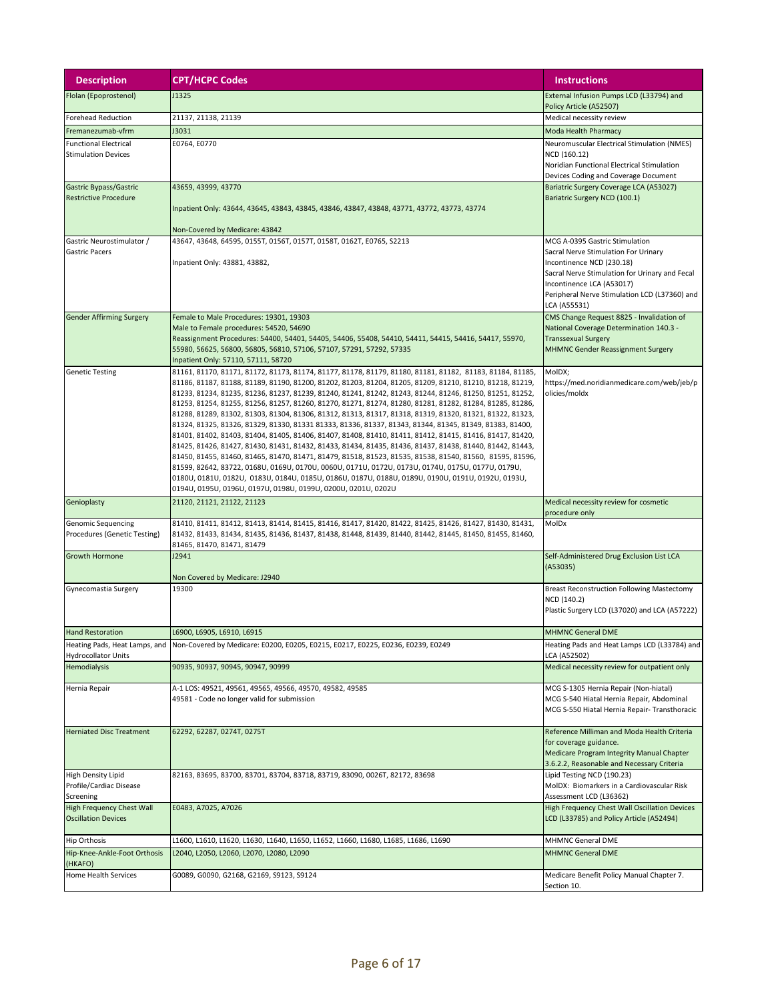| <b>Description</b>                                          | <b>CPT/HCPC Codes</b>                                                                                                                                                                                                                                                                                                                                                                                                                                                                                                                                                                                                                                                                                                                                                                                                                                                                                                                                                                                                                                                                                                                                                                                                                                                              | <b>Instructions</b>                                                                                                                                                                                                                                 |
|-------------------------------------------------------------|------------------------------------------------------------------------------------------------------------------------------------------------------------------------------------------------------------------------------------------------------------------------------------------------------------------------------------------------------------------------------------------------------------------------------------------------------------------------------------------------------------------------------------------------------------------------------------------------------------------------------------------------------------------------------------------------------------------------------------------------------------------------------------------------------------------------------------------------------------------------------------------------------------------------------------------------------------------------------------------------------------------------------------------------------------------------------------------------------------------------------------------------------------------------------------------------------------------------------------------------------------------------------------|-----------------------------------------------------------------------------------------------------------------------------------------------------------------------------------------------------------------------------------------------------|
| Flolan (Epoprostenol)                                       | J1325                                                                                                                                                                                                                                                                                                                                                                                                                                                                                                                                                                                                                                                                                                                                                                                                                                                                                                                                                                                                                                                                                                                                                                                                                                                                              | External Infusion Pumps LCD (L33794) and<br>Policy Article (A52507)                                                                                                                                                                                 |
| <b>Forehead Reduction</b>                                   | 21137, 21138, 21139                                                                                                                                                                                                                                                                                                                                                                                                                                                                                                                                                                                                                                                                                                                                                                                                                                                                                                                                                                                                                                                                                                                                                                                                                                                                | Medical necessity review                                                                                                                                                                                                                            |
| Fremanezumab-vfrm                                           | J3031                                                                                                                                                                                                                                                                                                                                                                                                                                                                                                                                                                                                                                                                                                                                                                                                                                                                                                                                                                                                                                                                                                                                                                                                                                                                              | Moda Health Pharmacy                                                                                                                                                                                                                                |
| <b>Functional Electrical</b><br><b>Stimulation Devices</b>  | E0764, E0770                                                                                                                                                                                                                                                                                                                                                                                                                                                                                                                                                                                                                                                                                                                                                                                                                                                                                                                                                                                                                                                                                                                                                                                                                                                                       | Neuromuscular Electrical Stimulation (NMES)<br>NCD (160.12)<br>Noridian Functional Electrical Stimulation<br>Devices Coding and Coverage Document                                                                                                   |
| Gastric Bypass/Gastric<br><b>Restrictive Procedure</b>      | 43659, 43999, 43770<br>Inpatient Only: 43644, 43645, 43843, 43845, 43846, 43847, 43848, 43771, 43772, 43773, 43774<br>Non-Covered by Medicare: 43842                                                                                                                                                                                                                                                                                                                                                                                                                                                                                                                                                                                                                                                                                                                                                                                                                                                                                                                                                                                                                                                                                                                               | Bariatric Surgery Coverage LCA (A53027)<br>Bariatric Surgery NCD (100.1)                                                                                                                                                                            |
| Gastric Neurostimulator /<br><b>Gastric Pacers</b>          | 43647, 43648, 64595, 0155T, 0156T, 0157T, 0158T, 0162T, E0765, S2213<br>Inpatient Only: 43881, 43882,                                                                                                                                                                                                                                                                                                                                                                                                                                                                                                                                                                                                                                                                                                                                                                                                                                                                                                                                                                                                                                                                                                                                                                              | MCG A-0395 Gastric Stimulation<br>Sacral Nerve Stimulation For Urinary<br>Incontinence NCD (230.18)<br>Sacral Nerve Stimulation for Urinary and Fecal<br>Incontinence LCA (A53017)<br>Peripheral Nerve Stimulation LCD (L37360) and<br>LCA (A55531) |
| <b>Gender Affirming Surgery</b>                             | Female to Male Procedures: 19301, 19303<br>Male to Female procedures: 54520, 54690<br>Reassignment Procedures: 54400, 54401, 54405, 54406, 55408, 54410, 54411, 54415, 54416, 54417, 55970,<br>55980, 56625, 56800, 56805, 56810, 57106, 57107, 57291, 57292, 57335<br>Inpatient Only: 57110, 57111, 58720                                                                                                                                                                                                                                                                                                                                                                                                                                                                                                                                                                                                                                                                                                                                                                                                                                                                                                                                                                         | CMS Change Request 8825 - Invalidation of<br>National Coverage Determination 140.3 -<br><b>Transsexual Surgery</b><br><b>MHMNC Gender Reassignment Surgery</b>                                                                                      |
| <b>Genetic Testing</b>                                      | 81161, 81170, 81171, 81172, 81173, 81174, 81177, 81178, 81179, 81180, 81181, 81182, 81183, 81184, 81185,<br>81186, 81187, 81188, 81189, 81190, 81200, 81202, 81203, 81204, 81205, 81209, 81210, 81210, 81218, 81219,<br>81233, 81234, 81235, 81236, 81237, 81239, 81240, 81241, 81242, 81243, 81244, 81246, 81250, 81251, 81252,<br>81253, 81254, 81255, 81256, 81257, 81260, 81270, 81271, 81274, 81280, 81281, 81282, 81284, 81285, 81286,<br>81288, 81289, 81302, 81303, 81304, 81306, 81312, 81313, 81317, 81318, 81319, 81320, 81321, 81322, 81323,<br>81324, 81325, 81326, 81329, 81330, 81331 81333, 81336, 81337, 81343, 81344, 81345, 81349, 81383, 81400,<br>81401, 81402, 81403, 81404, 81405, 81406, 81407, 81408, 81410, 81411, 81412, 81415, 81416, 81417, 81420,<br>81425, 81426, 81427, 81430, 81431, 81432, 81433, 81434, 81435, 81436, 81437, 81438, 81440, 81442, 81443,<br>81450, 81455, 81460, 81465, 81470, 81471, 81479, 81518, 81523, 81535, 81538, 81540, 81560, 81595, 81596,<br>81599, 82642, 83722, 0168U, 0169U, 0170U, 0060U, 0171U, 0172U, 0173U, 0174U, 0175U, 0177U, 0179U,<br>0180U, 0181U, 0182U, 0183U, 0184U, 0185U, 0186U, 0187U, 0188U, 0189U, 0190U, 0191U, 0192U, 0193U,<br>0194U, 0195U, 0196U, 0197U, 0198U, 0199U, 0200U, 0201U, 0202U | MoIDX;<br>https://med.noridianmedicare.com/web/jeb/p<br>olicies/moldx                                                                                                                                                                               |
| Genioplasty                                                 | 21120, 21121, 21122, 21123                                                                                                                                                                                                                                                                                                                                                                                                                                                                                                                                                                                                                                                                                                                                                                                                                                                                                                                                                                                                                                                                                                                                                                                                                                                         | Medical necessity review for cosmetic<br>procedure only                                                                                                                                                                                             |
| <b>Genomic Sequencing</b><br>Procedures (Genetic Testing)   | 81410, 81411, 81412, 81413, 81414, 81415, 81416, 81417, 81420, 81422, 81425, 81426, 81427, 81430, 81431,<br>81432, 81433, 81434, 81435, 81436, 81437, 81438, 81448, 81439, 81440, 81442, 81445, 81450, 81455, 81460,<br>81465, 81470, 81471, 81479                                                                                                                                                                                                                                                                                                                                                                                                                                                                                                                                                                                                                                                                                                                                                                                                                                                                                                                                                                                                                                 | MolDx                                                                                                                                                                                                                                               |
| <b>Growth Hormone</b>                                       | J2941<br>Non Covered by Medicare: J2940                                                                                                                                                                                                                                                                                                                                                                                                                                                                                                                                                                                                                                                                                                                                                                                                                                                                                                                                                                                                                                                                                                                                                                                                                                            | Self-Administered Drug Exclusion List LCA<br>(A53035)                                                                                                                                                                                               |
| Gynecomastia Surgery                                        | 19300                                                                                                                                                                                                                                                                                                                                                                                                                                                                                                                                                                                                                                                                                                                                                                                                                                                                                                                                                                                                                                                                                                                                                                                                                                                                              | <b>Breast Reconstruction Following Mastectomy</b><br>NCD (140.2)<br>Plastic Surgery LCD (L37020) and LCA (A57222)                                                                                                                                   |
| <b>Hand Restoration</b>                                     | L6900, L6905, L6910, L6915                                                                                                                                                                                                                                                                                                                                                                                                                                                                                                                                                                                                                                                                                                                                                                                                                                                                                                                                                                                                                                                                                                                                                                                                                                                         | <b>MHMNC General DME</b>                                                                                                                                                                                                                            |
| Heating Pads, Heat Lamps, and<br><b>Hydrocollator Units</b> | Non-Covered by Medicare: E0200, E0205, E0215, E0217, E0225, E0236, E0239, E0249                                                                                                                                                                                                                                                                                                                                                                                                                                                                                                                                                                                                                                                                                                                                                                                                                                                                                                                                                                                                                                                                                                                                                                                                    | Heating Pads and Heat Lamps LCD (L33784) and<br>LCA (A52502)                                                                                                                                                                                        |
| Hemodialysis                                                | 90935, 90937, 90945, 90947, 90999                                                                                                                                                                                                                                                                                                                                                                                                                                                                                                                                                                                                                                                                                                                                                                                                                                                                                                                                                                                                                                                                                                                                                                                                                                                  | Medical necessity review for outpatient only                                                                                                                                                                                                        |
| Hernia Repair                                               | A-1 LOS: 49521, 49561, 49565, 49566, 49570, 49582, 49585<br>49581 - Code no longer valid for submission                                                                                                                                                                                                                                                                                                                                                                                                                                                                                                                                                                                                                                                                                                                                                                                                                                                                                                                                                                                                                                                                                                                                                                            | MCG S-1305 Hernia Repair (Non-hiatal)<br>MCG S-540 Hiatal Hernia Repair, Abdominal<br>MCG S-550 Hiatal Hernia Repair- Transthoracic                                                                                                                 |
| <b>Herniated Disc Treatment</b>                             | 62292, 62287, 0274T, 0275T                                                                                                                                                                                                                                                                                                                                                                                                                                                                                                                                                                                                                                                                                                                                                                                                                                                                                                                                                                                                                                                                                                                                                                                                                                                         | Reference Milliman and Moda Health Criteria<br>for coverage guidance.<br>Medicare Program Integrity Manual Chapter<br>3.6.2.2, Reasonable and Necessary Criteria                                                                                    |
| High Density Lipid<br>Profile/Cardiac Disease<br>Screening  | 82163, 83695, 83700, 83701, 83704, 83718, 83719, 83090, 0026T, 82172, 83698                                                                                                                                                                                                                                                                                                                                                                                                                                                                                                                                                                                                                                                                                                                                                                                                                                                                                                                                                                                                                                                                                                                                                                                                        | Lipid Testing NCD (190.23)<br>MolDX: Biomarkers in a Cardiovascular Risk<br>Assessment LCD (L36362)                                                                                                                                                 |
| High Frequency Chest Wall<br><b>Oscillation Devices</b>     | E0483, A7025, A7026                                                                                                                                                                                                                                                                                                                                                                                                                                                                                                                                                                                                                                                                                                                                                                                                                                                                                                                                                                                                                                                                                                                                                                                                                                                                | High Frequency Chest Wall Oscillation Devices<br>LCD (L33785) and Policy Article (A52494)                                                                                                                                                           |
| <b>Hip Orthosis</b>                                         | L1600, L1610, L1620, L1630, L1640, L1650, L1652, L1660, L1680, L1685, L1686, L1690                                                                                                                                                                                                                                                                                                                                                                                                                                                                                                                                                                                                                                                                                                                                                                                                                                                                                                                                                                                                                                                                                                                                                                                                 | MHMNC General DME                                                                                                                                                                                                                                   |
| Hip-Knee-Ankle-Foot Orthosis<br>(HKAFO)                     | L2040, L2050, L2060, L2070, L2080, L2090                                                                                                                                                                                                                                                                                                                                                                                                                                                                                                                                                                                                                                                                                                                                                                                                                                                                                                                                                                                                                                                                                                                                                                                                                                           | <b>MHMNC General DME</b>                                                                                                                                                                                                                            |
| <b>Home Health Services</b>                                 | G0089, G0090, G2168, G2169, S9123, S9124                                                                                                                                                                                                                                                                                                                                                                                                                                                                                                                                                                                                                                                                                                                                                                                                                                                                                                                                                                                                                                                                                                                                                                                                                                           | Medicare Benefit Policy Manual Chapter 7.<br>Section 10.                                                                                                                                                                                            |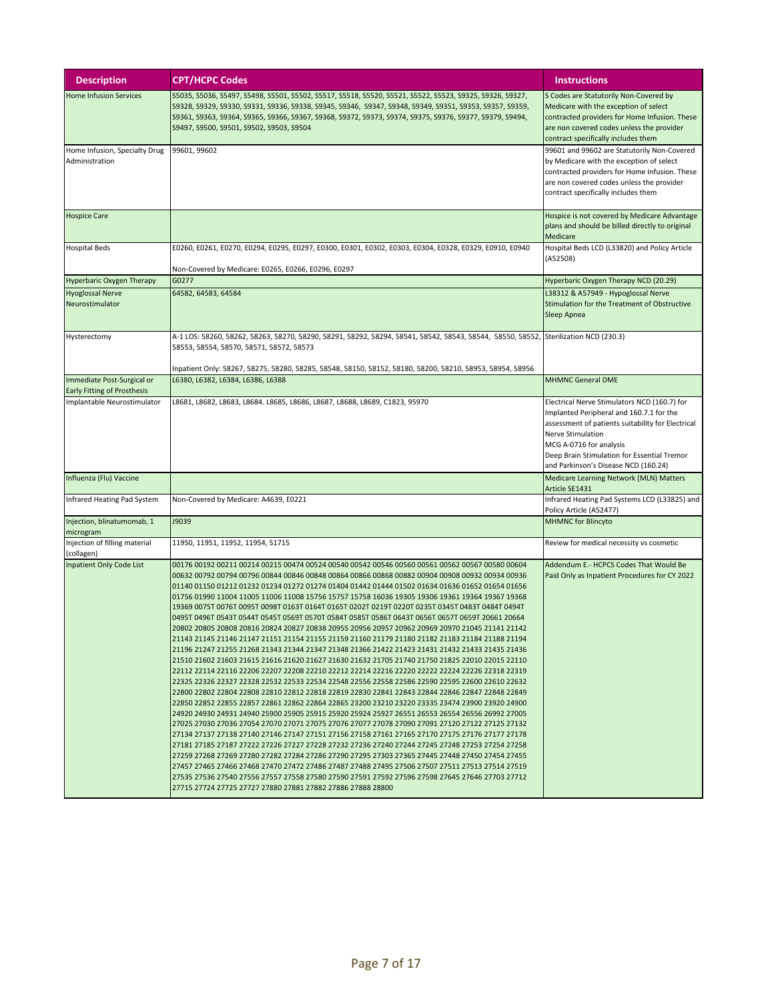| <b>Description</b>                              | <b>CPT/HCPC Codes</b>                                                                                                                                                                                                                                                                                                                                                                                                                                                                                                                                                                                                                                                                                                                                                                                                                                                                                                                                                                                                                                                                                                                                                                                                                                                                                                                                                                                                                                                                                                                                                                                                                                                                                                                                                                                                                                                                                                                                                                                                                                                                                                                                                                                                      | <b>Instructions</b>                                                                                                                                                                                                                                                                  |
|-------------------------------------------------|----------------------------------------------------------------------------------------------------------------------------------------------------------------------------------------------------------------------------------------------------------------------------------------------------------------------------------------------------------------------------------------------------------------------------------------------------------------------------------------------------------------------------------------------------------------------------------------------------------------------------------------------------------------------------------------------------------------------------------------------------------------------------------------------------------------------------------------------------------------------------------------------------------------------------------------------------------------------------------------------------------------------------------------------------------------------------------------------------------------------------------------------------------------------------------------------------------------------------------------------------------------------------------------------------------------------------------------------------------------------------------------------------------------------------------------------------------------------------------------------------------------------------------------------------------------------------------------------------------------------------------------------------------------------------------------------------------------------------------------------------------------------------------------------------------------------------------------------------------------------------------------------------------------------------------------------------------------------------------------------------------------------------------------------------------------------------------------------------------------------------------------------------------------------------------------------------------------------------|--------------------------------------------------------------------------------------------------------------------------------------------------------------------------------------------------------------------------------------------------------------------------------------|
| <b>Home Infusion Services</b>                   | S5035, S5036, S5497, S5498, S5501, S5502, S5517, S5518, S5520, S5521, S5522, S5523, S9325, S9326, S9327,<br>S9328, S9329, S9330, S9331, S9336, S9338, S9345, S9346,  S9347, S9348, S9349, S9351, S9353, S9357, S9359,<br>S9361, S9363, S9364, S9365, S9366, S9367, S9368, S9372, S9373, S9374, S9375, S9376, S9377, S9379, S9494,<br>S9497, S9500, S9501, S9502, S9503, S9504                                                                                                                                                                                                                                                                                                                                                                                                                                                                                                                                                                                                                                                                                                                                                                                                                                                                                                                                                                                                                                                                                                                                                                                                                                                                                                                                                                                                                                                                                                                                                                                                                                                                                                                                                                                                                                              | S Codes are Statutorily Non-Covered by<br>Medicare with the exception of select<br>contracted providers for Home Infusion. These<br>are non covered codes unless the provider<br>contract specifically includes them                                                                 |
| Home Infusion, Specialty Drug<br>Administration | 99601, 99602                                                                                                                                                                                                                                                                                                                                                                                                                                                                                                                                                                                                                                                                                                                                                                                                                                                                                                                                                                                                                                                                                                                                                                                                                                                                                                                                                                                                                                                                                                                                                                                                                                                                                                                                                                                                                                                                                                                                                                                                                                                                                                                                                                                                               | 99601 and 99602 are Statutorily Non-Covered<br>by Medicare with the exception of select<br>contracted providers for Home Infusion. These<br>are non covered codes unless the provider<br>contract specifically includes them                                                         |
| <b>Hospice Care</b>                             |                                                                                                                                                                                                                                                                                                                                                                                                                                                                                                                                                                                                                                                                                                                                                                                                                                                                                                                                                                                                                                                                                                                                                                                                                                                                                                                                                                                                                                                                                                                                                                                                                                                                                                                                                                                                                                                                                                                                                                                                                                                                                                                                                                                                                            | Hospice is not covered by Medicare Advantage<br>plans and should be billed directly to original<br>Medicare                                                                                                                                                                          |
| <b>Hospital Beds</b>                            | E0260, E0261, E0270, E0294, E0295, E0297, E0300, E0301, E0302, E0303, E0304, E0328, E0329, E0910, E0940<br>Non-Covered by Medicare: E0265, E0266, E0296, E0297                                                                                                                                                                                                                                                                                                                                                                                                                                                                                                                                                                                                                                                                                                                                                                                                                                                                                                                                                                                                                                                                                                                                                                                                                                                                                                                                                                                                                                                                                                                                                                                                                                                                                                                                                                                                                                                                                                                                                                                                                                                             | Hospital Beds LCD (L33820) and Policy Article<br>(A52508)                                                                                                                                                                                                                            |
| <b>Hyperbaric Oxygen Therapy</b>                | G0277                                                                                                                                                                                                                                                                                                                                                                                                                                                                                                                                                                                                                                                                                                                                                                                                                                                                                                                                                                                                                                                                                                                                                                                                                                                                                                                                                                                                                                                                                                                                                                                                                                                                                                                                                                                                                                                                                                                                                                                                                                                                                                                                                                                                                      | Hyperbaric Oxygen Therapy NCD (20.29)                                                                                                                                                                                                                                                |
| <b>Hyoglossal Nerve</b><br>Neurostimulator      | 64582, 64583, 64584                                                                                                                                                                                                                                                                                                                                                                                                                                                                                                                                                                                                                                                                                                                                                                                                                                                                                                                                                                                                                                                                                                                                                                                                                                                                                                                                                                                                                                                                                                                                                                                                                                                                                                                                                                                                                                                                                                                                                                                                                                                                                                                                                                                                        | L38312 & A57949 - Hypoglossal Nerve<br>Stimulation for the Treatment of Obstructive<br>Sleep Apnea                                                                                                                                                                                   |
| Hysterectomy                                    | A-1 LOS: 58260, 58262, 58263, 58270, 58290, 58291, 58292, 58294, 58541, 58542, 58543, 58544,  58550, 58552, Sterilization NCD (230.3)<br>58553, 58554, 58570, 58571, 58572, 58573                                                                                                                                                                                                                                                                                                                                                                                                                                                                                                                                                                                                                                                                                                                                                                                                                                                                                                                                                                                                                                                                                                                                                                                                                                                                                                                                                                                                                                                                                                                                                                                                                                                                                                                                                                                                                                                                                                                                                                                                                                          |                                                                                                                                                                                                                                                                                      |
| Immediate Post-Surgical or                      | Inpatient Only: 58267, 58275, 58280, 58285, 58548, 58150, 58152, 58180, 58200, 58210, 58953, 58954, 58956<br>L6380, L6382, L6384, L6386, L6388                                                                                                                                                                                                                                                                                                                                                                                                                                                                                                                                                                                                                                                                                                                                                                                                                                                                                                                                                                                                                                                                                                                                                                                                                                                                                                                                                                                                                                                                                                                                                                                                                                                                                                                                                                                                                                                                                                                                                                                                                                                                             | <b>MHMNC General DME</b>                                                                                                                                                                                                                                                             |
| <b>Early Fitting of Prosthesis</b>              |                                                                                                                                                                                                                                                                                                                                                                                                                                                                                                                                                                                                                                                                                                                                                                                                                                                                                                                                                                                                                                                                                                                                                                                                                                                                                                                                                                                                                                                                                                                                                                                                                                                                                                                                                                                                                                                                                                                                                                                                                                                                                                                                                                                                                            |                                                                                                                                                                                                                                                                                      |
| Implantable Neurostimulator                     | L8681, L8682, L8683, L8684. L8685, L8686, L8687, L8688, L8689, C1823, 95970                                                                                                                                                                                                                                                                                                                                                                                                                                                                                                                                                                                                                                                                                                                                                                                                                                                                                                                                                                                                                                                                                                                                                                                                                                                                                                                                                                                                                                                                                                                                                                                                                                                                                                                                                                                                                                                                                                                                                                                                                                                                                                                                                | Electrical Nerve Stimulators NCD (160.7) for<br>Implanted Peripheral and 160.7.1 for the<br>assessment of patients suitability for Electrical<br>Nerve Stimulation<br>MCG A-0716 for analysis<br>Deep Brain Stimulation for Essential Tremor<br>and Parkinson's Disease NCD (160.24) |
| Influenza (Flu) Vaccine                         |                                                                                                                                                                                                                                                                                                                                                                                                                                                                                                                                                                                                                                                                                                                                                                                                                                                                                                                                                                                                                                                                                                                                                                                                                                                                                                                                                                                                                                                                                                                                                                                                                                                                                                                                                                                                                                                                                                                                                                                                                                                                                                                                                                                                                            | Medicare Learning Network (MLN) Matters<br>Article SE1431                                                                                                                                                                                                                            |
| Infrared Heating Pad System                     | Non-Covered by Medicare: A4639, E0221                                                                                                                                                                                                                                                                                                                                                                                                                                                                                                                                                                                                                                                                                                                                                                                                                                                                                                                                                                                                                                                                                                                                                                                                                                                                                                                                                                                                                                                                                                                                                                                                                                                                                                                                                                                                                                                                                                                                                                                                                                                                                                                                                                                      | Infrared Heating Pad Systems LCD (L33825) and<br>Policy Article (A52477)                                                                                                                                                                                                             |
| Injection, blinatumomab, 1<br>microgram         | J9039                                                                                                                                                                                                                                                                                                                                                                                                                                                                                                                                                                                                                                                                                                                                                                                                                                                                                                                                                                                                                                                                                                                                                                                                                                                                                                                                                                                                                                                                                                                                                                                                                                                                                                                                                                                                                                                                                                                                                                                                                                                                                                                                                                                                                      | <b>MHMNC</b> for Blincyto                                                                                                                                                                                                                                                            |
| Injection of filling material<br>(collagen)     | 11950, 11951, 11952, 11954, 51715                                                                                                                                                                                                                                                                                                                                                                                                                                                                                                                                                                                                                                                                                                                                                                                                                                                                                                                                                                                                                                                                                                                                                                                                                                                                                                                                                                                                                                                                                                                                                                                                                                                                                                                                                                                                                                                                                                                                                                                                                                                                                                                                                                                          | Review for medical necessity vs cosmetic                                                                                                                                                                                                                                             |
| <b>Inpatient Only Code List</b>                 | 00176 00192 00211 00214 00215 00474 00524 00540 00542 00546 00560 00561 00562 00567 00580 00604<br>00632 00792 00794 00796 00844 00846 00848 00864 00866 00868 00882 00904 00908 00932 00934 00936<br>01140 01150 01212 01232 01234 01272 01274 01404 01442 01444 01502 01634 01636 01652 01654 01656<br>01756 01990 11004 11005 11006 11008 15756 15757 15758 16036 19305 19306 19361 19364 19367 19368<br>19369 0075T 0076T 0095T 0098T 0163T 0164T 0165T 0202T 0219T 0220T 0235T 0345T 0483T 0484T 0494T<br>0495T 0496T 0543T 0544T 0545T 0569T 0570T 0584T 0585T 0586T 0643T 0656T 0657T 0659T 20661 20664<br>20802 20805 20808 20816 20824 20827 20838 20955 20956 20957 20962 20969 20970 21045 21141 21142<br>21143 21145 21146 21147 21151 21154 21155 21159 21160 21179 21180 21182 21183 21184 21188 21194<br>21196 21247 21255 21268 21343 21344 21347 21348 21366 21422 21423 21431 21432 21433 21435 21436<br>21510 21602 21603 21615 21616 21620 21627 21630 21632 21705 21740 21750 21825 22010 22015 22110<br>22112 22114 22116 22206 22207 22208 22210 22212 22214 22216 22220 22222 22224 22226 22318 22319<br>22325 22326 22327 22328 22532 22533 22534 22548 22556 22558 22586 22590 22595 22600 22610 22632<br>22800 22802 22804 22808 22810 22812 22818 22819 22830 22841 22843 22844 22846 22847 22848 22849<br>22850 22852 22855 22857 22861 22862 22864 22865 23200 23210 23220 23335 23474 23900 23920 24900<br>24920 24930 24931 24940 25900 25905 25915 25920 25924 25927 26551 26553 26554 26556 26992 27005<br>27025 27030 27036 27054 27070 27071 27075 27076 27077 27078 27090 27091 27120 27122 27125 27132<br>27134 27137 27138 27140 27146 27147 27151 27156 27158 27161 27165 27170 27175 27176 27177 27178<br>27181 27185 27187 27222 27226 27227 27228 27232 27236 27240 27244 27245 27248 27253 27254 27258<br>27259 27268 27269 27280 27282 27284 27286 27290 27295 27303 27365 27445 27448 27450 27454 27455<br>27457 27465 27466 27468 27470 27472 27486 27487 27488 27495 27506 27507 27511 27513 27514 27519<br>27535 27536 27540 27556 27557 27558 27580 27590 27591 27592 27596 27598 27645 27646 27703 27712<br>27715 27724 27725 27727 27880 27881 27882 27886 27888 28800 | Addendum E.- HCPCS Codes That Would Be<br>Paid Only as Inpatient Procedures for CY 2022                                                                                                                                                                                              |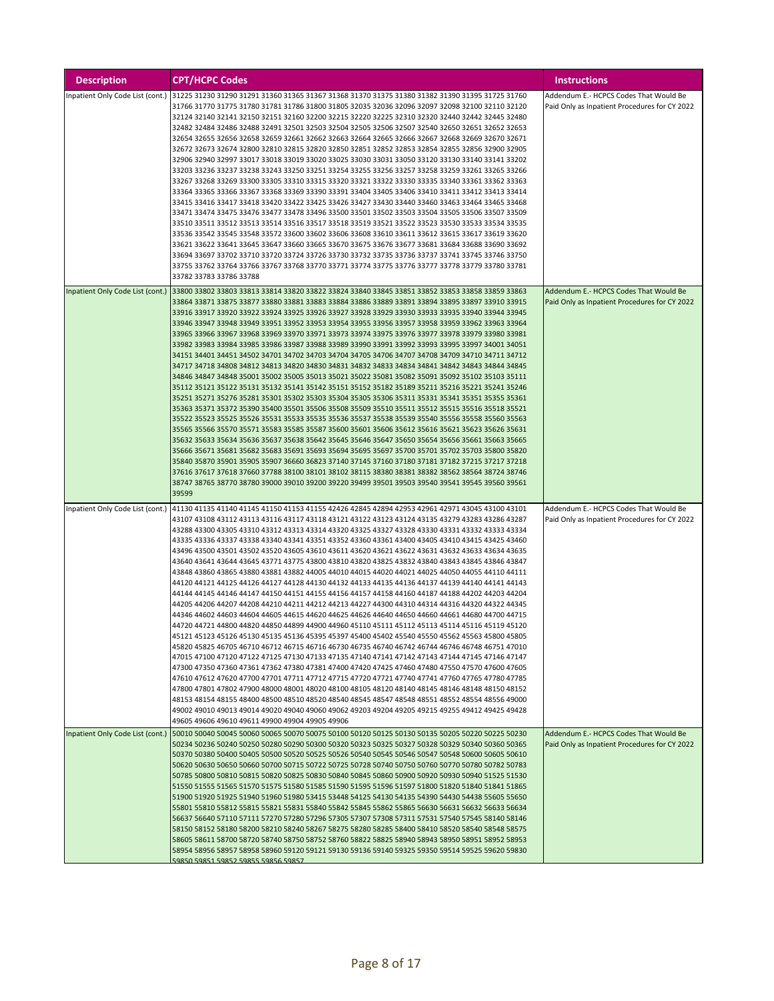| <b>Description</b>               | <b>CPT/HCPC Codes</b>                                                                                                                                                                              | <b>Instructions</b>                           |
|----------------------------------|----------------------------------------------------------------------------------------------------------------------------------------------------------------------------------------------------|-----------------------------------------------|
| Inpatient Only Code List (cont.) | 31225 31230 31290 31291 31360 31365 31367 31368 31370 31375 31380 31382 31390 31395 31725 31760                                                                                                    | Addendum E.- HCPCS Codes That Would Be        |
|                                  | 31766 31770 31775 31780 31781 31786 31800 31805 32035 32036 32096 32097 32098 32100 32110 32120                                                                                                    | Paid Only as Inpatient Procedures for CY 2022 |
|                                  | 32124 32140 32141 32150 32151 32160 32200 32215 32220 32225 32310 32320 32440 32442 32445 32480                                                                                                    |                                               |
|                                  | 32482 32484 32486 32488 32491 32501 32503 32504 32505 32506 32507 32540 32650 32651 32652 32653                                                                                                    |                                               |
|                                  | 32654 32655 32656 32658 32659 32661 32662 32663 32664 32665 32666 32667 32668 32669 32670 32671                                                                                                    |                                               |
|                                  |                                                                                                                                                                                                    |                                               |
|                                  | 32672 32673 32674 32800 32810 32815 32820 32850 32851 32852 32853 32854 32855 32856 32900 32905                                                                                                    |                                               |
|                                  | 32906 32940 32997 33017 33018 33019 33020 33025 33030 33031 33050 33120 33130 33140 33141 33202                                                                                                    |                                               |
|                                  | 33203 33236 33237 33238 33243 33250 33251 33254 33255 33256 33257 33258 33259 33261 33265 33266                                                                                                    |                                               |
|                                  | 33267 33268 33269 33300 33305 33310 33315 33320 33321 33322 33330 33335 33340 33361 33362 33363                                                                                                    |                                               |
|                                  | 33364 33365 33366 33367 33368 33369 33390 33391 33404 33405 33406 33410 33411 33412 33413 33414                                                                                                    |                                               |
|                                  | 33415 33416 33417 33418 33420 33422 33425 33426 33427 33430 33440 33460 33463 33464 33465 33468                                                                                                    |                                               |
|                                  | 33471 33474 33475 33476 33477 33478 33496 33500 33501 33502 33503 33504 33505 33506 33507 33509                                                                                                    |                                               |
|                                  | 33510 33511 33512 33513 33514 33516 33517 33518 33519 33521 33522 33523 33530 33533 33534 33535                                                                                                    |                                               |
|                                  | 33536 33542 33545 33548 33572 33600 33602 33606 33608 33610 33611 33612 33615 33617 33619 33620                                                                                                    |                                               |
|                                  | 33621 33622 33641 33645 33647 33660 33665 33670 33675 33676 33677 33681 33684 33688 33690 33692                                                                                                    |                                               |
|                                  | 33694 33697 33702 33710 33720 33724 33726 33730 33732 33735 33736 33737 33741 33745 33746 33750                                                                                                    |                                               |
|                                  | 33755 33762 33764 33766 33767 33768 33770 33771 33774 33775 33776 33777 33778 33779 33780 33781                                                                                                    |                                               |
|                                  | 33782 33783 33786 33788                                                                                                                                                                            |                                               |
| Inpatient Only Code List (cont.) | 33800 33802 33803 33813 33814 33820 33822 33824 33840 33845 33851 33852 33853 33858 33859 33863                                                                                                    | Addendum E.- HCPCS Codes That Would Be        |
|                                  | 33864 33871 33875 33877 33880 33881 33883 33884 33886 33889 33891 33894 33895 33897 33910 33915                                                                                                    | Paid Only as Inpatient Procedures for CY 2022 |
|                                  | 33916 33917 33920 33922 33924 33925 33926 33927 33928 33929 33930 33933 33935 33940 33944 33945                                                                                                    |                                               |
|                                  | 33946 33947 33948 33949 33951 33952 33953 33954 33955 33956 33957 33958 33959 33962 33963 33964                                                                                                    |                                               |
|                                  | 33965 33966 33967 33968 33969 33970 33971 33973 33974 33975 33976 33977 33978 33979 33980 33981                                                                                                    |                                               |
|                                  | 33982 33983 33984 33985 33986 33987 33988 33989 33990 33991 33992 33993 33995 33997 34001 34051                                                                                                    |                                               |
|                                  | 34151 34401 34451 34502 34701 34702 34703 34704 34705 34706 34707 34708 34709 34710 34711 34712                                                                                                    |                                               |
|                                  | 34717 34718 34808 34812 34813 34820 34830 34831 34832 34833 34834 34841 34842 34843 34844 34845                                                                                                    |                                               |
|                                  | 34846 34847 34848 35001 35002 35005 35013 35021 35022 35081 35082 35091 35092 35102 35103 35111                                                                                                    |                                               |
|                                  | 35112 35121 35122 35131 35132 35141 35142 35151 35152 35182 35189 35211 35216 35221 35241 35246                                                                                                    |                                               |
|                                  | 35251 35271 35276 35281 35301 35302 35303 35304 35305 35306 35311 35331 35341 35351 35355 35361                                                                                                    |                                               |
|                                  | 35363 35371 35372 35390 35400 35501 35506 35508 35509 35510 35511 35512 35515 35516 35518 35521                                                                                                    |                                               |
|                                  | 35522 35523 35525 35526 35531 35533 35535 35536 35537 35538 35539 35540 35556 35558 35560 35563                                                                                                    |                                               |
|                                  |                                                                                                                                                                                                    |                                               |
|                                  | 35565 35566 35570 35571 35583 35585 35587 35600 35601 35606 35612 35616 35621 35623 35626 35631                                                                                                    |                                               |
|                                  | 35632 35633 35634 35636 35637 35638 35642 35645 35646 35647 35650 35654 35656 35661 35663 35665                                                                                                    |                                               |
|                                  | 35666 35671 35681 35682 35683 35691 35693 35694 35695 35697 35700 35701 35702 35703 35800 35820                                                                                                    |                                               |
|                                  | 35840 35870 35901 35905 35907 36660 36823 37140 37145 37160 37180 37181 37182 37215 37217 37218                                                                                                    |                                               |
|                                  | 37616 37617 37618 37660 37788 38100 38101 38102 38115 38380 38381 38382 38562 38564 38724 38746                                                                                                    |                                               |
|                                  | 38747 38765 38770 38780 39000 39010 39200 39220 39499 39501 39503 39540 39541 39545 39560 39561                                                                                                    |                                               |
|                                  | 39599                                                                                                                                                                                              |                                               |
| Inpatient Only Code List (cont.) | 41130 41135 41140 41145 41150 41153 41155 42426 42845 42894 42953 42961 42971 43045 43100 43101                                                                                                    | Addendum E.- HCPCS Codes That Would Be        |
|                                  | 43107 43108 43112 43113 43116 43117 43118 43121 43122 43123 43124 43135 43279 43283 43286 43287                                                                                                    | Paid Only as Inpatient Procedures for CY 2022 |
|                                  | 43288 43300 43305 43310 43312 43313 43314 43320 43325 43327 43328 43330 43331 43332 43333 43334                                                                                                    |                                               |
|                                  | 43335 43336 43337 43338 43340 43341 43351 43352 43360 43361 43400 43405 43410 43415 43425 43460                                                                                                    |                                               |
|                                  | 43496 43500 43501 43502 43520 43605 43610 43611 43620 43621 43622 43631 43632 43633 43634 43635                                                                                                    |                                               |
|                                  | 43640 43641 43644 43645 43771 43775 43800 43810 43820 43825 43832 43840 43843 43845 43846 43847                                                                                                    |                                               |
|                                  | 43848 43860 43865 43880 43881 43882 44005 44010 44015 44020 44021 44025 44050 44055 44110 44111                                                                                                    |                                               |
|                                  | 44120 44121 44125 44126 44127 44128 44130 44132 44133 44135 44136 44137 44139 44140 44141 44143                                                                                                    |                                               |
|                                  | 44144 44145 44146 44147 44150 44151 44155 44156 44157 44158 44160 44187 44188 44202 44203 44204                                                                                                    |                                               |
|                                  | 44205 44206 44207 44208 44210 44211 44212 44213 44227 44300 44310 44314 44316 44320 44322 44345                                                                                                    |                                               |
|                                  | 44346 44602 44603 44604 44605 44615 44620 44625 44626 44640 44650 44660 44661 44680 44700 44715                                                                                                    |                                               |
|                                  | 44720 44721 44800 44820 44850 44899 44900 44960 45110 45111 45112 45113 45114 45116 45119 45120                                                                                                    |                                               |
|                                  |                                                                                                                                                                                                    |                                               |
|                                  | 45121 45123 45126 45130 45135 45136 45395 45397 45400 45402 45540 45550 45562 45563 45800 45805<br>45820 45825 46705 46710 46712 46715 46716 46730 46735 46740 46742 46744 46746 46748 46751 47010 |                                               |
|                                  | 47015 47100 47120 47122 47125 47130 47133 47135 47140 47141 47142 47143 47144 47145 47146 47147                                                                                                    |                                               |
|                                  | 47300 47350 47360 47361 47362 47380 47381 47400 47420 47425 47460 47480 47550 47570 47600 47605                                                                                                    |                                               |
|                                  | 47610 476612 47620 47700 47701 47711 47712 47715 47720 47721 47740 47741 47760 47765 47780 47785                                                                                                   |                                               |
|                                  |                                                                                                                                                                                                    |                                               |
|                                  | 47800 47801 47802 47900 48000 48001 48020 48100 48105 48120 48140 48145 48146 48148 48150 48152                                                                                                    |                                               |
|                                  | 48153 48154 48155 48400 48500 48510 48520 48540 48545 48547 48548 48551 48552 48554 48556 49000<br>49002 49010 49013 49014 49020 49040 49060 49062 49203 49204 49205 49215 49255 49412 49425 49428 |                                               |
|                                  |                                                                                                                                                                                                    |                                               |
|                                  | 49605 49606 49610 49611 49900 49904 49905 49906                                                                                                                                                    |                                               |
| Inpatient Only Code List (cont.) | 50010 50040 50045 50060 50065 50070 50075 50100 50120 50125 50130 50135 50205 50220 50225 50230                                                                                                    | Addendum E.- HCPCS Codes That Would Be        |
|                                  | 50234 50236 50240 50250 50280 50290 50300 50320 50323 50325 50327 50328 50329 50340 50360 50365                                                                                                    | Paid Only as Inpatient Procedures for CY 2022 |
|                                  | 50370 50380 50400 50405 50500 50520 50525 50526 50540 50545 50546 50547 50548 50600 50605 50610                                                                                                    |                                               |
|                                  | 50620 50630 50650 50660 50700 50715 50722 50725 50728 50740 50750 50760 50770 50780 50782 50783                                                                                                    |                                               |
|                                  | 50785 50800 50810 50815 50820 50825 50830 50840 50845 50860 50900 50920 50930 50940 51525 51530                                                                                                    |                                               |
|                                  | 51550 51555 51565 51570 51575 51580 51585 51590 51595 51596 51597 51800 51820 51840 51841 51865                                                                                                    |                                               |
|                                  | 51900 51920 51925 51940 51960 51980 53415 53448 54125 54130 54135 54390 54430 54438 55605 55650                                                                                                    |                                               |
|                                  | 55801 55810 55812 55815 55821 55831 55840 55842 55845 55862 55865 56630 56631 56632 56633 56634                                                                                                    |                                               |
|                                  | 56637 56640 57110 57111 57270 57280 57296 57305 57307 57308 57311 57531 57540 57545 58140 58146                                                                                                    |                                               |
|                                  | 58150 58152 58180 58200 58210 58240 58267 58275 58280 58285 58400 58410 58520 58540 58548 58575                                                                                                    |                                               |
|                                  | 58605 58611 58700 58720 58740 58750 58752 58760 58822 58825 58940 58943 58950 58951 58952 58953                                                                                                    |                                               |
|                                  | 58954 58956 58957 58958 58960 59120 59121 59130 59136 59140 59325 59350 59514 59525 59620 59830                                                                                                    |                                               |
|                                  | 59850 59851 59852 59855 59856 59857                                                                                                                                                                |                                               |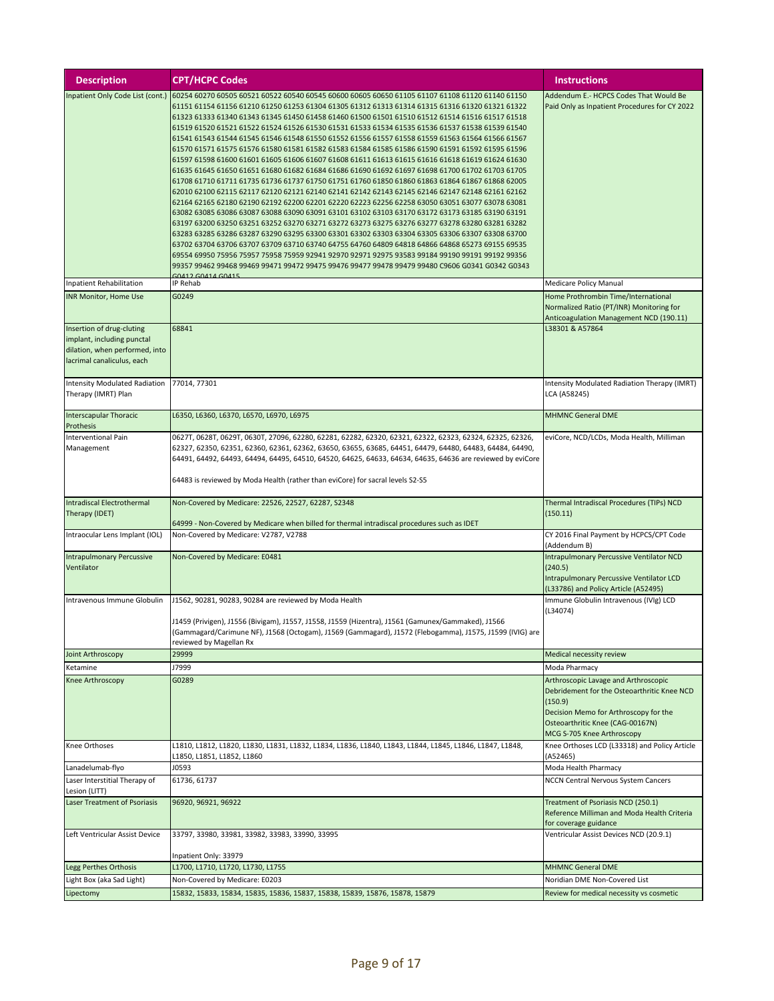| <b>Description</b>                                                                                                      | <b>CPT/HCPC Codes</b>                                                                                                                                                                                                                                                                                                                                                                                                                                                                                                                                                                                                                                                                                                                                                                                                                                                                                                                                                                                                                                                                                                                                                                                                                                                                                                                                                                                                                                                                                                                                                                                                                                                                                                                                                       | <b>Instructions</b>                                                                                                                                                                                       |
|-------------------------------------------------------------------------------------------------------------------------|-----------------------------------------------------------------------------------------------------------------------------------------------------------------------------------------------------------------------------------------------------------------------------------------------------------------------------------------------------------------------------------------------------------------------------------------------------------------------------------------------------------------------------------------------------------------------------------------------------------------------------------------------------------------------------------------------------------------------------------------------------------------------------------------------------------------------------------------------------------------------------------------------------------------------------------------------------------------------------------------------------------------------------------------------------------------------------------------------------------------------------------------------------------------------------------------------------------------------------------------------------------------------------------------------------------------------------------------------------------------------------------------------------------------------------------------------------------------------------------------------------------------------------------------------------------------------------------------------------------------------------------------------------------------------------------------------------------------------------------------------------------------------------|-----------------------------------------------------------------------------------------------------------------------------------------------------------------------------------------------------------|
| Inpatient Only Code List (cont.)                                                                                        | 60254 60270 60505 60521 60522 60540 60545 60600 60605 60650 61105 61107 61108 61120 61140 61150<br>61151 61154 61156 61210 61250 61253 61304 61305 61312 61313 61314 61315 61316 61320 61321 61322<br>61323 61333 61340 61343 61345 61450 61458 61460 61500 61501 61510 61512 61514 61516 61517 61518<br>61519 61520 61521 61522 61524 61526 61530 61531 61533 61534 61535 61536 61537 61538 61539 61540<br>61541 61543 61544 61545 61546 61548 61550 61552 61556 61557 61558 61559 61563 61564 61566 61567<br>61570 61571 61575 61576 61580 61581 61582 61583 61584 61585 61586 61590 61591 61592 61595 61596<br>61597 61598 61600 61601 61605 61606 61607 61608 61611 61613 61615 61616 61618 61619 61624 61630<br>61635 61645 61650 61651 61680 61682 61684 61686 61690 61692 61697 61698 61700 61702 61703 61705<br>61708 61710 61711 61735 61736 61737 61750 61751 61760 61850 61860 61863 61864 61867 61868 62005<br>62010 62100 62115 62117 62120 62121 62140 62141 62142 62143 62145 62146 62147 62148 62161 62162<br>62164 62165 62180 62190 62192 62200 62201 62220 62223 62256 62258 63050 63051 63077 63078 63081<br>63082 63085 63086 63087 63088 63090 63091 63101 63102 63103 63170 63172 63173 63185 63190 63191<br>63197 63200 63250 63251 63252 63270 63271 63272 63273 63275 63276 63277 63278 63280 63281 63282<br>63283 63285 63286 63287 63290 63295 63300 63301 63302 63303 63304 63305 63306 63307 63308 63700<br>63702 63704 63706 63707 63709 63710 63740 64755 64760 64809 64818 64866 64868 65273 69155 69535<br>69554 69950 75956 75957 75958 75959 92941 92970 92971 92975 93583 99184 99190 99191 99192 99356<br>99357 99462 99468 99469 99471 99472 99475 99476 99477 99478 99479 99480 C9606 G0341 G0342 G0343<br><b>30412 GO414 GO415</b> | Addendum E.- HCPCS Codes That Would Be<br>Paid Only as Inpatient Procedures for CY 2022                                                                                                                   |
| Inpatient Rehabilitation                                                                                                | IP Rehab                                                                                                                                                                                                                                                                                                                                                                                                                                                                                                                                                                                                                                                                                                                                                                                                                                                                                                                                                                                                                                                                                                                                                                                                                                                                                                                                                                                                                                                                                                                                                                                                                                                                                                                                                                    | Medicare Policy Manual                                                                                                                                                                                    |
| <b>INR Monitor, Home Use</b>                                                                                            | G0249                                                                                                                                                                                                                                                                                                                                                                                                                                                                                                                                                                                                                                                                                                                                                                                                                                                                                                                                                                                                                                                                                                                                                                                                                                                                                                                                                                                                                                                                                                                                                                                                                                                                                                                                                                       | Home Prothrombin Time/International<br>Normalized Ratio (PT/INR) Monitoring for<br>Anticoagulation Management NCD (190.11)                                                                                |
| Insertion of drug-cluting<br>implant, including punctal<br>dilation, when performed, into<br>lacrimal canaliculus, each | 68841                                                                                                                                                                                                                                                                                                                                                                                                                                                                                                                                                                                                                                                                                                                                                                                                                                                                                                                                                                                                                                                                                                                                                                                                                                                                                                                                                                                                                                                                                                                                                                                                                                                                                                                                                                       | L38301 & A57864                                                                                                                                                                                           |
| <b>Intensity Modulated Radiation</b><br>Therapy (IMRT) Plan                                                             | 77014, 77301                                                                                                                                                                                                                                                                                                                                                                                                                                                                                                                                                                                                                                                                                                                                                                                                                                                                                                                                                                                                                                                                                                                                                                                                                                                                                                                                                                                                                                                                                                                                                                                                                                                                                                                                                                | Intensity Modulated Radiation Therapy (IMRT)<br>LCA (A58245)                                                                                                                                              |
| <b>Interscapular Thoracic</b><br>Prothesis                                                                              | L6350, L6360, L6370, L6570, L6970, L6975                                                                                                                                                                                                                                                                                                                                                                                                                                                                                                                                                                                                                                                                                                                                                                                                                                                                                                                                                                                                                                                                                                                                                                                                                                                                                                                                                                                                                                                                                                                                                                                                                                                                                                                                    | <b>MHMNC General DME</b>                                                                                                                                                                                  |
| Interventional Pain<br>Management                                                                                       | 0627T, 0628T, 0629T, 0630T, 27096, 62280, 62281, 62282, 62320, 62321, 62322, 62323, 62324, 62325, 62326,<br>62327, 62350, 62351, 62360, 62361, 62362, 63650, 63655, 63685, 64451, 64479, 64480, 64483, 64484, 64490,<br>64491, 64492, 64493, 64494, 64495, 64510, 64520, 64625, 64633, 64634, 64635, 64636 are reviewed by eviCore<br>64483 is reviewed by Moda Health (rather than eviCore) for sacral levels S2-S5                                                                                                                                                                                                                                                                                                                                                                                                                                                                                                                                                                                                                                                                                                                                                                                                                                                                                                                                                                                                                                                                                                                                                                                                                                                                                                                                                        | eviCore, NCD/LCDs, Moda Health, Milliman                                                                                                                                                                  |
| Intradiscal Electrothermal<br>Therapy (IDET)                                                                            | Non-Covered by Medicare: 22526, 22527, 62287, S2348                                                                                                                                                                                                                                                                                                                                                                                                                                                                                                                                                                                                                                                                                                                                                                                                                                                                                                                                                                                                                                                                                                                                                                                                                                                                                                                                                                                                                                                                                                                                                                                                                                                                                                                         | Thermal Intradiscal Procedures (TIPs) NCD<br>(150.11)                                                                                                                                                     |
| Intraocular Lens Implant (IOL)                                                                                          | 64999 - Non-Covered by Medicare when billed for thermal intradiscal procedures such as IDET<br>Non-Covered by Medicare: V2787, V2788                                                                                                                                                                                                                                                                                                                                                                                                                                                                                                                                                                                                                                                                                                                                                                                                                                                                                                                                                                                                                                                                                                                                                                                                                                                                                                                                                                                                                                                                                                                                                                                                                                        | CY 2016 Final Payment by HCPCS/CPT Code                                                                                                                                                                   |
| <b>Intrapulmonary Percussive</b><br>Ventilator                                                                          | Non-Covered by Medicare: E0481                                                                                                                                                                                                                                                                                                                                                                                                                                                                                                                                                                                                                                                                                                                                                                                                                                                                                                                                                                                                                                                                                                                                                                                                                                                                                                                                                                                                                                                                                                                                                                                                                                                                                                                                              | (Addendum B)<br>Intrapulmonary Percussive Ventilator NCD<br>(240.5)<br>Intrapulmonary Percussive Ventilator LCD<br>(L33786) and Policy Article (A52495)                                                   |
| Intravenous Immune Globulin                                                                                             | J1562, 90281, 90283, 90284 are reviewed by Moda Health<br>J1459 (Privigen), J1556 (Bivigam), J1557, J1558, J1559 (Hizentra), J1561 (Gamunex/Gammaked), J1566<br>(Gammagard/Carimune NF), J1568 (Octogam), J1569 (Gammagard), J1572 (Flebogamma), J1575, J1599 (IVIG) are<br>reviewed by Magellan Rx                                                                                                                                                                                                                                                                                                                                                                                                                                                                                                                                                                                                                                                                                                                                                                                                                                                                                                                                                                                                                                                                                                                                                                                                                                                                                                                                                                                                                                                                         | Immune Globulin Intravenous (IVIg) LCD<br>(L34074)                                                                                                                                                        |
| Joint Arthroscopy                                                                                                       | 29999                                                                                                                                                                                                                                                                                                                                                                                                                                                                                                                                                                                                                                                                                                                                                                                                                                                                                                                                                                                                                                                                                                                                                                                                                                                                                                                                                                                                                                                                                                                                                                                                                                                                                                                                                                       | Medical necessity review                                                                                                                                                                                  |
| Ketamine                                                                                                                | J7999                                                                                                                                                                                                                                                                                                                                                                                                                                                                                                                                                                                                                                                                                                                                                                                                                                                                                                                                                                                                                                                                                                                                                                                                                                                                                                                                                                                                                                                                                                                                                                                                                                                                                                                                                                       | Moda Pharmacy                                                                                                                                                                                             |
| Knee Arthroscopy                                                                                                        | G0289                                                                                                                                                                                                                                                                                                                                                                                                                                                                                                                                                                                                                                                                                                                                                                                                                                                                                                                                                                                                                                                                                                                                                                                                                                                                                                                                                                                                                                                                                                                                                                                                                                                                                                                                                                       | Arthroscopic Lavage and Arthroscopic<br>Debridement for the Osteoarthritic Knee NCD<br>(150.9)<br>Decision Memo for Arthroscopy for the<br>Osteoarthritic Knee (CAG-00167N)<br>MCG S-705 Knee Arthroscopy |
| Knee Orthoses                                                                                                           | L1810, L1812, L1820, L1830, L1831, L1832, L1834, L1836, L1840, L1843, L1844, L1845, L1846, L1847, L1848,<br>L1850, L1851, L1852, L1860                                                                                                                                                                                                                                                                                                                                                                                                                                                                                                                                                                                                                                                                                                                                                                                                                                                                                                                                                                                                                                                                                                                                                                                                                                                                                                                                                                                                                                                                                                                                                                                                                                      | Knee Orthoses LCD (L33318) and Policy Article<br>(A52465)                                                                                                                                                 |
| Lanadelumab-flyo                                                                                                        | J0593                                                                                                                                                                                                                                                                                                                                                                                                                                                                                                                                                                                                                                                                                                                                                                                                                                                                                                                                                                                                                                                                                                                                                                                                                                                                                                                                                                                                                                                                                                                                                                                                                                                                                                                                                                       | Moda Health Pharmacy                                                                                                                                                                                      |
| Laser Interstitial Therapy of<br>Lesion (LITT)                                                                          | 61736, 61737                                                                                                                                                                                                                                                                                                                                                                                                                                                                                                                                                                                                                                                                                                                                                                                                                                                                                                                                                                                                                                                                                                                                                                                                                                                                                                                                                                                                                                                                                                                                                                                                                                                                                                                                                                | <b>NCCN Central Nervous System Cancers</b>                                                                                                                                                                |
| Laser Treatment of Psoriasis                                                                                            | 96920, 96921, 96922                                                                                                                                                                                                                                                                                                                                                                                                                                                                                                                                                                                                                                                                                                                                                                                                                                                                                                                                                                                                                                                                                                                                                                                                                                                                                                                                                                                                                                                                                                                                                                                                                                                                                                                                                         | Treatment of Psoriasis NCD (250.1)<br>Reference Milliman and Moda Health Criteria<br>for coverage guidance                                                                                                |
| Left Ventricular Assist Device                                                                                          | 33797, 33980, 33981, 33982, 33983, 33990, 33995                                                                                                                                                                                                                                                                                                                                                                                                                                                                                                                                                                                                                                                                                                                                                                                                                                                                                                                                                                                                                                                                                                                                                                                                                                                                                                                                                                                                                                                                                                                                                                                                                                                                                                                             | Ventricular Assist Devices NCD (20.9.1)                                                                                                                                                                   |
| Legg Perthes Orthosis                                                                                                   | Inpatient Only: 33979<br>L1700, L1710, L1720, L1730, L1755                                                                                                                                                                                                                                                                                                                                                                                                                                                                                                                                                                                                                                                                                                                                                                                                                                                                                                                                                                                                                                                                                                                                                                                                                                                                                                                                                                                                                                                                                                                                                                                                                                                                                                                  | <b>MHMNC General DME</b>                                                                                                                                                                                  |
| Light Box (aka Sad Light)                                                                                               | Non-Covered by Medicare: E0203                                                                                                                                                                                                                                                                                                                                                                                                                                                                                                                                                                                                                                                                                                                                                                                                                                                                                                                                                                                                                                                                                                                                                                                                                                                                                                                                                                                                                                                                                                                                                                                                                                                                                                                                              | Noridian DME Non-Covered List                                                                                                                                                                             |
| Lipectomy                                                                                                               | 15832, 15833, 15834, 15835, 15836, 15837, 15838, 15839, 15876, 15878, 15879                                                                                                                                                                                                                                                                                                                                                                                                                                                                                                                                                                                                                                                                                                                                                                                                                                                                                                                                                                                                                                                                                                                                                                                                                                                                                                                                                                                                                                                                                                                                                                                                                                                                                                 | Review for medical necessity vs cosmetic                                                                                                                                                                  |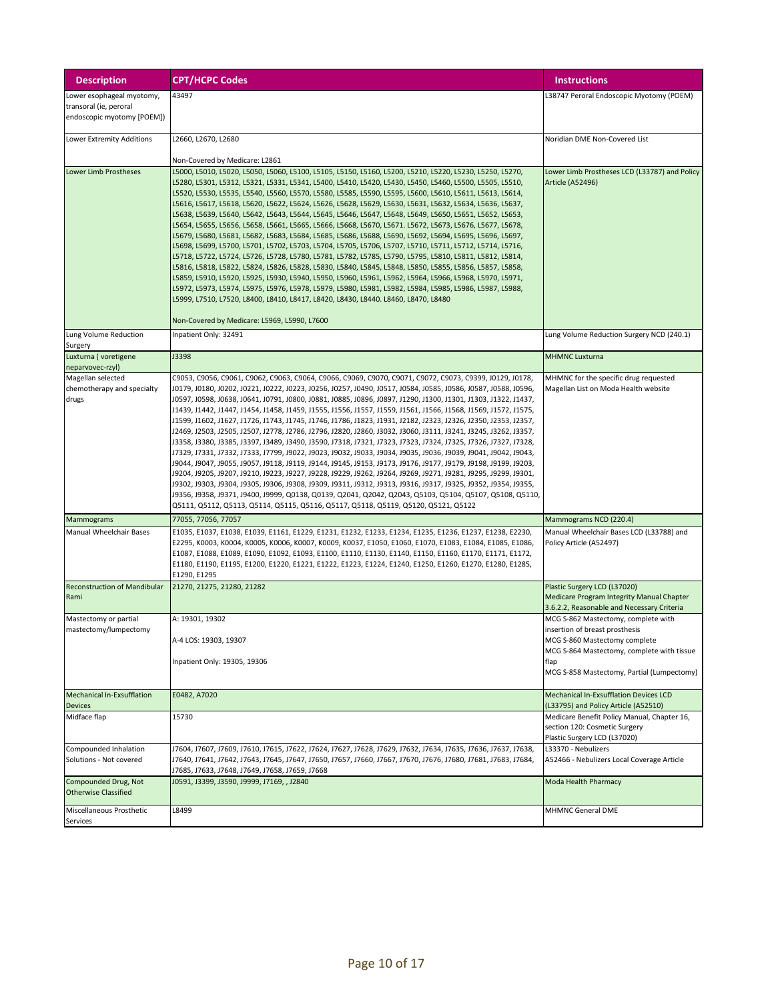| <b>Description</b>                                                                | <b>CPT/HCPC Codes</b>                                                                                                                                                                                                                                                                                                                                                                                                                                                                                                                                                                                                                                                                                                                                                                                                                                                                                                                                                                                                                                                                                                                                                                                                                                                                                                                                                                                                                                                                                                | <b>Instructions</b>                                                                                                                                                                                        |
|-----------------------------------------------------------------------------------|----------------------------------------------------------------------------------------------------------------------------------------------------------------------------------------------------------------------------------------------------------------------------------------------------------------------------------------------------------------------------------------------------------------------------------------------------------------------------------------------------------------------------------------------------------------------------------------------------------------------------------------------------------------------------------------------------------------------------------------------------------------------------------------------------------------------------------------------------------------------------------------------------------------------------------------------------------------------------------------------------------------------------------------------------------------------------------------------------------------------------------------------------------------------------------------------------------------------------------------------------------------------------------------------------------------------------------------------------------------------------------------------------------------------------------------------------------------------------------------------------------------------|------------------------------------------------------------------------------------------------------------------------------------------------------------------------------------------------------------|
| Lower esophageal myotomy,<br>transoral (ie, peroral<br>endoscopic myotomy [POEM]) | 43497                                                                                                                                                                                                                                                                                                                                                                                                                                                                                                                                                                                                                                                                                                                                                                                                                                                                                                                                                                                                                                                                                                                                                                                                                                                                                                                                                                                                                                                                                                                | L38747 Peroral Endoscopic Myotomy (POEM)                                                                                                                                                                   |
| Lower Extremity Additions                                                         | L2660, L2670, L2680                                                                                                                                                                                                                                                                                                                                                                                                                                                                                                                                                                                                                                                                                                                                                                                                                                                                                                                                                                                                                                                                                                                                                                                                                                                                                                                                                                                                                                                                                                  | Noridian DME Non-Covered List                                                                                                                                                                              |
| Lower Limb Prostheses                                                             | Non-Covered by Medicare: L2861<br>L5000, L5010, L5020, L5050, L5060, L5100, L5105, L5150, L5160, L5200, L5210, L5220, L5230, L5250, L5270,<br>L5280, L5301, L5312, L5321, L5331, L5341, L5400, L5410, L5420, L5430, L5450, L5460, L5500, L5505, L5510,<br>L5520, L5530, L5535, L5540, L5560, L5570, L5580, L5585, L5590, L5595, L5600, L5610, L5611, L5613, L5614,<br>L5616, L5617, L5618, L5620, L5622, L5624, L5626, L5628, L5629, L5630, L5631, L5632, L5634, L5636, L5637,<br>L5638, L5639, L5640, L5642, L5643, L5644, L5645, L5646, L5647, L5648, L5649, L5650, L5651, L5652, L5653,<br>L5654, L5655, L5656, L5658, L5661, L5665, L5666, L5668, L5670, L5671. L5672, L5673, L5676, L5677, L5678,<br>L5679, L5680, L5681, L5682, L5683, L5684, L5685, L5686, L5688, L5690, L5692, L5694, L5695, L5696, L5697,<br>L5698, L5699, L5700, L5701, L5702, L5703, L5704, L5705, L5706, L5707, L5710, L5711, L5712, L5714, L5716,<br>L5718, L5722, L5724, L5726, L5728, L5780, L5781, L5782, L5785, L5790, L5795, L5810, L5811, L5812, L5814,<br>L5816, L5818, L5822, L5824, L5826, L5828, L5830, L5840, L5845, L5848, L5850, L5855, L5856, L5857, L5858,<br>L5859, L5910, L5920, L5925, L5930, L5940, L5950, L5960, L5961, L5962, L5964, L5966, L5968, L5970, L5971,<br>L5972, L5973, L5974, L5975, L5976, L5978, L5979, L5980, L5981, L5982, L5984, L5985, L5986, L5987, L5988,<br>L5999, L7510, L7520, L8400, L8410, L8417, L8420, L8430, L8440. L8460, L8470, L8480<br>Non-Covered by Medicare: L5969, L5990, L7600 | Lower Limb Prostheses LCD (L33787) and Policy<br><b>Article (A52496)</b>                                                                                                                                   |
| Lung Volume Reduction                                                             | Inpatient Only: 32491                                                                                                                                                                                                                                                                                                                                                                                                                                                                                                                                                                                                                                                                                                                                                                                                                                                                                                                                                                                                                                                                                                                                                                                                                                                                                                                                                                                                                                                                                                | Lung Volume Reduction Surgery NCD (240.1)                                                                                                                                                                  |
| Surgery<br>Luxturna (voretigene<br>neparvovec-rzyl)                               | J3398                                                                                                                                                                                                                                                                                                                                                                                                                                                                                                                                                                                                                                                                                                                                                                                                                                                                                                                                                                                                                                                                                                                                                                                                                                                                                                                                                                                                                                                                                                                | <b>MHMNC Luxturna</b>                                                                                                                                                                                      |
| Magellan selected<br>chemotherapy and specialty<br>drugs                          | C9053, C9056, C9061, C9062, C9063, C9064, C9066, C9069, C9070, C9071, C9072, C9073, C9399, J0129, J0178,<br>J0179, J0180, J0202, J0221, J0222, J0223, J0256, J0257, J0490, J0517, J0584, J0585, J0586, J0587, J0588, J0596,<br>10597, 10598, 10638, 10641, 10791, 10800, 10881, 10885, 10896, 10897, 11290, 11300, 11301, 11303, 11322, 11437,<br>J1439, J1442, J1447, J1454, J1458, J1459, J1555, J1556, J1557, J1559, J1561, J1566, J1568, J1569, J1572, J1575,<br>J1599, J1602, J1627, J1726, J1743, J1745, J1746, J1786, J1823, J1931, J2182, J2323, J2326, J2350, J2353, J2357,<br>I2469, I2503, I2505, I2507, I2778, I2786, I2796, I2820, I2860, I3032, I3060, I3111, I3241, I3245, I3262, I3357,<br>13358, 13380, 13385, 13397, 13489, 13490, 13590, 17318, 17321, 17323, 17323, 17324, 17325, 17326, 17327, 17328,<br>J7329, J7331, J7332, J7333, J7799, J9022, J9023, J9032, J9033, J9034, J9035, J9036, J9039, J9041, J9042, J9043,<br>J9044, J9047, J9055, J9057, J9118, J9119, J9144, J9145, J9153, J9173, J9176, J9177, J9179, J9198, J9199, J9203,<br>19204, 19205, 19207, 19210, 19223, 19227, 19228, 19229, 19262, 19264, 19269, 19271, 19281, 19295, 19299, 19301,<br>J9302, J9303, J9304, J9305, J9306, J9308, J9309, J9311, J9312, J9313, J9316, J9317, J9325, J9352, J9354, J9355,<br>19356, 19358, 19371, 19400, 19999, Q0138, Q0139, Q2041, Q2042, Q2043, Q5103, Q5104, Q5107, Q5108, Q5110,<br>Q5111, Q5112, Q5113, Q5114, Q5115, Q5116, Q5117, Q5118, Q5119, Q5120, Q5121, Q5122             | MHMNC for the specific drug requested<br>Magellan List on Moda Health website                                                                                                                              |
| Mammograms                                                                        | 77055, 77056, 77057                                                                                                                                                                                                                                                                                                                                                                                                                                                                                                                                                                                                                                                                                                                                                                                                                                                                                                                                                                                                                                                                                                                                                                                                                                                                                                                                                                                                                                                                                                  | Mammograms NCD (220.4)                                                                                                                                                                                     |
| Manual Wheelchair Bases                                                           | E1035, E1037, E1038, E1039, E1161, E1229, E1231, E1232, E1233, E1234, E1235, E1236, E1237, E1238, E2230,<br>E2295, K0003, K0004, K0005, K0006, K0007, K0009, K0037, E1050, E1060, E1070, E1083, E1084, E1085, E1086,<br>E1087, E1088, E1089, E1090, E1092, E1093, E1100, E1110, E1130, E1140, E1150, E1160, E1170, E1171, E1172,<br>E1180, E1190, E1195, E1200, E1220, E1221, E1222, E1223, E1224, E1240, E1250, E1260, E1270, E1280, E1285,<br>E1290, E1295                                                                                                                                                                                                                                                                                                                                                                                                                                                                                                                                                                                                                                                                                                                                                                                                                                                                                                                                                                                                                                                         | Manual Wheelchair Bases LCD (L33788) and<br>Policy Article (A52497)                                                                                                                                        |
| <b>Reconstruction of Mandibular</b><br>Rami                                       | 21270, 21275, 21280, 21282                                                                                                                                                                                                                                                                                                                                                                                                                                                                                                                                                                                                                                                                                                                                                                                                                                                                                                                                                                                                                                                                                                                                                                                                                                                                                                                                                                                                                                                                                           | Plastic Surgery LCD (L37020)<br>Medicare Program Integrity Manual Chapter<br>3.6.2.2, Reasonable and Necessary Criteria                                                                                    |
| Mastectomy or partial<br>mastectomy/lumpectomy                                    | A: 19301, 19302<br>A-4 LOS: 19303, 19307<br>Inpatient Only: 19305, 19306                                                                                                                                                                                                                                                                                                                                                                                                                                                                                                                                                                                                                                                                                                                                                                                                                                                                                                                                                                                                                                                                                                                                                                                                                                                                                                                                                                                                                                             | MCG S-862 Mastectomy, complete with<br>insertion of breast prosthesis<br>MCG S-860 Mastectomy complete<br>MCG S-864 Mastectomy, complete with tissue<br>flap<br>MCG S-858 Mastectomy, Partial (Lumpectomy) |
| Mechanical In-Exsufflation<br><b>Devices</b>                                      | E0482, A7020                                                                                                                                                                                                                                                                                                                                                                                                                                                                                                                                                                                                                                                                                                                                                                                                                                                                                                                                                                                                                                                                                                                                                                                                                                                                                                                                                                                                                                                                                                         | Mechanical In-Exsufflation Devices LCD<br>(L33795) and Policy Article (A52510)                                                                                                                             |
| Midface flap                                                                      | 15730                                                                                                                                                                                                                                                                                                                                                                                                                                                                                                                                                                                                                                                                                                                                                                                                                                                                                                                                                                                                                                                                                                                                                                                                                                                                                                                                                                                                                                                                                                                | Medicare Benefit Policy Manual, Chapter 16,<br>section 120: Cosmetic Surgery<br>Plastic Surgery LCD (L37020)                                                                                               |
| Compounded Inhalation<br>Solutions - Not covered                                  | I7604, J7607, J7609, J7610, J7615, J7622, J7624, J7627, J7628, J7629, J7632, J7634, J7635, J7636, J7637, J7638,<br>J7640, J7641, J7642, J7643, J7645, J7647, J7650, J7657, J7660, J7667, J7670, J7676, J7680, J7681, J7683, J7684,<br>J7685, J7633, J7648, J7649, J7658, J7659, J7668                                                                                                                                                                                                                                                                                                                                                                                                                                                                                                                                                                                                                                                                                                                                                                                                                                                                                                                                                                                                                                                                                                                                                                                                                                | L33370 - Nebulizers<br>A52466 - Nebulizers Local Coverage Article                                                                                                                                          |
| Compounded Drug, Not<br><b>Otherwise Classified</b>                               | J0591, J3399, J3590, J9999, J7169, , J2840                                                                                                                                                                                                                                                                                                                                                                                                                                                                                                                                                                                                                                                                                                                                                                                                                                                                                                                                                                                                                                                                                                                                                                                                                                                                                                                                                                                                                                                                           | Moda Health Pharmacy                                                                                                                                                                                       |
| Miscellaneous Prosthetic<br>Services                                              | L8499                                                                                                                                                                                                                                                                                                                                                                                                                                                                                                                                                                                                                                                                                                                                                                                                                                                                                                                                                                                                                                                                                                                                                                                                                                                                                                                                                                                                                                                                                                                | MHMNC General DME                                                                                                                                                                                          |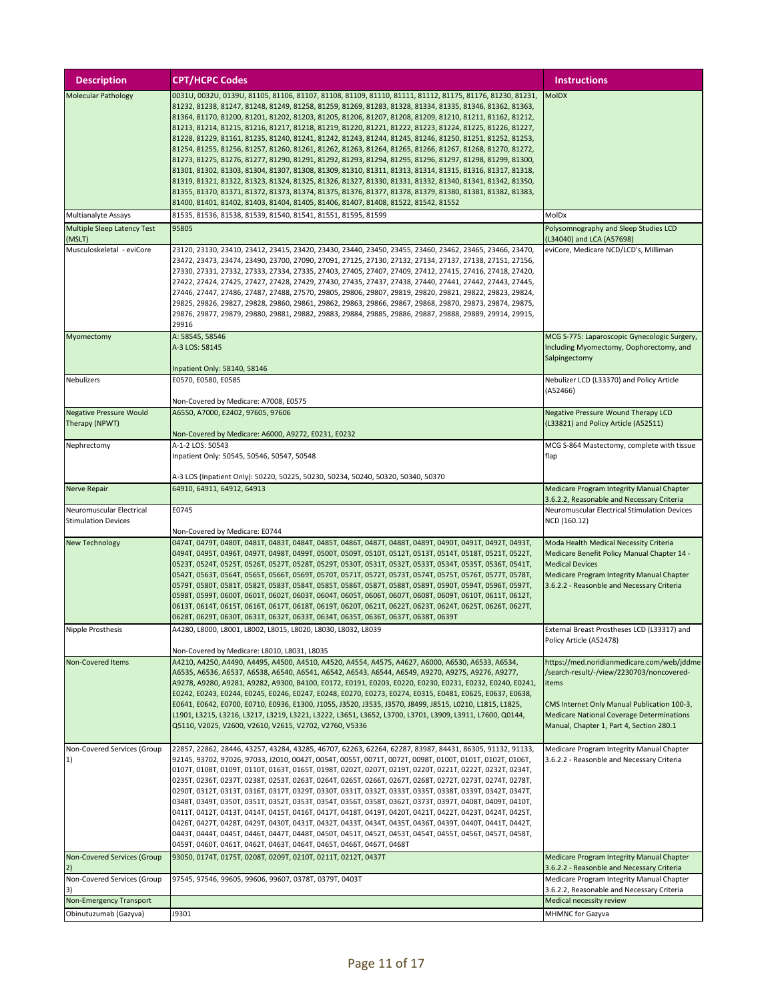| <b>Description</b>                                     | <b>CPT/HCPC Codes</b>                                                                                                                                                                                                                                                                                                                                                                                                                                                                                                                                                                                                                                                                                                                                                                                                                                                                                                                                                                                                                                                                                                                                                                                      | Instructions                                                                                                                                                                                                                                    |
|--------------------------------------------------------|------------------------------------------------------------------------------------------------------------------------------------------------------------------------------------------------------------------------------------------------------------------------------------------------------------------------------------------------------------------------------------------------------------------------------------------------------------------------------------------------------------------------------------------------------------------------------------------------------------------------------------------------------------------------------------------------------------------------------------------------------------------------------------------------------------------------------------------------------------------------------------------------------------------------------------------------------------------------------------------------------------------------------------------------------------------------------------------------------------------------------------------------------------------------------------------------------------|-------------------------------------------------------------------------------------------------------------------------------------------------------------------------------------------------------------------------------------------------|
| <b>Molecular Pathology</b>                             | 0031U, 0032U, 0139U, 81105, 81106, 81107, 81108, 81109, 81110, 81111, 81112, 81175, 81176, 81230, 81231,<br>81232, 81238, 81247, 81248, 81249, 81258, 81259, 81269, 81283, 81328, 81334, 81335, 81346, 81362, 81363,<br>81364, 81170, 81200, 81201, 81202, 81203, 81205, 81206, 81207, 81208, 81209, 81210, 81211, 81162, 81212,<br>81213, 81214, 81215, 81216, 81217, 81218, 81219, 81220, 81221, 81222, 81223, 81224, 81225, 81226, 81227,<br>81228, 81229, 81161, 81235, 81240, 81241, 81242, 81243, 81244, 81245, 81246, 81250, 81251, 81252, 81253,<br>81254, 81255, 81256, 81257, 81260, 81261, 81262, 81263, 81264, 81265, 81266, 81267, 81268, 81270, 81272,<br>81273, 81275, 81276, 81277, 81290, 81291, 81292, 81293, 81294, 81295, 81296, 81297, 81298, 81299, 81300,<br>81301, 81302, 81303, 81304, 81307, 81308, 81309, 81310, 81311, 81313, 81314, 81315, 81316, 81317, 81318,<br>81319, 81321, 81322, 81323, 81324, 81325, 81326, 81327, 81330, 81331, 81332, 81340, 81341, 81342, 81350,<br>81355, 81370, 81371, 81372, 81373, 81374, 81375, 81376, 81377, 81378, 81379, 81380, 81381, 81382, 81383,<br>81400, 81401, 81402, 81403, 81404, 81405, 81406, 81407, 81408, 81522, 81542, 81552 | <b>MoIDX</b>                                                                                                                                                                                                                                    |
| Multianalyte Assays                                    | 81535, 81536, 81538, 81539, 81540, 81541, 81551, 81595, 81599                                                                                                                                                                                                                                                                                                                                                                                                                                                                                                                                                                                                                                                                                                                                                                                                                                                                                                                                                                                                                                                                                                                                              | MolDx                                                                                                                                                                                                                                           |
| <b>Multiple Sleep Latency Test</b><br>(MSLT)           | 95805                                                                                                                                                                                                                                                                                                                                                                                                                                                                                                                                                                                                                                                                                                                                                                                                                                                                                                                                                                                                                                                                                                                                                                                                      | Polysomnography and Sleep Studies LCD<br>(L34040) and LCA (A57698)                                                                                                                                                                              |
| Musculoskeletal - eviCore                              | 23120, 23130, 23410, 23412, 23415, 23420, 23430, 23440, 23450, 23455, 23460, 23462, 23465, 23466, 23470,<br>23472, 23473, 23474, 23490, 23700, 27090, 27091, 27125, 27130, 27132, 27134, 27137, 27138, 27151, 27156,<br>27330, 27331, 27332, 27333, 27334, 27335, 27403, 27405, 27407, 27409, 27412, 27415, 27416, 27418, 27420,<br>27422, 27424, 27425, 27427, 27428, 27429, 27430, 27435, 27437, 27438, 27440, 27441, 27442, 27443, 27445,<br>27446, 27447, 27486, 27487, 27488, 27570, 29805, 29806, 29807, 29819, 29820, 29821, 29822, 29823, 29824,<br>29825, 29826, 29827, 29828, 29860, 29861, 29862, 29863, 29866, 29867, 29868, 29870, 29873, 29874, 29875,<br>29876, 29877, 29879, 29880, 29881, 29882, 29883, 29884, 29885, 29886, 29887, 29888, 29889, 29914, 29915,<br>29916                                                                                                                                                                                                                                                                                                                                                                                                                  | eviCore, Medicare NCD/LCD's, Milliman                                                                                                                                                                                                           |
| Myomectomy                                             | A: 58545, 58546<br>A-3 LOS: 58145<br>Inpatient Only: 58140, 58146                                                                                                                                                                                                                                                                                                                                                                                                                                                                                                                                                                                                                                                                                                                                                                                                                                                                                                                                                                                                                                                                                                                                          | MCG S-775: Laparoscopic Gynecologic Surgery,<br>Including Myomectomy, Oophorectomy, and<br>Salpingectomy                                                                                                                                        |
| Nebulizers                                             | E0570, E0580, E0585<br>Non-Covered by Medicare: A7008, E0575                                                                                                                                                                                                                                                                                                                                                                                                                                                                                                                                                                                                                                                                                                                                                                                                                                                                                                                                                                                                                                                                                                                                               | Nebulizer LCD (L33370) and Policy Article<br>(A52466)                                                                                                                                                                                           |
| <b>Negative Pressure Would</b>                         | A6550, A7000, E2402, 97605, 97606                                                                                                                                                                                                                                                                                                                                                                                                                                                                                                                                                                                                                                                                                                                                                                                                                                                                                                                                                                                                                                                                                                                                                                          | <b>Negative Pressure Wound Therapy LCD</b>                                                                                                                                                                                                      |
| Therapy (NPWT)                                         | Non-Covered by Medicare: A6000, A9272, E0231, E0232                                                                                                                                                                                                                                                                                                                                                                                                                                                                                                                                                                                                                                                                                                                                                                                                                                                                                                                                                                                                                                                                                                                                                        | (L33821) and Policy Article (A52511)                                                                                                                                                                                                            |
| Nephrectomy                                            | A-1-2 LOS: 50543<br>Inpatient Only: 50545, 50546, 50547, 50548                                                                                                                                                                                                                                                                                                                                                                                                                                                                                                                                                                                                                                                                                                                                                                                                                                                                                                                                                                                                                                                                                                                                             | MCG S-864 Mastectomy, complete with tissue<br>flap                                                                                                                                                                                              |
|                                                        | A-3 LOS (Inpatient Only): 50220, 50225, 50230, 50234, 50240, 50320, 50340, 50370                                                                                                                                                                                                                                                                                                                                                                                                                                                                                                                                                                                                                                                                                                                                                                                                                                                                                                                                                                                                                                                                                                                           |                                                                                                                                                                                                                                                 |
| Nerve Repair                                           | 64910, 64911, 64912, 64913                                                                                                                                                                                                                                                                                                                                                                                                                                                                                                                                                                                                                                                                                                                                                                                                                                                                                                                                                                                                                                                                                                                                                                                 | Medicare Program Integrity Manual Chapter<br>3.6.2.2, Reasonable and Necessary Criteria                                                                                                                                                         |
| Neuromuscular Electrical<br><b>Stimulation Devices</b> | E0745<br>Non-Covered by Medicare: E0744                                                                                                                                                                                                                                                                                                                                                                                                                                                                                                                                                                                                                                                                                                                                                                                                                                                                                                                                                                                                                                                                                                                                                                    | Neuromuscular Electrical Stimulation Devices<br>NCD (160.12)                                                                                                                                                                                    |
| <b>New Technology</b>                                  | 0474T, 0479T, 0480T, 0481T, 0483T, 0484T, 0485T, 0486T, 0487T, 0488T, 0489T, 0490T, 0491T, 0492T, 0493T,<br>0494T, 0495T, 0496T, 0497T, 0498T, 0499T, 0500T, 0509T, 0510T, 0512T, 0513T, 0514T, 0518T, 0521T, 0522T,<br>0523T, 0524T, 0525T, 0526T, 0527T, 0528T, 0529T, 0530T, 0531T, 0532T, 0533T, 0534T, 0535T, 0536T, 0541T,<br>0542T, 0563T, 0564T, 0565T, 0566T, 0569T, 0570T, 0571T, 0572T, 0573T, 0574T, 0575T, 0576T, 0577T, 0578T,<br>0579T, 0580T, 0581T, 0582T, 0583T, 0584T, 0585T, 0586T, 0587T, 0588T, 0589T, 0590T, 0594T, 0596T, 0597T,<br>0598Т, 0599Т, 0600Т, 0601Т, 0602Т, 0603Т, 0604Т, 0605Т, 0606Т, 0607Т, 0608Т, 0609Т, 0610Т, 0611Т, 0612Т,<br>0613T, 0614T, 0615T, 0616T, 0617T, 0618T, 0619T, 0620T, 0621T, 0622T, 0623T, 0624T, 0625T, 0626T, 0627T,<br>0628T, 0629T, 0630T, 0631T, 0632T, 0633T, 0634T, 0635T, 0636T, 0637T, 0638T, 0639T                                                                                                                                                                                                                                                                                                                                     | Moda Health Medical Necessity Criteria<br>Medicare Benefit Policy Manual Chapter 14 -<br><b>Medical Devices</b><br>Medicare Program Integrity Manual Chapter<br>3.6.2.2 - Reasonble and Necessary Criteria                                      |
| Nipple Prosthesis                                      | A4280, L8000, L8001, L8002, L8015, L8020, L8030, L8032, L8039                                                                                                                                                                                                                                                                                                                                                                                                                                                                                                                                                                                                                                                                                                                                                                                                                                                                                                                                                                                                                                                                                                                                              | External Breast Prostheses LCD (L33317) and<br>Policy Article (A52478)                                                                                                                                                                          |
| Non-Covered Items                                      | Non-Covered by Medicare: L8010, L8031, L8035<br>A4210, A4250, A4490, A4495, A4500, A4510, A4520, A4554, A4575, A4627, A6000, A6530, A6533, A6534,<br>A6535, A6536, A6537, A6538, A6540, A6541, A6542, A6543, A6544, A6549, A9270, A9275, A9276, A9277,<br>A9278, A9280, A9281, A9282, A9300, B4100, E0172, E0191, E0203, E0220, E0230, E0231, E0232, E0240, E0241,<br>E0242, E0243, E0244, E0245, E0246, E0247, E0248, E0270, E0273, E0274, E0315, E0481, E0625, E0637, E0638,<br>E0641, E0642, E0700, E0710, E0936, E1300, J1055, J3520, J3535, J3570, J8499, J8515, L0210, L1815, L1825,<br>L1901, L3215, L3216, L3217, L3219, L3221, L3222, L3651, L3652, L3700, L3701, L3909, L3911, L7600, Q0144,<br>Q5110, V2025, V2600, V2610, V2615, V2702, V2760, V5336                                                                                                                                                                                                                                                                                                                                                                                                                                           | https://med.noridianmedicare.com/web/jddme<br>/search-result/-/view/2230703/noncovered-<br>items<br>CMS Internet Only Manual Publication 100-3,<br><b>Medicare National Coverage Determinations</b><br>Manual, Chapter 1, Part 4, Section 280.1 |
| Non-Covered Services (Group<br>1)                      | 22857, 22862, 28446, 43257, 43284, 43285, 46707, 62263, 62264, 62287, 83987, 84431, 86305, 91132, 91133,<br>92145, 93702, 97026, 97033, J2010, 0042T, 0054T, 0055T, 0071T, 0072T, 0098T, 0100T, 0101T, 0102T, 0106T,<br>0107T, 0108T, 0109T, 0110T, 0163T, 0165T, 0198T, 0202T, 0207T, 0219T, 0220T, 0221T, 0222T, 0232T, 0234T,<br>0235T, 0236T, 0237T, 0238T, 0253T, 0263T, 0264T, 0265T, 0266T, 0267T, 0268T, 0272T, 0273T, 0274T, 0278T,<br>0290T, 0312T, 0313T, 0316T, 0317T, 0329T, 0330T, 0331T, 0332T, 0333T, 0335T, 0338T, 0339T, 0342T, 0347T,<br>0348T, 0349T, 0350T, 0351T, 0352T, 0353T, 0354T, 0356T, 0358T, 0362T, 0373T, 0397T, 0408T, 0409T, 0410T,<br>0411T, 0412T, 0413T, 0414T, 0415T, 0416T, 0417T, 0418T, 0419T, 0420T, 0421T, 0422T, 0423T, 0424T, 0425T,<br>0426T, 0427T, 0428T, 0429T, 0430T, 0431T, 0432T, 0433T, 0434T, 0435T, 0436T, 0439T, 0440T, 0441T, 0442T,<br>0443T, 0444T, 0445T, 0446T, 0447T, 0448T, 0450T, 0451T, 0452T, 0453T, 0454T, 0455T, 0456T, 0457T, 0458T,<br>0459T, 0460T, 0461T, 0462T, 0463T, 0464T, 0465T, 0466T, 0467T, 0468T                                                                                                                           | Medicare Program Integrity Manual Chapter<br>3.6.2.2 - Reasonble and Necessary Criteria                                                                                                                                                         |
| Non-Covered Services (Group<br>2)                      | 93050, 0174T, 0175T, 0208T, 0209T, 0210T, 0211T, 0212T, 0437T                                                                                                                                                                                                                                                                                                                                                                                                                                                                                                                                                                                                                                                                                                                                                                                                                                                                                                                                                                                                                                                                                                                                              | Medicare Program Integrity Manual Chapter<br>3.6.2.2 - Reasonble and Necessary Criteria                                                                                                                                                         |
| Non-Covered Services (Group                            | 97545, 97546, 99605, 99606, 99607, 0378T, 0379T, 0403T                                                                                                                                                                                                                                                                                                                                                                                                                                                                                                                                                                                                                                                                                                                                                                                                                                                                                                                                                                                                                                                                                                                                                     | Medicare Program Integrity Manual Chapter                                                                                                                                                                                                       |
| 3)<br>Non-Emergency Transport                          |                                                                                                                                                                                                                                                                                                                                                                                                                                                                                                                                                                                                                                                                                                                                                                                                                                                                                                                                                                                                                                                                                                                                                                                                            | 3.6.2.2, Reasonable and Necessary Criteria<br>Medical necessity review                                                                                                                                                                          |
| Obinutuzumab (Gazyva)                                  | J9301                                                                                                                                                                                                                                                                                                                                                                                                                                                                                                                                                                                                                                                                                                                                                                                                                                                                                                                                                                                                                                                                                                                                                                                                      | MHMNC for Gazyva                                                                                                                                                                                                                                |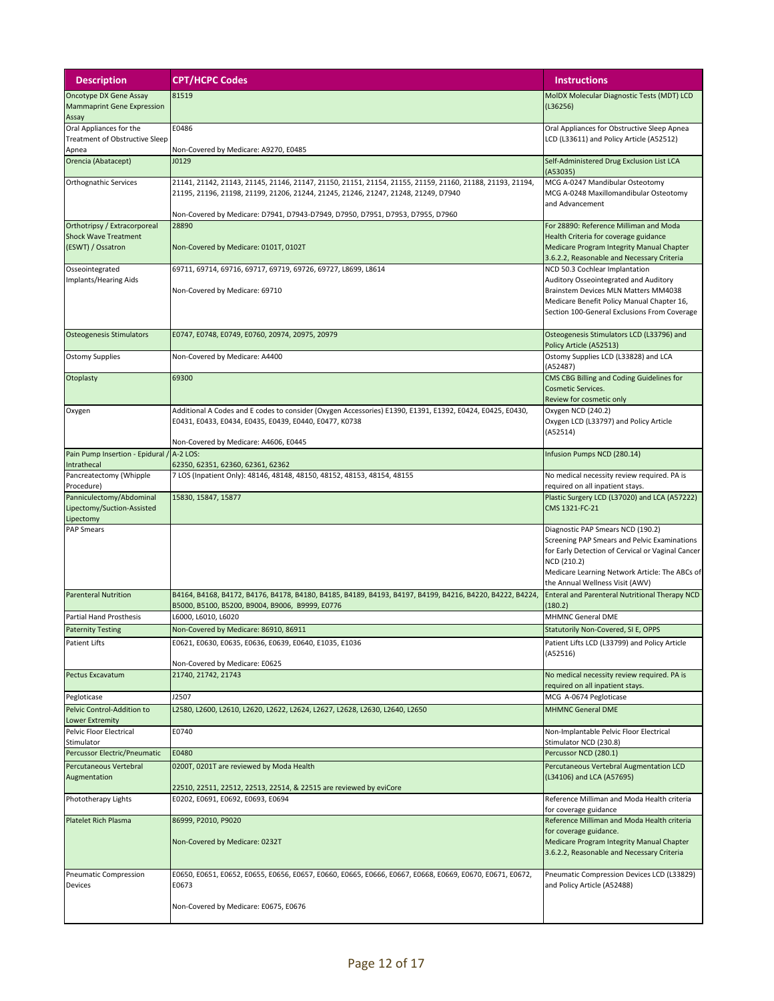| <b>Description</b>                                                               | <b>CPT/HCPC Codes</b>                                                                                                                                                                                                                                                            | <b>Instructions</b>                                                                                                                                                                                                                        |
|----------------------------------------------------------------------------------|----------------------------------------------------------------------------------------------------------------------------------------------------------------------------------------------------------------------------------------------------------------------------------|--------------------------------------------------------------------------------------------------------------------------------------------------------------------------------------------------------------------------------------------|
| Oncotype DX Gene Assay<br><b>Mammaprint Gene Expression</b><br>Assay             | 81519                                                                                                                                                                                                                                                                            | MoIDX Molecular Diagnostic Tests (MDT) LCD<br>(L36256)                                                                                                                                                                                     |
| Oral Appliances for the<br><b>Treatment of Obstructive Sleep</b>                 | E0486                                                                                                                                                                                                                                                                            | Oral Appliances for Obstructive Sleep Apnea<br>LCD (L33611) and Policy Article (A52512)                                                                                                                                                    |
| Apnea<br>Orencia (Abatacept)                                                     | Non-Covered by Medicare: A9270, E0485<br>J0129                                                                                                                                                                                                                                   | Self-Administered Drug Exclusion List LCA<br>(A53035)                                                                                                                                                                                      |
| Orthognathic Services                                                            | 21141, 21142, 21143, 21145, 21146, 21147, 21150, 21151, 21154, 21155, 21159, 21160, 21188, 21193, 21194,<br>21195, 21196, 21198, 21199, 21206, 21244, 21245, 21246, 21247, 21248, 21249, D7940<br>Non-Covered by Medicare: D7941, D7943-D7949, D7950, D7951, D7953, D7955, D7960 | MCG A-0247 Mandibular Osteotomy<br>MCG A-0248 Maxillomandibular Osteotomy<br>and Advancement                                                                                                                                               |
| Orthotripsy / Extracorporeal<br><b>Shock Wave Treatment</b><br>(ESWT) / Ossatron | 28890<br>Non-Covered by Medicare: 0101T, 0102T                                                                                                                                                                                                                                   | For 28890: Reference Milliman and Moda<br>Health Criteria for coverage guidance<br>Medicare Program Integrity Manual Chapter<br>3.6.2.2, Reasonable and Necessary Criteria                                                                 |
| Osseointegrated<br>Implants/Hearing Aids                                         | 69711, 69714, 69716, 69717, 69719, 69726, 69727, L8699, L8614<br>Non-Covered by Medicare: 69710                                                                                                                                                                                  | NCD 50.3 Cochlear Implantation<br>Auditory Osseointegrated and Auditory<br>Brainstem Devices MLN Matters MM4038<br>Medicare Benefit Policy Manual Chapter 16,<br>Section 100-General Exclusions From Coverage                              |
| <b>Osteogenesis Stimulators</b>                                                  | E0747, E0748, E0749, E0760, 20974, 20975, 20979                                                                                                                                                                                                                                  | Osteogenesis Stimulators LCD (L33796) and<br>Policy Article (A52513)                                                                                                                                                                       |
| <b>Ostomy Supplies</b>                                                           | Non-Covered by Medicare: A4400                                                                                                                                                                                                                                                   | Ostomy Supplies LCD (L33828) and LCA<br>(A52487)                                                                                                                                                                                           |
| Otoplasty                                                                        | 69300                                                                                                                                                                                                                                                                            | CMS CBG Billing and Coding Guidelines for<br>Cosmetic Services.<br>Review for cosmetic only                                                                                                                                                |
| Oxygen                                                                           | Additional A Codes and E codes to consider (Oxygen Accessories) E1390, E1391, E1392, E0424, E0425, E0430,<br>E0431, E0433, E0434, E0435, E0439, E0440, E0477, K0738<br>Non-Covered by Medicare: A4606, E0445                                                                     | Oxygen NCD (240.2)<br>Oxygen LCD (L33797) and Policy Article<br>(A52514)                                                                                                                                                                   |
| Pain Pump Insertion - Epidural /                                                 | A-2 LOS:                                                                                                                                                                                                                                                                         | Infusion Pumps NCD (280.14)                                                                                                                                                                                                                |
| Intrathecal<br>Pancreatectomy (Whipple                                           | 62350, 62351, 62360, 62361, 62362<br>7 LOS (Inpatient Only): 48146, 48148, 48150, 48152, 48153, 48154, 48155                                                                                                                                                                     | No medical necessity review required. PA is                                                                                                                                                                                                |
| Procedure)                                                                       |                                                                                                                                                                                                                                                                                  | required on all inpatient stays.                                                                                                                                                                                                           |
| Panniculectomy/Abdominal<br>Lipectomy/Suction-Assisted<br>Lipectomy              | 15830, 15847, 15877                                                                                                                                                                                                                                                              | Plastic Surgery LCD (L37020) and LCA (A57222)<br>CMS 1321-FC-21                                                                                                                                                                            |
| <b>PAP Smears</b>                                                                |                                                                                                                                                                                                                                                                                  | Diagnostic PAP Smears NCD (190.2)<br>Screening PAP Smears and Pelvic Examinations<br>for Early Detection of Cervical or Vaginal Cancer<br>NCD (210.2)<br>Medicare Learning Network Article: The ABCs of<br>the Annual Wellness Visit (AWV) |
| <b>Parenteral Nutrition</b>                                                      | B4164, B4168, B4172, B4176, B4178, B4180, B4185, B4189, B4193, B4197, B4199, B4216, B4220, B4222, B4224,<br>B5000, B5100, B5200, B9004, B9006, B9999, E0776                                                                                                                      | <b>Enteral and Parenteral Nutritional Therapy NCD</b><br>(180.2)                                                                                                                                                                           |
| Partial Hand Prosthesis                                                          | L6000, L6010, L6020                                                                                                                                                                                                                                                              | <b>MHMNC General DME</b>                                                                                                                                                                                                                   |
| <b>Paternity Testing</b><br><b>Patient Lifts</b>                                 | Non-Covered by Medicare: 86910, 86911<br>E0621, E0630, E0635, E0636, E0639, E0640, E1035, E1036                                                                                                                                                                                  | Statutorily Non-Covered, SI E, OPPS<br>Patient Lifts LCD (L33799) and Policy Article<br>(A52516)                                                                                                                                           |
| Pectus Excavatum                                                                 | Non-Covered by Medicare: E0625<br>21740, 21742, 21743                                                                                                                                                                                                                            | No medical necessity review required. PA is<br>required on all inpatient stays.                                                                                                                                                            |
| Pegloticase                                                                      | J2507                                                                                                                                                                                                                                                                            | MCG A-0674 Pegloticase                                                                                                                                                                                                                     |
| Pelvic Control-Addition to<br><b>Lower Extremity</b>                             | L2580, L2600, L2610, L2620, L2622, L2624, L2627, L2628, L2630, L2640, L2650                                                                                                                                                                                                      | <b>MHMNC General DME</b>                                                                                                                                                                                                                   |
| Pelvic Floor Electrical<br>Stimulator                                            | E0740                                                                                                                                                                                                                                                                            | Non-Implantable Pelvic Floor Electrical<br>Stimulator NCD (230.8)                                                                                                                                                                          |
| Percussor Electric/Pneumatic                                                     | E0480                                                                                                                                                                                                                                                                            | Percussor NCD (280.1)                                                                                                                                                                                                                      |
| Percutaneous Vertebral<br>Augmentation                                           | 0200T, 0201T are reviewed by Moda Health<br>22510, 22511, 22512, 22513, 22514, & 22515 are reviewed by eviCore                                                                                                                                                                   | Percutaneous Vertebral Augmentation LCD<br>(L34106) and LCA (A57695)                                                                                                                                                                       |
| Phototherapy Lights                                                              | E0202, E0691, E0692, E0693, E0694                                                                                                                                                                                                                                                | Reference Milliman and Moda Health criteria                                                                                                                                                                                                |
| <b>Platelet Rich Plasma</b>                                                      | 86999, P2010, P9020<br>Non-Covered by Medicare: 0232T                                                                                                                                                                                                                            | for coverage guidance<br>Reference Milliman and Moda Health criteria<br>for coverage guidance.<br>Medicare Program Integrity Manual Chapter<br>3.6.2.2, Reasonable and Necessary Criteria                                                  |
| <b>Pneumatic Compression</b><br><b>Devices</b>                                   | E0650, E0651, E0652, E0655, E0656, E0657, E0660, E0665, E0666, E0667, E0668, E0669, E0670, E0671, E0672,<br>E0673<br>Non-Covered by Medicare: E0675, E0676                                                                                                                       | Pneumatic Compression Devices LCD (L33829)<br>and Policy Article (A52488)                                                                                                                                                                  |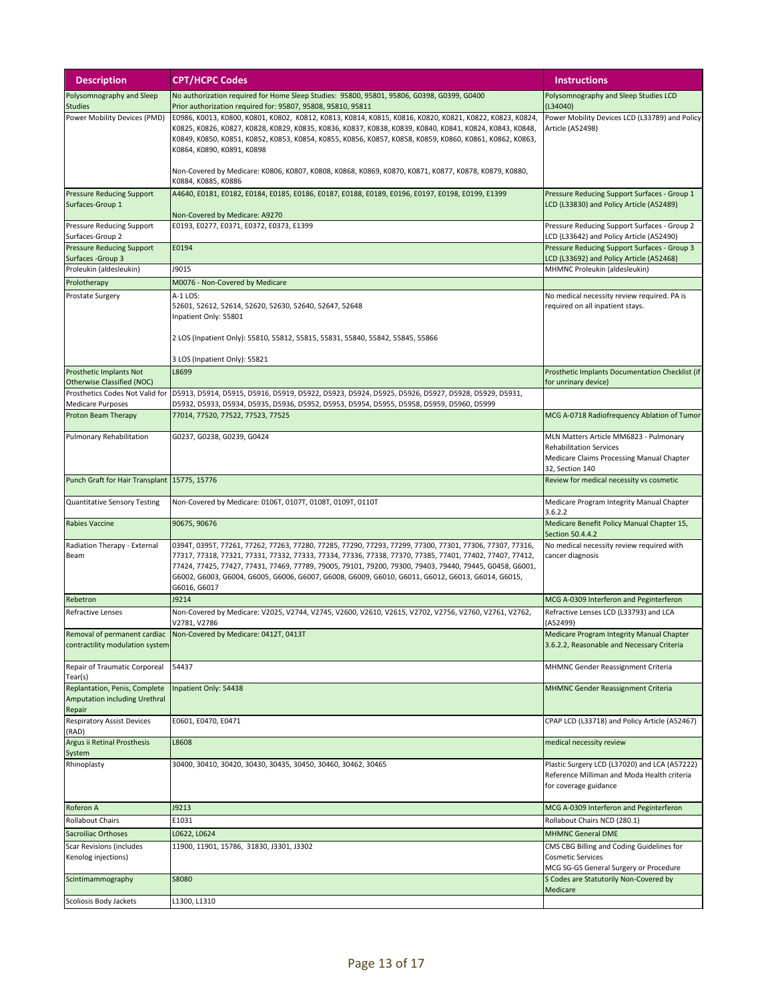| <b>Description</b>                                                       | <b>CPT/HCPC Codes</b>                                                                                                                                                                                                                                                                                                                                                                                                                                                                          | <b>Instructions</b>                                                                                                                      |
|--------------------------------------------------------------------------|------------------------------------------------------------------------------------------------------------------------------------------------------------------------------------------------------------------------------------------------------------------------------------------------------------------------------------------------------------------------------------------------------------------------------------------------------------------------------------------------|------------------------------------------------------------------------------------------------------------------------------------------|
| Polysomnography and Sleep<br><b>Studies</b>                              | No authorization required for Home Sleep Studies: 95800, 95801, 95806, G0398, G0399, G0400<br>Prior authorization required for: 95807, 95808, 95810, 95811                                                                                                                                                                                                                                                                                                                                     | Polysomnography and Sleep Studies LCD<br>(L34040)                                                                                        |
| Power Mobility Devices (PMD)                                             | E0986, K0013, K0800, K0801, K0802, K0812, K0813, K0814, K0815, K0816, K0820, K0821, K0822, K0823, K0824,<br>K0825, K0826, K0827, K0828, K0829, K0835, K0836, K0837, K0838, K0839, K0840, K0841, K0824, K0843, K0848,<br>K0849, K0850, K0851, K0852, K0853, K0854, K0855, K0856, K0857, K0858, K0859, K0860, K0861, K0862, K0863,<br>K0864, K0890, K0891, K0898<br>Non-Covered by Medicare: K0806, K0807, K0808, K0868, K0869, K0870, K0871, K0877, K0878, K0879, K0880,<br>K0884, K0885, K0886 | Power Mobility Devices LCD (L33789) and Policy<br>Article (A52498)                                                                       |
| <b>Pressure Reducing Support</b>                                         | A4640, E0181, E0182, E0184, E0185, E0186, E0187, E0188, E0189, E0196, E0197, E0198, E0199, E1399                                                                                                                                                                                                                                                                                                                                                                                               | Pressure Reducing Support Surfaces - Group 1                                                                                             |
| Surfaces-Group 1                                                         | Non-Covered by Medicare: A9270                                                                                                                                                                                                                                                                                                                                                                                                                                                                 | LCD (L33830) and Policy Article (A52489)                                                                                                 |
| Pressure Reducing Support                                                | E0193, E0277, E0371, E0372, E0373, E1399                                                                                                                                                                                                                                                                                                                                                                                                                                                       | Pressure Reducing Support Surfaces - Group 2                                                                                             |
| Surfaces-Group 2<br><b>Pressure Reducing Support</b>                     | E0194                                                                                                                                                                                                                                                                                                                                                                                                                                                                                          | LCD (L33642) and Policy Article (A52490)<br>Pressure Reducing Support Surfaces - Group 3                                                 |
| Surfaces - Group 3                                                       |                                                                                                                                                                                                                                                                                                                                                                                                                                                                                                | LCD (L33692) and Policy Article (A52468)                                                                                                 |
| Proleukin (aldesleukin)                                                  | J9015                                                                                                                                                                                                                                                                                                                                                                                                                                                                                          | MHMNC Proleukin (aldesleukin)                                                                                                            |
| Prolotherapy                                                             | M0076 - Non-Covered by Medicare                                                                                                                                                                                                                                                                                                                                                                                                                                                                |                                                                                                                                          |
| Prostate Surgery                                                         | A-1 LOS:<br>52601, 52612, 52614, 52620, 52630, 52640, 52647, 52648<br>Inpatient Only: 55801<br>2 LOS (Inpatient Only): 55810, 55812, 55815, 55831, 55840, 55842, 55845, 55866                                                                                                                                                                                                                                                                                                                  | No medical necessity review required. PA is<br>required on all inpatient stays.                                                          |
|                                                                          | 3 LOS (Inpatient Only): 55821                                                                                                                                                                                                                                                                                                                                                                                                                                                                  |                                                                                                                                          |
| Prosthetic Implants Not<br><b>Otherwise Classified (NOC)</b>             | L8699                                                                                                                                                                                                                                                                                                                                                                                                                                                                                          | Prosthetic Implants Documentation Checklist (if<br>for unrinary device)                                                                  |
| Prosthetics Codes Not Valid for                                          | D5913, D5914, D5915, D5916, D5919, D5922, D5923, D5924, D5925, D5926, D5927, D5928, D5929, D5931,                                                                                                                                                                                                                                                                                                                                                                                              |                                                                                                                                          |
| <b>Medicare Purposes</b>                                                 | D5932, D5933, D5934, D5935, D5936, D5952, D5953, D5954, D5955, D5958, D5959, D5960, D5999<br>77014, 77520, 77522, 77523, 77525                                                                                                                                                                                                                                                                                                                                                                 |                                                                                                                                          |
| Proton Beam Therapy                                                      |                                                                                                                                                                                                                                                                                                                                                                                                                                                                                                | MCG A-0718 Radiofrequency Ablation of Tumor                                                                                              |
| Pulmonary Rehabilitation                                                 | G0237, G0238, G0239, G0424                                                                                                                                                                                                                                                                                                                                                                                                                                                                     | MLN Matters Article MM6823 - Pulmonary<br><b>Rehabilitation Services</b><br>Medicare Claims Processing Manual Chapter<br>32, Section 140 |
| Punch Graft for Hair Transplant 15775, 15776                             |                                                                                                                                                                                                                                                                                                                                                                                                                                                                                                | Review for medical necessity vs cosmetic                                                                                                 |
| Quantitative Sensory Testing                                             | Non-Covered by Medicare: 0106T, 0107T, 0108T, 0109T, 0110T                                                                                                                                                                                                                                                                                                                                                                                                                                     | Medicare Program Integrity Manual Chapter<br>3.6.2.2                                                                                     |
| Rabies Vaccine                                                           | 90675, 90676                                                                                                                                                                                                                                                                                                                                                                                                                                                                                   | Medicare Benefit Policy Manual Chapter 15,<br>Section 50.4.4.2                                                                           |
| Radiation Therapy - External<br>Beam                                     | 0394T, 0395T, 77261, 77262, 77263, 77280, 77285, 77290, 77293, 77299, 77300, 77301, 77306, 77307, 77316,<br>77317, 77318, 77321, 77331, 77332, 77333, 77334, 77336, 77338, 77370, 77385, 77401, 77402, 77407, 77412,<br>77424, 77425, 77427, 77431, 77469, 77789, 79005, 79101, 79200, 79300, 79403, 79440, 79445, G0458, G6001,<br>G6002, G6003, G6004, G6005, G6006, G6007, G6008, G6009, G6010, G6011, G6012, G6013, G6014, G6015,<br>G6016, G6017                                          | No medical necessity review required with<br>cancer diagnosis                                                                            |
| Rebetron                                                                 | J9214                                                                                                                                                                                                                                                                                                                                                                                                                                                                                          | MCG A-0309 Interferon and Peginterferon                                                                                                  |
| Refractive Lenses                                                        | Non-Covered by Medicare: V2025, V2744, V2745, V2600, V2610, V2615, V2702, V2756, V2760, V2761, V2762,<br>V2781, V2786                                                                                                                                                                                                                                                                                                                                                                          | Refractive Lenses LCD (L33793) and LCA<br>(A52499)                                                                                       |
| Removal of permanent cardiac<br>contractility modulation system          | Non-Covered by Medicare: 0412T, 0413T                                                                                                                                                                                                                                                                                                                                                                                                                                                          | Medicare Program Integrity Manual Chapter<br>3.6.2.2, Reasonable and Necessary Criteria                                                  |
| Repair of Traumatic Corporeal<br>Tear(s)                                 | 54437                                                                                                                                                                                                                                                                                                                                                                                                                                                                                          | MHMNC Gender Reassignment Criteria                                                                                                       |
| Replantation, Penis, Complete<br>Amputation including Urethral<br>Repair | Inpatient Only: 54438                                                                                                                                                                                                                                                                                                                                                                                                                                                                          | MHMNC Gender Reassignment Criteria                                                                                                       |
| <b>Respiratory Assist Devices</b><br>(RAD)                               | E0601, E0470, E0471                                                                                                                                                                                                                                                                                                                                                                                                                                                                            | CPAP LCD (L33718) and Policy Article (A52467)                                                                                            |
| Argus ii Retinal Prosthesis<br>System                                    | L8608                                                                                                                                                                                                                                                                                                                                                                                                                                                                                          | medical necessity review                                                                                                                 |
| Rhinoplasty                                                              | 30400, 30410, 30420, 30430, 30435, 30450, 30460, 30462, 30465                                                                                                                                                                                                                                                                                                                                                                                                                                  | Plastic Surgery LCD (L37020) and LCA (A57222)<br>Reference Milliman and Moda Health criteria<br>for coverage guidance                    |
| Roferon A                                                                | J9213                                                                                                                                                                                                                                                                                                                                                                                                                                                                                          | MCG A-0309 Interferon and Peginterferon                                                                                                  |
| <b>Rollabout Chairs</b>                                                  | E1031                                                                                                                                                                                                                                                                                                                                                                                                                                                                                          | Rollabout Chairs NCD (280.1)                                                                                                             |
| <b>Sacroiliac Orthoses</b>                                               | L0622, L0624                                                                                                                                                                                                                                                                                                                                                                                                                                                                                   | <b>MHMNC General DME</b>                                                                                                                 |
| Scar Revisions (includes<br>Kenolog injections)                          | 11900, 11901, 15786, 31830, J3301, J3302                                                                                                                                                                                                                                                                                                                                                                                                                                                       | CMS CBG Billing and Coding Guidelines for<br><b>Cosmetic Services</b><br>MCG SG-GS General Surgery or Procedure                          |
| Scintimammography                                                        | <b>S8080</b>                                                                                                                                                                                                                                                                                                                                                                                                                                                                                   | S Codes are Statutorily Non-Covered by<br>Medicare                                                                                       |
| Scoliosis Body Jackets                                                   | L1300, L1310                                                                                                                                                                                                                                                                                                                                                                                                                                                                                   |                                                                                                                                          |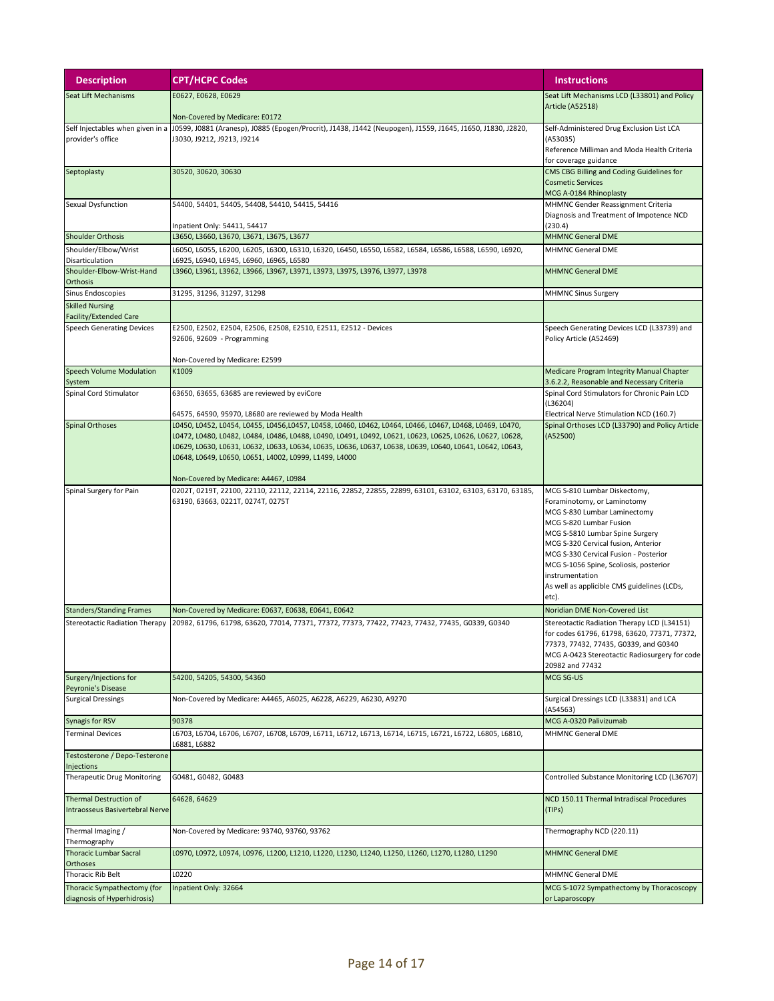| <b>Description</b>                                         | <b>CPT/HCPC Codes</b>                                                                                                                                              | <b>Instructions</b>                                                                     |
|------------------------------------------------------------|--------------------------------------------------------------------------------------------------------------------------------------------------------------------|-----------------------------------------------------------------------------------------|
| <b>Seat Lift Mechanisms</b>                                | E0627, E0628, E0629                                                                                                                                                | Seat Lift Mechanisms LCD (L33801) and Policy                                            |
|                                                            | Non-Covered by Medicare: E0172                                                                                                                                     | <b>Article (A52518)</b>                                                                 |
| Self Injectables when given in a                           | J0599, J0881 (Aranesp), J0885 (Epogen/Procrit), J1438, J1442 (Neupogen), J1559, J1645, J1650, J1830, J2820,                                                        | Self-Administered Drug Exclusion List LCA                                               |
| provider's office                                          | J3030, J9212, J9213, J9214                                                                                                                                         | (A53035)<br>Reference Milliman and Moda Health Criteria                                 |
|                                                            |                                                                                                                                                                    | for coverage guidance                                                                   |
| Septoplasty                                                | 30520, 30620, 30630                                                                                                                                                | CMS CBG Billing and Coding Guidelines for                                               |
|                                                            |                                                                                                                                                                    | <b>Cosmetic Services</b><br>MCG A-0184 Rhinoplasty                                      |
| Sexual Dysfunction                                         | 54400, 54401, 54405, 54408, 54410, 54415, 54416                                                                                                                    | MHMNC Gender Reassignment Criteria                                                      |
|                                                            | Inpatient Only: 54411, 54417                                                                                                                                       | Diagnosis and Treatment of Impotence NCD<br>(230.4)                                     |
| <b>Shoulder Orthosis</b>                                   | L3650, L3660, L3670, L3671, L3675, L3677                                                                                                                           | <b>MHMNC General DME</b>                                                                |
| Shoulder/Elbow/Wrist                                       | L6050, L6055, L6200, L6205, L6300, L6310, L6320, L6450, L6550, L6582, L6584, L6586, L6588, L6590, L6920,                                                           | <b>MHMNC General DME</b>                                                                |
| Disarticulation<br>Shoulder-Elbow-Wrist-Hand               | L6925, L6940, L6945, L6960, L6965, L6580<br>L3960, L3961, L3962, L3966, L3967, L3971, L3973, L3975, L3976, L3977, L3978                                            | <b>MHMNC General DME</b>                                                                |
| Orthosis                                                   |                                                                                                                                                                    |                                                                                         |
| Sinus Endoscopies<br><b>Skilled Nursing</b>                | 31295, 31296, 31297, 31298                                                                                                                                         | <b>MHMNC Sinus Surgery</b>                                                              |
| Facility/Extended Care                                     |                                                                                                                                                                    |                                                                                         |
| <b>Speech Generating Devices</b>                           | E2500, E2502, E2504, E2506, E2508, E2510, E2511, E2512 - Devices                                                                                                   | Speech Generating Devices LCD (L33739) and                                              |
|                                                            | 92606, 92609 - Programming                                                                                                                                         | Policy Article (A52469)                                                                 |
|                                                            | Non-Covered by Medicare: E2599                                                                                                                                     |                                                                                         |
| Speech Volume Modulation<br>System                         | K1009                                                                                                                                                              | Medicare Program Integrity Manual Chapter<br>3.6.2.2, Reasonable and Necessary Criteria |
| Spinal Cord Stimulator                                     | 63650, 63655, 63685 are reviewed by eviCore                                                                                                                        | Spinal Cord Stimulators for Chronic Pain LCD                                            |
|                                                            | 64575, 64590, 95970, L8680 are reviewed by Moda Health                                                                                                             | (L36204)<br>Electrical Nerve Stimulation NCD (160.7)                                    |
| <b>Spinal Orthoses</b>                                     | L0450, L0452, L0454, L0455, L0456,L0457, L0458, L0460, L0462, L0464, L0466, L0467, L0468, L0469, L0470,                                                            | Spinal Orthoses LCD (L33790) and Policy Article                                         |
|                                                            | L0472, L0480, L0482, L0484, L0486, L0488, L0490, L0491, L0492, L0621, L0623, L0625, L0626, L0627, L0628,                                                           | (A52500)                                                                                |
|                                                            | L0629, L0630, L0631, L0632, L0633, L0634, L0635, L0636, L0637, L0638, L0639, L0640, L0641, L0642, L0643,<br>L0648, L0649, L0650, L0651, L4002, L0999, L1499, L4000 |                                                                                         |
|                                                            |                                                                                                                                                                    |                                                                                         |
|                                                            | Non-Covered by Medicare: A4467, L0984<br>0202T, 0219T, 22100, 22110, 22112, 22114, 22116, 22852, 22855, 22899, 63101, 63102, 63103, 63170, 63185,                  |                                                                                         |
| Spinal Surgery for Pain                                    | 63190, 63663, 0221T, 0274T, 0275T                                                                                                                                  | MCG S-810 Lumbar Diskectomy,<br>Foraminotomy, or Laminotomy                             |
|                                                            |                                                                                                                                                                    | MCG S-830 Lumbar Laminectomy                                                            |
|                                                            |                                                                                                                                                                    | MCG S-820 Lumbar Fusion<br>MCG S-5810 Lumbar Spine Surgery                              |
|                                                            |                                                                                                                                                                    | MCG S-320 Cervical fusion, Anterior                                                     |
|                                                            |                                                                                                                                                                    | MCG S-330 Cervical Fusion - Posterior<br>MCG S-1056 Spine, Scoliosis, posterior         |
|                                                            |                                                                                                                                                                    | instrumentation                                                                         |
|                                                            |                                                                                                                                                                    | As well as applicible CMS guidelines (LCDs,<br>etc).                                    |
| <b>Standers/Standing Frames</b>                            | Non-Covered by Medicare: E0637, E0638, E0641, E0642                                                                                                                | Noridian DME Non-Covered List                                                           |
| <b>Stereotactic Radiation Therapy</b>                      | 20982, 61796, 61798, 63620, 77014, 77371, 77372, 77373, 77422, 77423, 77432, 77435, G0339, G0340                                                                   | Stereotactic Radiation Therapy LCD (L34151)                                             |
|                                                            |                                                                                                                                                                    | for codes 61796, 61798, 63620, 77371, 77372,<br>77373, 77432, 77435, G0339, and G0340   |
|                                                            |                                                                                                                                                                    | MCG A-0423 Stereotactic Radiosurgery for code                                           |
|                                                            |                                                                                                                                                                    | 20982 and 77432                                                                         |
| Surgery/Injections for<br>Peyronie's Disease               | 54200, 54205, 54300, 54360                                                                                                                                         | MCG SG-US                                                                               |
| <b>Surgical Dressings</b>                                  | Non-Covered by Medicare: A4465, A6025, A6228, A6229, A6230, A9270                                                                                                  | Surgical Dressings LCD (L33831) and LCA                                                 |
| Synagis for RSV                                            | 90378                                                                                                                                                              | (A54563)<br>MCG A-0320 Palivizumab                                                      |
| <b>Terminal Devices</b>                                    | L6703, L6704, L6706, L6707, L6708, L6709, L6711, L6712, L6713, L6714, L6715, L6721, L6722, L6805, L6810,                                                           | MHMNC General DME                                                                       |
| Testosterone / Depo-Testerone                              | L6881, L6882                                                                                                                                                       |                                                                                         |
| Injections                                                 |                                                                                                                                                                    |                                                                                         |
| <b>Therapeutic Drug Monitoring</b>                         | G0481, G0482, G0483                                                                                                                                                | Controlled Substance Monitoring LCD (L36707)                                            |
| Thermal Destruction of                                     | 64628, 64629                                                                                                                                                       | NCD 150.11 Thermal Intradiscal Procedures                                               |
| Intraosseus Basivertebral Nerve                            |                                                                                                                                                                    | (TIPs)                                                                                  |
| Thermal Imaging /                                          | Non-Covered by Medicare: 93740, 93760, 93762                                                                                                                       | Thermography NCD (220.11)                                                               |
| Thermography<br><b>Thoracic Lumbar Sacral</b>              | L0970, L0972, L0974, L0976, L1200, L1210, L1220, L1230, L1240, L1250, L1260, L1270, L1280, L1290                                                                   | <b>MHMNC General DME</b>                                                                |
| <b>Orthoses</b>                                            |                                                                                                                                                                    |                                                                                         |
| Thoracic Rib Belt                                          | L0220                                                                                                                                                              | MHMNC General DME                                                                       |
| Thoracic Sympathectomy (for<br>diagnosis of Hyperhidrosis) | Inpatient Only: 32664                                                                                                                                              | MCG S-1072 Sympathectomy by Thoracoscopy<br>or Laparoscopy                              |
|                                                            |                                                                                                                                                                    |                                                                                         |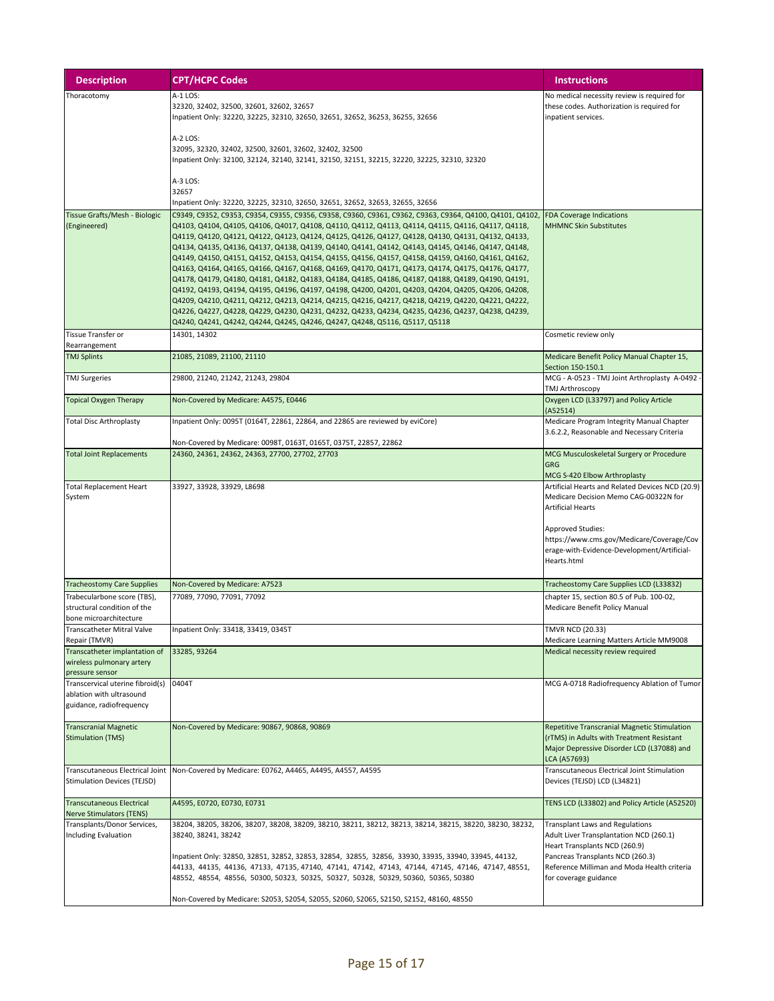| <b>Description</b>                                                                       | <b>CPT/HCPC Codes</b>                                                                                                                                                                                                                                                                                                                                                                                                                                                                                                                                                                                                                                                                                                                                                                                                                                                                                                                                                                                                                                                                                                                | <b>Instructions</b>                                                                                                                                                                                                                                          |
|------------------------------------------------------------------------------------------|--------------------------------------------------------------------------------------------------------------------------------------------------------------------------------------------------------------------------------------------------------------------------------------------------------------------------------------------------------------------------------------------------------------------------------------------------------------------------------------------------------------------------------------------------------------------------------------------------------------------------------------------------------------------------------------------------------------------------------------------------------------------------------------------------------------------------------------------------------------------------------------------------------------------------------------------------------------------------------------------------------------------------------------------------------------------------------------------------------------------------------------|--------------------------------------------------------------------------------------------------------------------------------------------------------------------------------------------------------------------------------------------------------------|
| Thoracotomy                                                                              | A-1 LOS:<br>32320, 32402, 32500, 32601, 32602, 32657<br>Inpatient Only: 32220, 32225, 32310, 32650, 32651, 32652, 36253, 36255, 32656                                                                                                                                                                                                                                                                                                                                                                                                                                                                                                                                                                                                                                                                                                                                                                                                                                                                                                                                                                                                | No medical necessity review is required for<br>these codes. Authorization is required for<br>inpatient services.                                                                                                                                             |
|                                                                                          | A-2 LOS:<br>32095, 32320, 32402, 32500, 32601, 32602, 32402, 32500<br>Inpatient Only: 32100, 32124, 32140, 32141, 32150, 32151, 32215, 32220, 32225, 32310, 32320                                                                                                                                                                                                                                                                                                                                                                                                                                                                                                                                                                                                                                                                                                                                                                                                                                                                                                                                                                    |                                                                                                                                                                                                                                                              |
|                                                                                          | A-3 LOS:<br>32657<br>Inpatient Only: 32220, 32225, 32310, 32650, 32651, 32652, 32653, 32655, 32656                                                                                                                                                                                                                                                                                                                                                                                                                                                                                                                                                                                                                                                                                                                                                                                                                                                                                                                                                                                                                                   |                                                                                                                                                                                                                                                              |
|                                                                                          |                                                                                                                                                                                                                                                                                                                                                                                                                                                                                                                                                                                                                                                                                                                                                                                                                                                                                                                                                                                                                                                                                                                                      |                                                                                                                                                                                                                                                              |
| Tissue Grafts/Mesh - Biologic<br>(Engineered)                                            | C9349, C9352, C9353, C9354, C9355, C9356, C9358, C9360, C9361, C9362, C9363, C9364, Q4100, Q4101, Q4102,<br>Q4103, Q4104, Q4105, Q4106, Q4017, Q4108, Q4110, Q4112, Q4113, Q4114, Q4115, Q4116, Q4117, Q4118,<br>Q4119, Q4120, Q4121, Q4122, Q4123, Q4124, Q4125, Q4126, Q4127, Q4128, Q4130, Q4131, Q4132, Q4133,<br>Q4134, Q4135, Q4136, Q4137, Q4138, Q4139, Q4140, Q4141, Q4142, Q4143, Q4145, Q4146, Q4147, Q4148,<br>Q4149, Q4150, Q4151, Q4152, Q4153, Q4154, Q4155, Q4156, Q4157, Q4158, Q4159, Q4160, Q4161, Q4162,<br>Q4163, Q4164, Q4165, Q4166, Q4167, Q4168, Q4169, Q4170, Q4171, Q4173, Q4174, Q4175, Q4176, Q4177,<br>Q4178, Q4179, Q4180, Q4181, Q4182, Q4183, Q4184, Q4185, Q4186, Q4187, Q4188, Q4189, Q4190, Q4191,<br>Q4192, Q4193, Q4194, Q4195, Q4196, Q4197, Q4198, Q4200, Q4201, Q4203, Q4204, Q4205, Q4206, Q4208,<br>Q4209, Q4210, Q4211, Q4212, Q4213, Q4214, Q4215, Q4216, Q4217, Q4218, Q4219, Q4220, Q4221, Q4222,<br>Q4226, Q4227, Q4228, Q4229, Q4230, Q4231, Q4232, Q4233, Q4234, Q4235, Q4236, Q4237, Q4238, Q4239,<br>Q4240, Q4241, Q4242, Q4244, Q4245, Q4246, Q4247, Q4248, Q5116, Q5117, Q5118 | <b>FDA Coverage Indications</b><br><b>MHMNC Skin Substitutes</b>                                                                                                                                                                                             |
| <b>Tissue Transfer or</b>                                                                | 14301, 14302                                                                                                                                                                                                                                                                                                                                                                                                                                                                                                                                                                                                                                                                                                                                                                                                                                                                                                                                                                                                                                                                                                                         | Cosmetic review only                                                                                                                                                                                                                                         |
| Rearrangement<br><b>TMJ Splints</b>                                                      | 21085, 21089, 21100, 21110                                                                                                                                                                                                                                                                                                                                                                                                                                                                                                                                                                                                                                                                                                                                                                                                                                                                                                                                                                                                                                                                                                           | Medicare Benefit Policy Manual Chapter 15,                                                                                                                                                                                                                   |
|                                                                                          |                                                                                                                                                                                                                                                                                                                                                                                                                                                                                                                                                                                                                                                                                                                                                                                                                                                                                                                                                                                                                                                                                                                                      | Section 150-150.1                                                                                                                                                                                                                                            |
| <b>TMJ Surgeries</b>                                                                     | 29800, 21240, 21242, 21243, 29804                                                                                                                                                                                                                                                                                                                                                                                                                                                                                                                                                                                                                                                                                                                                                                                                                                                                                                                                                                                                                                                                                                    | MCG - A-0523 - TMJ Joint Arthroplasty A-0492<br><b>TMJ Arthroscopy</b>                                                                                                                                                                                       |
| <b>Topical Oxygen Therapy</b>                                                            | Non-Covered by Medicare: A4575, E0446                                                                                                                                                                                                                                                                                                                                                                                                                                                                                                                                                                                                                                                                                                                                                                                                                                                                                                                                                                                                                                                                                                | Oxygen LCD (L33797) and Policy Article<br>(A52514)                                                                                                                                                                                                           |
| <b>Total Disc Arthroplasty</b>                                                           | Inpatient Only: 0095T (0164T, 22861, 22864, and 22865 are reviewed by eviCore)                                                                                                                                                                                                                                                                                                                                                                                                                                                                                                                                                                                                                                                                                                                                                                                                                                                                                                                                                                                                                                                       | Medicare Program Integrity Manual Chapter<br>3.6.2.2, Reasonable and Necessary Criteria                                                                                                                                                                      |
| <b>Total Joint Replacements</b>                                                          | Non-Covered by Medicare: 0098T, 0163T, 0165T, 0375T, 22857, 22862<br>24360, 24361, 24362, 24363, 27700, 27702, 27703                                                                                                                                                                                                                                                                                                                                                                                                                                                                                                                                                                                                                                                                                                                                                                                                                                                                                                                                                                                                                 | MCG Musculoskeletal Surgery or Procedure                                                                                                                                                                                                                     |
|                                                                                          |                                                                                                                                                                                                                                                                                                                                                                                                                                                                                                                                                                                                                                                                                                                                                                                                                                                                                                                                                                                                                                                                                                                                      | <b>GRG</b><br>MCG S-420 Elbow Arthroplasty                                                                                                                                                                                                                   |
| <b>Total Replacement Heart</b><br>System                                                 | 33927, 33928, 33929, L8698                                                                                                                                                                                                                                                                                                                                                                                                                                                                                                                                                                                                                                                                                                                                                                                                                                                                                                                                                                                                                                                                                                           | Artificial Hearts and Related Devices NCD (20.9)<br>Medicare Decision Memo CAG-00322N for<br><b>Artificial Hearts</b><br><b>Approved Studies:</b><br>https://www.cms.gov/Medicare/Coverage/Cov<br>erage-with-Evidence-Development/Artificial-<br>Hearts.html |
| <b>Tracheostomy Care Supplies</b>                                                        | Non-Covered by Medicare: A7523                                                                                                                                                                                                                                                                                                                                                                                                                                                                                                                                                                                                                                                                                                                                                                                                                                                                                                                                                                                                                                                                                                       | Tracheostomy Care Supplies LCD (L33832)                                                                                                                                                                                                                      |
| Trabecularbone score (TBS),<br>structural condition of the<br>bone microarchitecture     | 77089, 77090, 77091, 77092                                                                                                                                                                                                                                                                                                                                                                                                                                                                                                                                                                                                                                                                                                                                                                                                                                                                                                                                                                                                                                                                                                           | chapter 15, section 80.5 of Pub. 100-02,<br>Medicare Benefit Policy Manual                                                                                                                                                                                   |
| <b>Transcatheter Mitral Valve</b>                                                        | Inpatient Only: 33418, 33419, 0345T                                                                                                                                                                                                                                                                                                                                                                                                                                                                                                                                                                                                                                                                                                                                                                                                                                                                                                                                                                                                                                                                                                  | <b>TMVR NCD (20.33)</b>                                                                                                                                                                                                                                      |
| Repair (TMVR)<br>Transcatheter implantation of                                           | 33285, 93264                                                                                                                                                                                                                                                                                                                                                                                                                                                                                                                                                                                                                                                                                                                                                                                                                                                                                                                                                                                                                                                                                                                         | Medicare Learning Matters Article MM9008<br>Medical necessity review required                                                                                                                                                                                |
| wireless pulmonary artery<br>pressure sensor                                             |                                                                                                                                                                                                                                                                                                                                                                                                                                                                                                                                                                                                                                                                                                                                                                                                                                                                                                                                                                                                                                                                                                                                      |                                                                                                                                                                                                                                                              |
| Transcervical uterine fibroid(s)<br>ablation with ultrasound<br>guidance, radiofrequency | 0404T                                                                                                                                                                                                                                                                                                                                                                                                                                                                                                                                                                                                                                                                                                                                                                                                                                                                                                                                                                                                                                                                                                                                | MCG A-0718 Radiofrequency Ablation of Tumor                                                                                                                                                                                                                  |
| <b>Transcranial Magnetic</b><br><b>Stimulation (TMS)</b>                                 | Non-Covered by Medicare: 90867, 90868, 90869                                                                                                                                                                                                                                                                                                                                                                                                                                                                                                                                                                                                                                                                                                                                                                                                                                                                                                                                                                                                                                                                                         | Repetitive Transcranial Magnetic Stimulation<br>(rTMS) in Adults with Treatment Resistant<br>Major Depressive Disorder LCD (L37088) and<br>LCA (A57693)                                                                                                      |
| Transcutaneous Electrical Joint<br><b>Stimulation Devices (TEJSD)</b>                    | Non-Covered by Medicare: E0762, A4465, A4495, A4557, A4595                                                                                                                                                                                                                                                                                                                                                                                                                                                                                                                                                                                                                                                                                                                                                                                                                                                                                                                                                                                                                                                                           | Transcutaneous Electrical Joint Stimulation<br>Devices (TEJSD) LCD (L34821)                                                                                                                                                                                  |
| <b>Transcutaneous Electrical</b><br><b>Nerve Stimulators (TENS)</b>                      | A4595, E0720, E0730, E0731                                                                                                                                                                                                                                                                                                                                                                                                                                                                                                                                                                                                                                                                                                                                                                                                                                                                                                                                                                                                                                                                                                           | TENS LCD (L33802) and Policy Article (A52520)                                                                                                                                                                                                                |
| Transplants/Donor Services,<br><b>Including Evaluation</b>                               | 38204, 38205, 38206, 38207, 38208, 38209, 38210, 38211, 38212, 38213, 38214, 38215, 38220, 38230, 38232,<br>38240, 38241, 38242<br>Inpatient Only: 32850, 32851, 32852, 32853, 32854, 32855, 32856, 33930, 33935, 33940, 33945, 44132,                                                                                                                                                                                                                                                                                                                                                                                                                                                                                                                                                                                                                                                                                                                                                                                                                                                                                               | <b>Transplant Laws and Regulations</b><br>Adult Liver Transplantation NCD (260.1)<br>Heart Transplants NCD (260.9)<br>Pancreas Transplants NCD (260.3)                                                                                                       |
|                                                                                          | 44133, 44135, 44136, 47133, 47135, 47140, 47141, 47142, 47143, 47144, 47145, 47146, 47147, 48551,<br>48552, 48554, 48556, 50300, 50323, 50325, 50327, 50328, 50329, 50360, 50365, 50380                                                                                                                                                                                                                                                                                                                                                                                                                                                                                                                                                                                                                                                                                                                                                                                                                                                                                                                                              | Reference Milliman and Moda Health criteria<br>for coverage guidance                                                                                                                                                                                         |
|                                                                                          | Non-Covered by Medicare: S2053, S2054, S2055, S2060, S2065, S2150, S2152, 48160, 48550                                                                                                                                                                                                                                                                                                                                                                                                                                                                                                                                                                                                                                                                                                                                                                                                                                                                                                                                                                                                                                               |                                                                                                                                                                                                                                                              |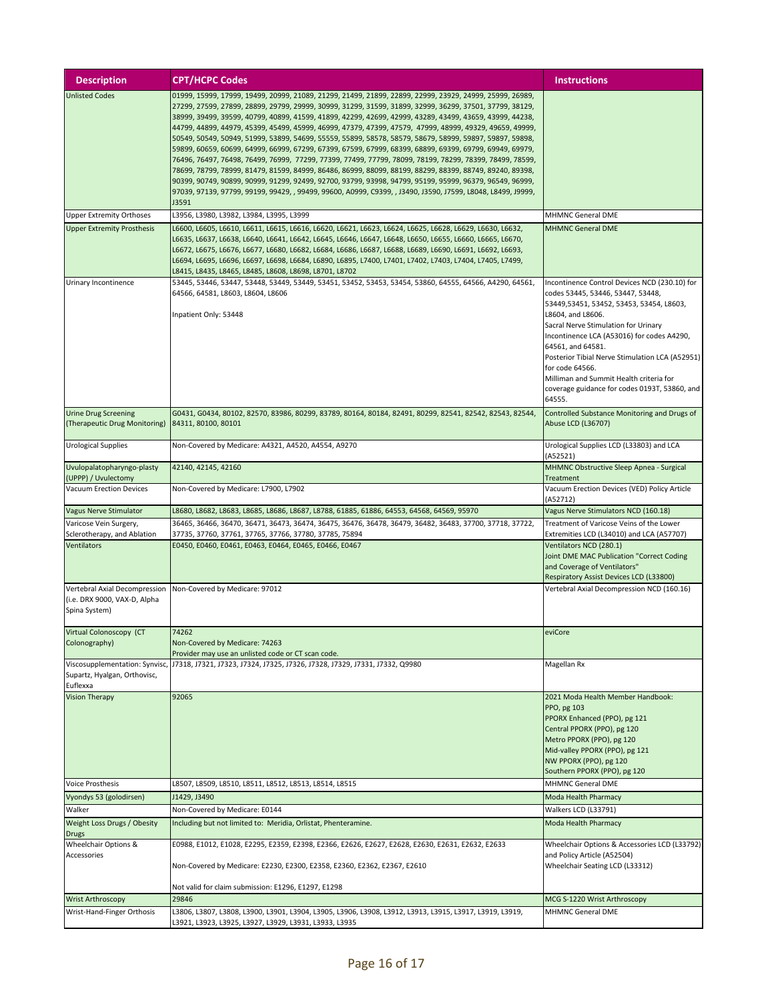| <b>Description</b>                                            | <b>CPT/HCPC Codes</b>                                                                                                                                                                                                | Instructions                                                                             |
|---------------------------------------------------------------|----------------------------------------------------------------------------------------------------------------------------------------------------------------------------------------------------------------------|------------------------------------------------------------------------------------------|
| <b>Unlisted Codes</b>                                         | 01999, 15999, 17999, 19499, 20999, 21089, 21299, 21499, 21899, 22899, 22999, 23929, 24999, 25999, 26989,                                                                                                             |                                                                                          |
|                                                               | 27299, 27599, 27899, 28899, 29799, 29999, 30999, 31299, 31599, 31899, 32999, 36299, 37501, 37799, 38129,<br>38999, 39499, 39599, 40799, 40899, 41599, 41899, 42299, 42699, 42999, 43289, 43499, 43659, 43999, 44238, |                                                                                          |
|                                                               | 44799, 44899, 44979, 45399, 45499, 45999, 46999, 47379, 47399, 47579, 47999, 48999, 49329, 49659, 49999,                                                                                                             |                                                                                          |
|                                                               | 50549, 50549, 50949, 51999, 53899, 54699, 55559, 55899, 58578, 58579, 58679, 58999, 59897, 59897, 59898,                                                                                                             |                                                                                          |
|                                                               | 59899, 60659, 60699, 64999, 66999, 67299, 67399, 67599, 67999, 68399, 68899, 69399, 69799, 69949, 69979,                                                                                                             |                                                                                          |
|                                                               | 76496, 76497, 76498, 76499, 76999, 77299, 77399, 77499, 77799, 78099, 78199, 78299, 78399, 78499, 78599,                                                                                                             |                                                                                          |
|                                                               | 78699, 78799, 78999, 81479, 81599, 84999, 86486, 86999, 88099, 88199, 88299, 88399, 88749, 89240, 89398,<br>90399, 90749, 90899, 90999, 91299, 92499, 92700, 93799, 93998, 94799, 95199, 95999, 96379, 96549, 96999, |                                                                                          |
|                                                               | 97039, 97139, 97799, 99199, 99429, , 99499, 99600, A0999, C9399, , J3490, J3590, J7599, L8048, L8499, J9999,                                                                                                         |                                                                                          |
|                                                               | J3591                                                                                                                                                                                                                |                                                                                          |
| <b>Upper Extremity Orthoses</b>                               | L3956, L3980, L3982, L3984, L3995, L3999                                                                                                                                                                             | <b>MHMNC General DME</b>                                                                 |
| <b>Upper Extremity Prosthesis</b>                             | L6600, L6605, L6610, L6611, L6615, L6616, L6620, L6621, L6623, L6624, L6625, L6628, L6629, L6630, L6632,                                                                                                             | <b>MHMNC General DME</b>                                                                 |
|                                                               | L6635, L6637, L6638, L6640, L6641, L6642, L6645, L6646, L6647, L6648, L6650, L6655, L6660, L6665, L6670,                                                                                                             |                                                                                          |
|                                                               | L6672, L6675, L6676, L6677, L6680, L6682, L6684, L6686, L6687, L6688, L6689, L6690, L6691, L6692, L6693,<br>L6694, L6695, L6696, L6697, L6698, L6684, L6890, L6895, L7400, L7401, L7402, L7403, L7404, L7405, L7499, |                                                                                          |
|                                                               | L8415, L8435, L8465, L8485, L8608, L8698, L8701, L8702                                                                                                                                                               |                                                                                          |
| Urinary Incontinence                                          | 53445, 53446, 53447, 53448, 53449, 53449, 53451, 53452, 53453, 53454, 53860, 64555, 64566, A4290, 64561,                                                                                                             | Incontinence Control Devices NCD (230.10) for                                            |
|                                                               | 64566, 64581, L8603, L8604, L8606                                                                                                                                                                                    | codes 53445, 53446, 53447, 53448,                                                        |
|                                                               |                                                                                                                                                                                                                      | 53449,53451, 53452, 53453, 53454, L8603,                                                 |
|                                                               | Inpatient Only: 53448                                                                                                                                                                                                | L8604, and L8606.                                                                        |
|                                                               |                                                                                                                                                                                                                      | Sacral Nerve Stimulation for Urinary<br>Incontinence LCA (A53016) for codes A4290,       |
|                                                               |                                                                                                                                                                                                                      | 64561, and 64581.                                                                        |
|                                                               |                                                                                                                                                                                                                      | Posterior Tibial Nerve Stimulation LCA (A52951)                                          |
|                                                               |                                                                                                                                                                                                                      | for code 64566.                                                                          |
|                                                               |                                                                                                                                                                                                                      | Milliman and Summit Health criteria for<br>coverage guidance for codes 0193T, 53860, and |
|                                                               |                                                                                                                                                                                                                      | 64555.                                                                                   |
| <b>Urine Drug Screening</b>                                   | G0431, G0434, 80102, 82570, 83986, 80299, 83789, 80164, 80184, 82491, 80299, 82541, 82542, 82543, 82544,                                                                                                             | Controlled Substance Monitoring and Drugs of                                             |
| (Therapeutic Drug Monitoring)                                 | 84311, 80100, 80101                                                                                                                                                                                                  | Abuse LCD (L36707)                                                                       |
|                                                               |                                                                                                                                                                                                                      |                                                                                          |
| Urological Supplies                                           | Non-Covered by Medicare: A4321, A4520, A4554, A9270                                                                                                                                                                  | Urological Supplies LCD (L33803) and LCA                                                 |
| Uvulopalatopharyngo-plasty                                    | 42140, 42145, 42160                                                                                                                                                                                                  | (A52521)<br>MHMNC Obstructive Sleep Apnea - Surgical                                     |
| (UPPP) / Uvulectomy                                           |                                                                                                                                                                                                                      | Treatment                                                                                |
| Vacuum Erection Devices                                       | Non-Covered by Medicare: L7900, L7902                                                                                                                                                                                | Vacuum Erection Devices (VED) Policy Article                                             |
|                                                               |                                                                                                                                                                                                                      | (A52712)                                                                                 |
| Vagus Nerve Stimulator                                        | L8680, L8682, L8683, L8685, L8686, L8687, L8788, 61885, 61886, 64553, 64568, 64569, 95970                                                                                                                            | Vagus Nerve Stimulators NCD (160.18)                                                     |
| Varicose Vein Surgery,<br>Sclerotherapy, and Ablation         | 36465, 36466, 36470, 36471, 36473, 36474, 36475, 36476, 36478, 36479, 36482, 36483, 37700, 37718, 37722,<br>37735, 37760, 37761, 37765, 37766, 37780, 37785, 75894                                                   | Treatment of Varicose Veins of the Lower<br>Extremities LCD (L34010) and LCA (A57707)    |
| Ventilators                                                   | E0450, E0460, E0461, E0463, E0464, E0465, E0466, E0467                                                                                                                                                               | Ventilators NCD (280.1)                                                                  |
|                                                               |                                                                                                                                                                                                                      | Joint DME MAC Publication "Correct Coding                                                |
|                                                               |                                                                                                                                                                                                                      | and Coverage of Ventilators"                                                             |
|                                                               |                                                                                                                                                                                                                      | Respiratory Assist Devices LCD (L33800)                                                  |
| Vertebral Axial Decompression<br>(i.e. DRX 9000, VAX-D, Alpha | Non-Covered by Medicare: 97012                                                                                                                                                                                       | Vertebral Axial Decompression NCD (160.16)                                               |
| Spina System)                                                 |                                                                                                                                                                                                                      |                                                                                          |
|                                                               |                                                                                                                                                                                                                      |                                                                                          |
| Virtual Colonoscopy (CT                                       | 74262                                                                                                                                                                                                                | eviCore                                                                                  |
| Colonography)                                                 | Non-Covered by Medicare: 74263<br>Provider may use an unlisted code or CT scan code.                                                                                                                                 |                                                                                          |
| Viscosupplementation: Synvisc,                                | J7318, J7321, J7323, J7324, J7325, J7326, J7328, J7329, J7331, J7332, Q9980                                                                                                                                          | Magellan Rx                                                                              |
| Supartz, Hyalgan, Orthovisc,                                  |                                                                                                                                                                                                                      |                                                                                          |
| Euflexxa                                                      |                                                                                                                                                                                                                      |                                                                                          |
| <b>Vision Therapy</b>                                         | 92065                                                                                                                                                                                                                | 2021 Moda Health Member Handbook:                                                        |
|                                                               |                                                                                                                                                                                                                      | PPO, pg 103<br>PPORX Enhanced (PPO), pg 121                                              |
|                                                               |                                                                                                                                                                                                                      | Central PPORX (PPO), pg 120                                                              |
|                                                               |                                                                                                                                                                                                                      | Metro PPORX (PPO), pg 120                                                                |
|                                                               |                                                                                                                                                                                                                      | Mid-valley PPORX (PPO), pg 121                                                           |
|                                                               |                                                                                                                                                                                                                      | NW PPORX (PPO), pg 120<br>Southern PPORX (PPO), pg 120                                   |
| <b>Voice Prosthesis</b>                                       | L8507, L8509, L8510, L8511, L8512, L8513, L8514, L8515                                                                                                                                                               | <b>MHMNC General DME</b>                                                                 |
| Vyondys 53 (golodirsen)                                       | J1429, J3490                                                                                                                                                                                                         | Moda Health Pharmacy                                                                     |
| Walker                                                        | Non-Covered by Medicare: E0144                                                                                                                                                                                       | Walkers LCD (L33791)                                                                     |
| Weight Loss Drugs / Obesity                                   | Including but not limited to: Meridia, Orlistat, Phenteramine.                                                                                                                                                       | Moda Health Pharmacy                                                                     |
| <b>Drugs</b>                                                  |                                                                                                                                                                                                                      |                                                                                          |
| Wheelchair Options &                                          | E0988, E1012, E1028, E2295, E2359, E2398, E2366, E2626, E2627, E2628, E2630, E2631, E2632, E2633                                                                                                                     | Wheelchair Options & Accessories LCD (L33792)                                            |
| Accessories                                                   | Non-Covered by Medicare: E2230, E2300, E2358, E2360, E2362, E2367, E2610                                                                                                                                             | and Policy Article (A52504)<br>Wheelchair Seating LCD (L33312)                           |
|                                                               |                                                                                                                                                                                                                      |                                                                                          |
|                                                               | Not valid for claim submission: E1296, E1297, E1298                                                                                                                                                                  |                                                                                          |
| <b>Wrist Arthroscopy</b>                                      | 29846                                                                                                                                                                                                                | MCG S-1220 Wrist Arthroscopy                                                             |
| Wrist-Hand-Finger Orthosis                                    | L3806, L3807, L3808, L3900, L3901, L3904, L3905, L3906, L3908, L3912, L3913, L3915, L3917, L3919, L3919,<br>L3921, L3923, L3925, L3927, L3929, L3931, L3933, L3935                                                   | MHMNC General DME                                                                        |
|                                                               |                                                                                                                                                                                                                      |                                                                                          |